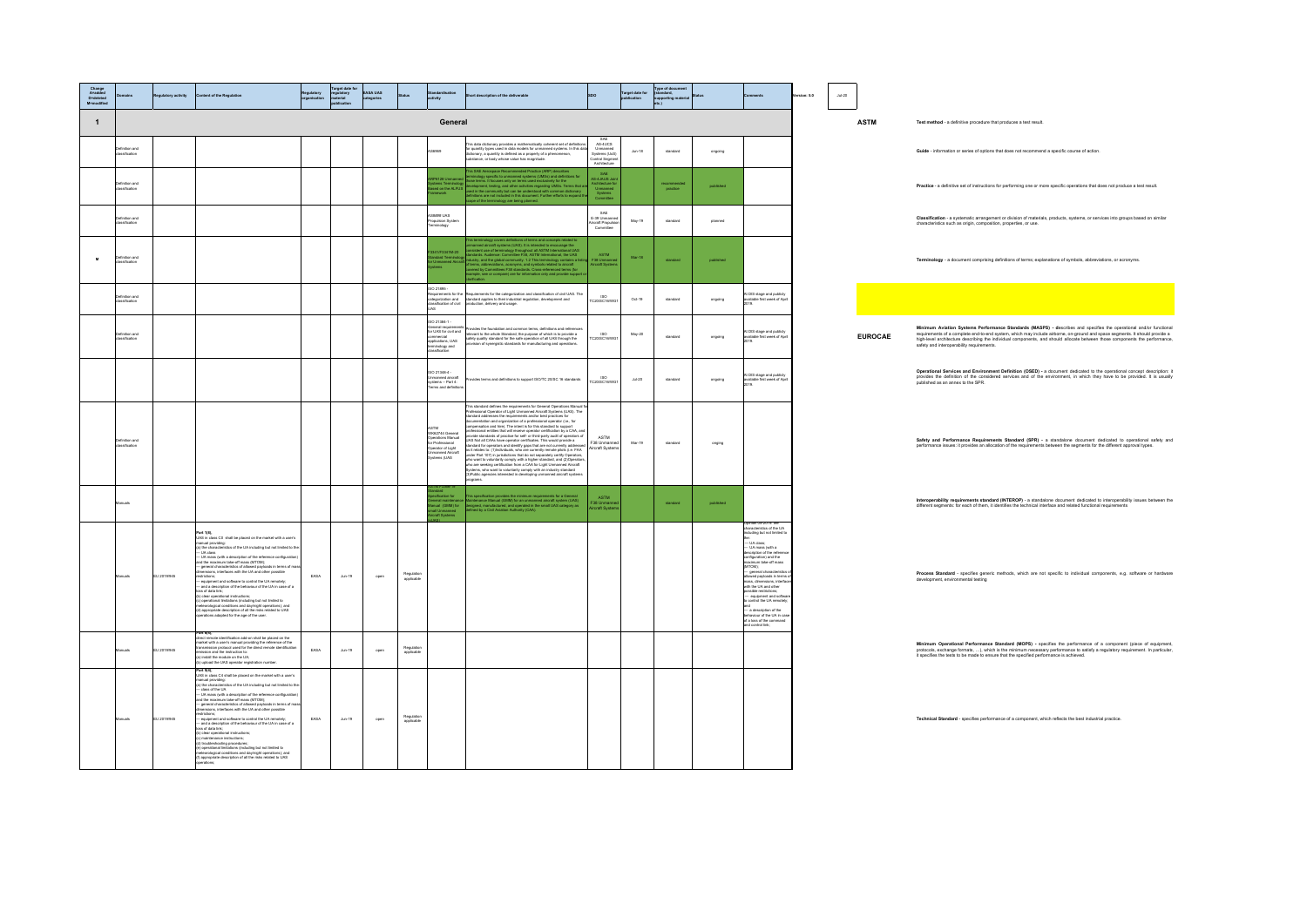| Change<br>A=added<br>D=deleted<br>M=modified  | ory activity | tent of the Regulation                                                                                                                                                                                                                                                                                                                                                                                                                                                                                                                                                                                                                                                                                                                                                                                                                                                                                                                                                                                                          |      | irget date<br>egulatory<br>material<br>publication | ASA UAS<br>agories |                          |                                                                                                                            | description of the deliverable                                                                                                                                                                                                                                                                                                                                                                                                                                                                                                                                                                                                                                                                                                                                                                   |                                                                            | Target date for | Type of doc<br>(standard,<br>supporting<br>etc.) |           |                                                                                                                                                                                                                                                                                                                                                                                                                                                                   | ion: 5.0 | $Ju - 20$ |                |                                                                                                                                                                                                                                                                                                                                                                                                                              |
|-----------------------------------------------|--------------|---------------------------------------------------------------------------------------------------------------------------------------------------------------------------------------------------------------------------------------------------------------------------------------------------------------------------------------------------------------------------------------------------------------------------------------------------------------------------------------------------------------------------------------------------------------------------------------------------------------------------------------------------------------------------------------------------------------------------------------------------------------------------------------------------------------------------------------------------------------------------------------------------------------------------------------------------------------------------------------------------------------------------------|------|----------------------------------------------------|--------------------|--------------------------|----------------------------------------------------------------------------------------------------------------------------|--------------------------------------------------------------------------------------------------------------------------------------------------------------------------------------------------------------------------------------------------------------------------------------------------------------------------------------------------------------------------------------------------------------------------------------------------------------------------------------------------------------------------------------------------------------------------------------------------------------------------------------------------------------------------------------------------------------------------------------------------------------------------------------------------|----------------------------------------------------------------------------|-----------------|--------------------------------------------------|-----------|-------------------------------------------------------------------------------------------------------------------------------------------------------------------------------------------------------------------------------------------------------------------------------------------------------------------------------------------------------------------------------------------------------------------------------------------------------------------|----------|-----------|----------------|------------------------------------------------------------------------------------------------------------------------------------------------------------------------------------------------------------------------------------------------------------------------------------------------------------------------------------------------------------------------------------------------------------------------------|
| $\overline{1}$                                |              |                                                                                                                                                                                                                                                                                                                                                                                                                                                                                                                                                                                                                                                                                                                                                                                                                                                                                                                                                                                                                                 |      |                                                    |                    |                          | General                                                                                                                    |                                                                                                                                                                                                                                                                                                                                                                                                                                                                                                                                                                                                                                                                                                                                                                                                  |                                                                            |                 |                                                  |           |                                                                                                                                                                                                                                                                                                                                                                                                                                                                   |          |           | <b>ASTM</b>    | Test method - a definitive procedure that produces a test result.                                                                                                                                                                                                                                                                                                                                                            |
| .<br>finition and<br>neifination              |              |                                                                                                                                                                                                                                                                                                                                                                                                                                                                                                                                                                                                                                                                                                                                                                                                                                                                                                                                                                                                                                 |      |                                                    |                    |                          | GRO                                                                                                                        | is data dictionary provides a mathematically coherent set of definition:<br>quantity types used in data models for unmanned systems. In this dat<br>itionary, a quantity is defined as a property of a phenomenon,<br>bstance, or body                                                                                                                                                                                                                                                                                                                                                                                                                                                                                                                                                           | SAE<br>AS-4UCS<br>Jnmanned<br>stems (UxS)<br>ontrol Segmen<br>Architecture | $Jun-18$        | standard                                         | ongoing   |                                                                                                                                                                                                                                                                                                                                                                                                                                                                   |          |           |                | Guide - information or series of options that does not recommend a specific course of action.                                                                                                                                                                                                                                                                                                                                |
| finition and<br>saification                   |              |                                                                                                                                                                                                                                                                                                                                                                                                                                                                                                                                                                                                                                                                                                                                                                                                                                                                                                                                                                                                                                 |      |                                                    |                    |                          |                                                                                                                            | <b>SAE A</b><br>terms it form                                                                                                                                                                                                                                                                                                                                                                                                                                                                                                                                                                                                                                                                                                                                                                    | SAE<br>B-4JAUS Joi                                                         |                 | recommende<br>practice                           | published |                                                                                                                                                                                                                                                                                                                                                                                                                                                                   |          |           |                | Practice - a definitive set of instructions for performing one or more specific operations that does not produce a test result.                                                                                                                                                                                                                                                                                              |
| <b>Jefinition</b> and<br>Jassification        |              |                                                                                                                                                                                                                                                                                                                                                                                                                                                                                                                                                                                                                                                                                                                                                                                                                                                                                                                                                                                                                                 |      |                                                    |                    |                          | an HAS<br>ulsion Syster<br>ology                                                                                           |                                                                                                                                                                                                                                                                                                                                                                                                                                                                                                                                                                                                                                                                                                                                                                                                  | SAE<br>E-39 Unman                                                          | May-19          | standard                                         | planned   |                                                                                                                                                                                                                                                                                                                                                                                                                                                                   |          |           |                | Classification - a systematic arrangement or division of materials, products, systems, or services into groups based on similar<br>characteristics such as origin, composition, properties, or use.                                                                                                                                                                                                                          |
| finition and<br>exification<br>$\blacksquare$ |              |                                                                                                                                                                                                                                                                                                                                                                                                                                                                                                                                                                                                                                                                                                                                                                                                                                                                                                                                                                                                                                 |      |                                                    |                    |                          | 41/F3341M-2<br>Idard Termin                                                                                                | (UAS). It is in<br>dall ASTM Inte<br>hogy throughout with California<br>vial the I                                                                                                                                                                                                                                                                                                                                                                                                                                                                                                                                                                                                                                                                                                               | ASTM<br>38 Umman<br>roraft Syste                                           | Mar-18          | standard                                         | published |                                                                                                                                                                                                                                                                                                                                                                                                                                                                   |          |           |                | Terminology - a document comprising definitions of terms; explanations of symbols, abbreviations, or acronyms.                                                                                                                                                                                                                                                                                                               |
| finition and                                  |              |                                                                                                                                                                                                                                                                                                                                                                                                                                                                                                                                                                                                                                                                                                                                                                                                                                                                                                                                                                                                                                 |      |                                                    |                    |                          | 60 21895 -<br>culture<br>approximents for the<br>selfication of civil                                                      | aquirements for the categorization and classification of civil UAS. The<br>andard applies to their industrial regulation, development and<br>oduction, delivery and usage.                                                                                                                                                                                                                                                                                                                                                                                                                                                                                                                                                                                                                       | ISO<br>C20/SC16/W                                                          | $Oct-19$        | standard                                         | ongoing   | t DIS stage and publicly<br>vailable first week of Apr                                                                                                                                                                                                                                                                                                                                                                                                            |          |           |                |                                                                                                                                                                                                                                                                                                                                                                                                                              |
| efinition and<br>assification                 |              |                                                                                                                                                                                                                                                                                                                                                                                                                                                                                                                                                                                                                                                                                                                                                                                                                                                                                                                                                                                                                                 |      |                                                    |                    |                          | 0 21384-1 -<br>eneral requiremen<br>r UAS for civil and<br>mercial<br>prications, UAS<br>ninology and<br>ssifiration       | rovides the foundation and common terms, definitions and references<br>elevant to the whole Standard, the purpose of which is to provide a<br>afety quality standard for the safe operation of all UAS through the<br>sion of synergistic standards for manufacturing and operation                                                                                                                                                                                                                                                                                                                                                                                                                                                                                                              | 180<br>C20/SC16/WO                                                         | May-20          | standard                                         | ongoing   | d DIS stage and publicly<br>wailable first week of Apri                                                                                                                                                                                                                                                                                                                                                                                                           |          |           | <b>EUROCAE</b> | Minimum Aviation Systems Performance Standards (MASPS) - describes and specifies the operational and/or functional<br>requirements of a complete end-to-end system, which may include airborne, on-ground and space segments. It should provide a<br>high-level architecture describing the individual components, and should allocate between those components the performance<br>safety and interoperability requirements. |
|                                               |              |                                                                                                                                                                                                                                                                                                                                                                                                                                                                                                                                                                                                                                                                                                                                                                                                                                                                                                                                                                                                                                 |      |                                                    |                    |                          | 0 21348-4 -<br>nmanned aircraft<br>plems – Part 4:<br>erms and definiti                                                    | des terms and definitions to support ISO/TC 20/SC 16 standards                                                                                                                                                                                                                                                                                                                                                                                                                                                                                                                                                                                                                                                                                                                                   | ISO<br>C20/SC16/W                                                          | $34 - 20$       | standard                                         | ongoing   | d DIS stage and public<br>available first week of Apri                                                                                                                                                                                                                                                                                                                                                                                                            |          |           |                | Operational Services and Environment Definition (OSED) - a document dedicated to the operational concept description: in<br>provides the definition of the considered services and of the environment, in which they have to be p                                                                                                                                                                                            |
| bna nošiniteľ<br>salfication                  |              |                                                                                                                                                                                                                                                                                                                                                                                                                                                                                                                                                                                                                                                                                                                                                                                                                                                                                                                                                                                                                                 |      |                                                    |                    |                          | STM<br>WK62744 General<br>perations Manua<br>.<br>r Professional<br><b>perator</b> of Light<br>hmanned Aircraf<br>ams (UAS | This standard defines the requirements for General Operations Manual fi<br>Professional Operator of Light Unmarned Alcoalt Systems (UAS). The<br>standard addresses the requirements and/or best practices for<br>documentation and neg<br>ssional entities that will receive coerator certification by a CAA, and<br>ovide standards of practice for self- or third-party audit of coerators of<br>UAS Not all CAAs have operator certificates. This would provide a<br>UAS was at CAR-in twise operator continuals. This would provide a<br>isomated for operators and identify space that are not currently addresses<br>as it mislates to: (1)Individuals, who are currently removerables (i.e. FAA<br>unde<br>3)Public agencies interested in developing unmanned aircraft system<br>grams. | ASTM<br>F38 Unmann<br>Vircraft Syste                                       | Mar-19          | standard                                         | onging    |                                                                                                                                                                                                                                                                                                                                                                                                                                                                   |          |           |                | Safety and Performance Requirements Standard (SPR) - a standalone document dedicated to operational safety and<br>performance issues: it provides an allocation of the requirements between the segments for the different approval types.                                                                                                                                                                                   |
| nuals                                         |              |                                                                                                                                                                                                                                                                                                                                                                                                                                                                                                                                                                                                                                                                                                                                                                                                                                                                                                                                                                                                                                 |      |                                                    |                    |                          | neral maintena<br>nual (GMM) fo                                                                                            | .<br>This specification provides the minimum requirements for a General<br>Maintenance Manual (GMM) for an unmanned aircraft system (UAS)<br>Belinned by a Civil Aviation Authority (CAA),<br>Istifred by a Civil Aviation Authority (CAA)                                                                                                                                                                                                                                                                                                                                                                                                                                                                                                                                                       | <b>ASTM</b><br>-<br>138 Unman<br>Ircraft Syst                              |                 | standard                                         | published |                                                                                                                                                                                                                                                                                                                                                                                                                                                                   |          |           |                | Interoperability requirements standard (INTEROP) - a standalone document dedicated to interoperability issues between the<br>different segments: for each of them, it identifies the technical interface and related functional requirements                                                                                                                                                                                 |
| uais                                          | 24/01/2013   | <b>Part 1(8),</b><br>UAS in diese CD shall be placed on the market with a user's<br>manual providing:<br>(a) the characteristics of the UA including but not limited to the<br>- UA class<br>- UA mass (with a description of the reference configuration)<br>and the maximum take-off mass (MTOM);<br>-general characteristics of allowed payloads in terms of mas<br>mensions, interfaces with the UA and other possible<br>nistory<br>unusus-that<br>- englightered and software to control the UA remotely;<br>- end a description of the behaviour of the UA in case of a<br>se of data link;<br>-<br>clear operational instructions;<br>.<br>  operational limitations (including but not limited to<br>steorological conditions and day/night operations); and<br>ALL of betaler exist art lia to noterciate decree (<br>fons adapted for the age of the user                                                                                                                                                            | FASA | Aug. 19                                            | open               | Regulation<br>applicable |                                                                                                                            |                                                                                                                                                                                                                                                                                                                                                                                                                                                                                                                                                                                                                                                                                                                                                                                                  |                                                                            |                 |                                                  |           | Inining 05,2019: the<br>he:<br>— UA class;<br>— UA mass (with a<br>description of the referer<br>configuration) and the<br>maximum take-off mass<br>MTOM:<br><br>- general characteristic<br>lowed payloads in term<br>witness paycests in en<br>mass, dimensions, inte<br>with the UA and other<br>sible restrictions<br>equipment and softw<br>control the UA remotel<br>- a description of the<br>lour of the UA in c<br>I a loss of the come<br>control link; |          |           |                | Process Standard - specifies generic methods, which are not specific to individual components, e.g. software or hardware<br>elopment, environmental testing                                                                                                                                                                                                                                                                  |
| cleun                                         | 31 2019/945  | art 6(4),<br>direct remote identification add-on shall be placed on the<br>market with a user's manual providing the reference of the<br>transmission protocol used for the direct remote identificatio<br>mummered the instruction to:<br>hission and the instruction to:<br>) install the module on the UA;<br>) upload the UAS operator registration number.                                                                                                                                                                                                                                                                                                                                                                                                                                                                                                                                                                                                                                                                 | EASA | $Jun-19$                                           | open               | Regulatio<br>apolicable  |                                                                                                                            |                                                                                                                                                                                                                                                                                                                                                                                                                                                                                                                                                                                                                                                                                                                                                                                                  |                                                                            |                 |                                                  |           |                                                                                                                                                                                                                                                                                                                                                                                                                                                                   |          |           |                | Minimum Operational Performance Standard (MOPS) - specifies the performance of a component (piece of equipment,<br>protocols, exchange formats, ), which is the minimum necessary performance to satisfy a regulatory requirement. In particular, it specifies the tests to be made to ensure that the specified performance to satisfy a regu                                                                               |
| nuala                                         | 24/01/18 13  | Part 5/41<br>UAS in class C4 shall be placed on the market with a user's<br>ave in cases C-s anset on pasced on the market with a user a<br>initial providing:<br>a) the characteristics of the UA including but not limited to the:<br>— class of the UA<br>— UA mass (with a description of the reference configurat<br>and the maximum take-off mass (MTOM);<br>arro use maternam sees-on mass (se cose);<br>-- general characteristics of allowed payloads in terms of mas<br>dimensions, interfaces with the UA and other possible<br>trictions:<br>esthetonics<br>== equipment and software to control the UA remotely;<br>== and a description of the behaviour of the UA in case of a<br>xsa of data link;<br>c) maintenance instructions;<br>c) maintenance instructions;<br>troubleshooting procedures;<br>, insurancesing processing,<br>i) operational limitations (including but not limited to<br>eteorological conditions and day/night operations); and<br>AU of batalan exist all lis ho noistuned to property | FARA | Aug. 19                                            | open               | Regulation<br>applicable |                                                                                                                            |                                                                                                                                                                                                                                                                                                                                                                                                                                                                                                                                                                                                                                                                                                                                                                                                  |                                                                            |                 |                                                  |           |                                                                                                                                                                                                                                                                                                                                                                                                                                                                   |          |           |                | Technical Standard - specifies performance of a component, which reflects the best industrial practice.                                                                                                                                                                                                                                                                                                                      |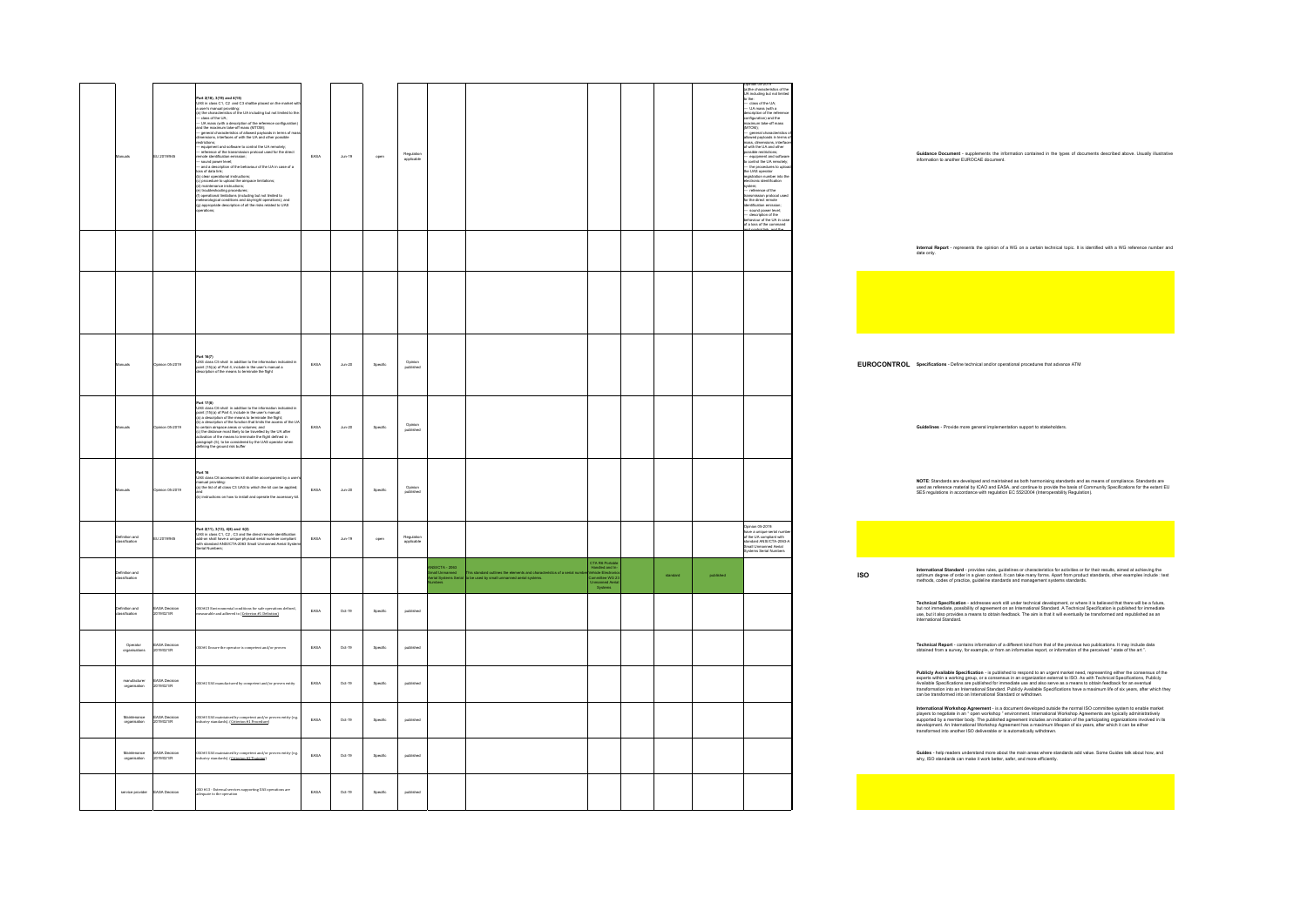| tanuals                                                     | EU 2019/945                 | Part 2/18), 3/19) and 4/15)<br>UAS in class C1, C2 and C3 shallbe placed on the market with<br>a user's manual providing:<br>a) the characteristics of the UA including but not limited to the<br>— class of the UA:<br>— class of the UA;<br>— UA mass (with a description of the reference configuration)<br>— UA maximum take-off mass (MTOM);<br>— general characteristics of with the UA and other possible<br>dimensions, interfaces of with the UA and othe<br>estrictions<br>www.www.<br>— equipment and software to control the UA remotely;<br>— reference of the transmission protocol used for the direct<br>emote identification emission;<br>-sound power level;<br>- and a description of the behaviour of the UA in case of a<br>loss of data link;<br>(b) clear operational instructions;<br>(c) procedure to upload the airspace limitations;<br>(d) maintenance instructions;<br>(e) troubleshooting procedures;<br>(f) perstricmal limitations (including but not limited to<br>meteorological conditions and day/night operations); and<br>(g) appropriate description of all the risks related to UAS | EASA | $Ann-19$           | open     | Regulation<br>applicable |                                                                    |                                                                                           |                                                                                                          |          |           | Opmon 05-2019<br>(a)the characteristics of the<br>UA including but not limited<br>o the:<br>o the:<br>— class of the UA;<br>— UA mass (with a<br>description of the reference<br>configuration) and the<br>maximum take-off mass<br>maximum ueve-ori mass<br>(MTOM);<br>— general characteristics of<br>allowed payloads in terms of<br>mass, dimensions, interface<br>of with the UA and other<br>casible restrictions:<br>- equipment and softwar<br>to control the UA remotely;<br>- the procedures to uploas<br>registration number into the<br>electronic identification<br>system;<br>reference of the<br>transmission protocol user<br>for the direct remote<br><b>Intification emission:</b><br>sound power level;<br>description of the<br>haviour of the UA in cas<br>of a loss of the command<br>and control link, and the |            |
|-------------------------------------------------------------|-----------------------------|-----------------------------------------------------------------------------------------------------------------------------------------------------------------------------------------------------------------------------------------------------------------------------------------------------------------------------------------------------------------------------------------------------------------------------------------------------------------------------------------------------------------------------------------------------------------------------------------------------------------------------------------------------------------------------------------------------------------------------------------------------------------------------------------------------------------------------------------------------------------------------------------------------------------------------------------------------------------------------------------------------------------------------------------------------------------------------------------------------------------------------|------|--------------------|----------|--------------------------|--------------------------------------------------------------------|-------------------------------------------------------------------------------------------|----------------------------------------------------------------------------------------------------------|----------|-----------|---------------------------------------------------------------------------------------------------------------------------------------------------------------------------------------------------------------------------------------------------------------------------------------------------------------------------------------------------------------------------------------------------------------------------------------------------------------------------------------------------------------------------------------------------------------------------------------------------------------------------------------------------------------------------------------------------------------------------------------------------------------------------------------------------------------------------------------|------------|
|                                                             |                             |                                                                                                                                                                                                                                                                                                                                                                                                                                                                                                                                                                                                                                                                                                                                                                                                                                                                                                                                                                                                                                                                                                                             |      |                    |          |                          |                                                                    |                                                                                           |                                                                                                          |          |           |                                                                                                                                                                                                                                                                                                                                                                                                                                                                                                                                                                                                                                                                                                                                                                                                                                       |            |
|                                                             |                             |                                                                                                                                                                                                                                                                                                                                                                                                                                                                                                                                                                                                                                                                                                                                                                                                                                                                                                                                                                                                                                                                                                                             |      |                    |          |                          |                                                                    |                                                                                           |                                                                                                          |          |           |                                                                                                                                                                                                                                                                                                                                                                                                                                                                                                                                                                                                                                                                                                                                                                                                                                       |            |
| Aanualis                                                    | pinion 05-2019              | Part 16(7)<br>UAS class CS shall in addition to the information indicated in<br>point (15)(a) of Part 4, include in the user's manual a<br>description of the means to terminate the flight                                                                                                                                                                                                                                                                                                                                                                                                                                                                                                                                                                                                                                                                                                                                                                                                                                                                                                                                 | EASA | $_{\text{Jun-20}}$ | Specific | Opinion<br>published     |                                                                    |                                                                                           |                                                                                                          |          |           |                                                                                                                                                                                                                                                                                                                                                                                                                                                                                                                                                                                                                                                                                                                                                                                                                                       | EU         |
| Manuals                                                     | Opinion 05-2019             | Part 17(8)<br>$(3)$ (data CS shall in addition to the information indicated in the<br>UAS (data CS shall in addition to the unit manual:<br>Seni (5)(a) of Part 4, include in the users manual:<br>(b)) a description of the landscen                                                                                                                                                                                                                                                                                                                                                                                                                                                                                                                                                                                                                                                                                                                                                                                                                                                                                       | EASA | $_{\text{Jun-20}}$ | Specific | Opinion<br>published     |                                                                    |                                                                                           |                                                                                                          |          |           |                                                                                                                                                                                                                                                                                                                                                                                                                                                                                                                                                                                                                                                                                                                                                                                                                                       |            |
| Aanuala                                                     | Opinion 05-2019             | <b>Part 16</b><br>UAS class C6 accessories kit shall be accompanied by a user<br>manual providing:<br>(a) the list of all class C3 UAS to which the kit can be applied;<br>nu<br>) instructions on how to install and operate the accessory kit                                                                                                                                                                                                                                                                                                                                                                                                                                                                                                                                                                                                                                                                                                                                                                                                                                                                             | EASA | $_{\text{Jun-20}}$ | Specific | Opinion<br>published     |                                                                    |                                                                                           |                                                                                                          |          |           |                                                                                                                                                                                                                                                                                                                                                                                                                                                                                                                                                                                                                                                                                                                                                                                                                                       |            |
| <b>Infinition</b> and                                       | EU 2019/945                 | Part 2(11), 3(13), 4(8) and 8(2)<br>UAS in class C1, C2 , C3 and the direct remote identification<br>add-on shall have a unique physical serial number compliant<br>with standard ANSICTA-2063 Small Unmanned Aerial System<br>Serial Numb                                                                                                                                                                                                                                                                                                                                                                                                                                                                                                                                                                                                                                                                                                                                                                                                                                                                                  | EASA | $Ann-19$           | open     | Regulation<br>applicable |                                                                    |                                                                                           |                                                                                                          |          |           | Philadelphian<br>rre a unique serial numi<br>.<br>Isandard ANSI/CTA-2063-A<br>santas Antonio Inviccio<br>stems Serial Numbers                                                                                                                                                                                                                                                                                                                                                                                                                                                                                                                                                                                                                                                                                                         |            |
| Definition and<br>classification                            |                             |                                                                                                                                                                                                                                                                                                                                                                                                                                                                                                                                                                                                                                                                                                                                                                                                                                                                                                                                                                                                                                                                                                                             |      |                    |          |                          | <b>ISUCTA - 2063</b><br>voco IIX - 2005<br>mail Unmanned<br>imhers | his standard outlines the elements and chara<br>be used by small unmanned aerial systems. | CTA R6 Portable<br>Handled and In-<br>Vehicle Electronic<br>Committee WG 21<br>Unmanned Aeria<br>Systems | standard | published |                                                                                                                                                                                                                                                                                                                                                                                                                                                                                                                                                                                                                                                                                                                                                                                                                                       | <b>ISC</b> |
| Definition and<br>dassification                             | EASA Decision<br>2019/021/R | $050\#23$ Environmental conditions for safe operations defined,<br>measurable and adhered to $(\underline{C}$ riterion #1 Defintion),                                                                                                                                                                                                                                                                                                                                                                                                                                                                                                                                                                                                                                                                                                                                                                                                                                                                                                                                                                                       | EASA | $Oct-19$           | Specific | published                |                                                                    |                                                                                           |                                                                                                          |          |           |                                                                                                                                                                                                                                                                                                                                                                                                                                                                                                                                                                                                                                                                                                                                                                                                                                       |            |
| Operator<br>organisations                                   | EASA Decision<br>2019/021/R | OSO#1 Ensure the operator is competent and/or proven                                                                                                                                                                                                                                                                                                                                                                                                                                                                                                                                                                                                                                                                                                                                                                                                                                                                                                                                                                                                                                                                        | EASA | $Oct-19$           | Specific | published                |                                                                    |                                                                                           |                                                                                                          |          |           |                                                                                                                                                                                                                                                                                                                                                                                                                                                                                                                                                                                                                                                                                                                                                                                                                                       |            |
| $\begin{array}{c} manafacturer \\ organization \end{array}$ | EASA Decision<br>2019/021/R | 50#2 UAS manufactured by competent and/or proven entity                                                                                                                                                                                                                                                                                                                                                                                                                                                                                                                                                                                                                                                                                                                                                                                                                                                                                                                                                                                                                                                                     | EASA | Oct-19             | Specific | published                |                                                                    |                                                                                           |                                                                                                          |          |           |                                                                                                                                                                                                                                                                                                                                                                                                                                                                                                                                                                                                                                                                                                                                                                                                                                       |            |
| Maintenance<br>organisation                                 | EASA Decision<br>2019/021/R | .<br>150#3 UAS maintained by competent and/or proven entity (e.g.<br>ndastry standards). ( <u>Criterion #1 Procedure</u> )                                                                                                                                                                                                                                                                                                                                                                                                                                                                                                                                                                                                                                                                                                                                                                                                                                                                                                                                                                                                  | EASA | $Oct-19$           | Specific | published                |                                                                    |                                                                                           |                                                                                                          |          |           |                                                                                                                                                                                                                                                                                                                                                                                                                                                                                                                                                                                                                                                                                                                                                                                                                                       |            |
| Maintenance<br>organisation                                 | EASA Decision<br>2019/021/R | 050#3 UAS maintained by competent and/or proven entity (e.g.<br>industry standards). ( <u>Criterion #2 Training</u> )                                                                                                                                                                                                                                                                                                                                                                                                                                                                                                                                                                                                                                                                                                                                                                                                                                                                                                                                                                                                       | EASA | $Oct-19$           | Specific | published                |                                                                    |                                                                                           |                                                                                                          |          |           |                                                                                                                                                                                                                                                                                                                                                                                                                                                                                                                                                                                                                                                                                                                                                                                                                                       |            |
| service provider EASA Decision                              |                             | $050\pm 13$ - External services supporting UAS operations are<br>lequate to the operation                                                                                                                                                                                                                                                                                                                                                                                                                                                                                                                                                                                                                                                                                                                                                                                                                                                                                                                                                                                                                                   | EASA | Oct-19             | Specific | published                |                                                                    |                                                                                           |                                                                                                          |          |           |                                                                                                                                                                                                                                                                                                                                                                                                                                                                                                                                                                                                                                                                                                                                                                                                                                       |            |

**Guidance Document** - supplements the information contained in the types of documents described above. Usually illustrative information to another EUROCAE document.

**Internal <b>Report** - represents the opinion of a WG on a certain technical topic. It is identified with a WG reference number and<br>date only.

**EUROCONTROL Specifications** - Define technical and/or operational procedures that advance ATM

**Guidelines** - Provide more general implementation support to stakeholders.

**NOTE:** Standards are developed and maintained as both harmonising standards and as means of compliance. Standards are<br>used as reference material by ICAO and EASA, and continue to provide the basis of Community Specificati

**International Standard** - provides rules, guidelines or characleristics for activities or for their results, aimed at achieving the<br>optimum degree of order in a given context. It can take many forms. Apart from product st

Technical Specification - addresses work still under technical development, or where it is believed that there will be a future,<br>but not immediate, possibility of agreement on an International Standard. A Technical Specifi

Technical Report - contains information of a different kind from that of the previous two publications. It may include data<br>obtained from a survey, for example, or from an informative report, or information of the perceive

Publicity Available Specification - is published to resport to an urgent market need, representing elther the consensus of the<br>experts within a working prosp, or a consensus in an organization esternal to ISO. As with Tech

International Workshop Agreement - is a document developed outside the normal SO committee system to enable market<br>players to negotiate in an "open workshop" environment. International Workshop Agreements are typically adm

Guides - help readers understand more about the main areas where standards add value. Some Guides talk about how, and<br>why, ISO standards can make it work better, safer, and more efficiently.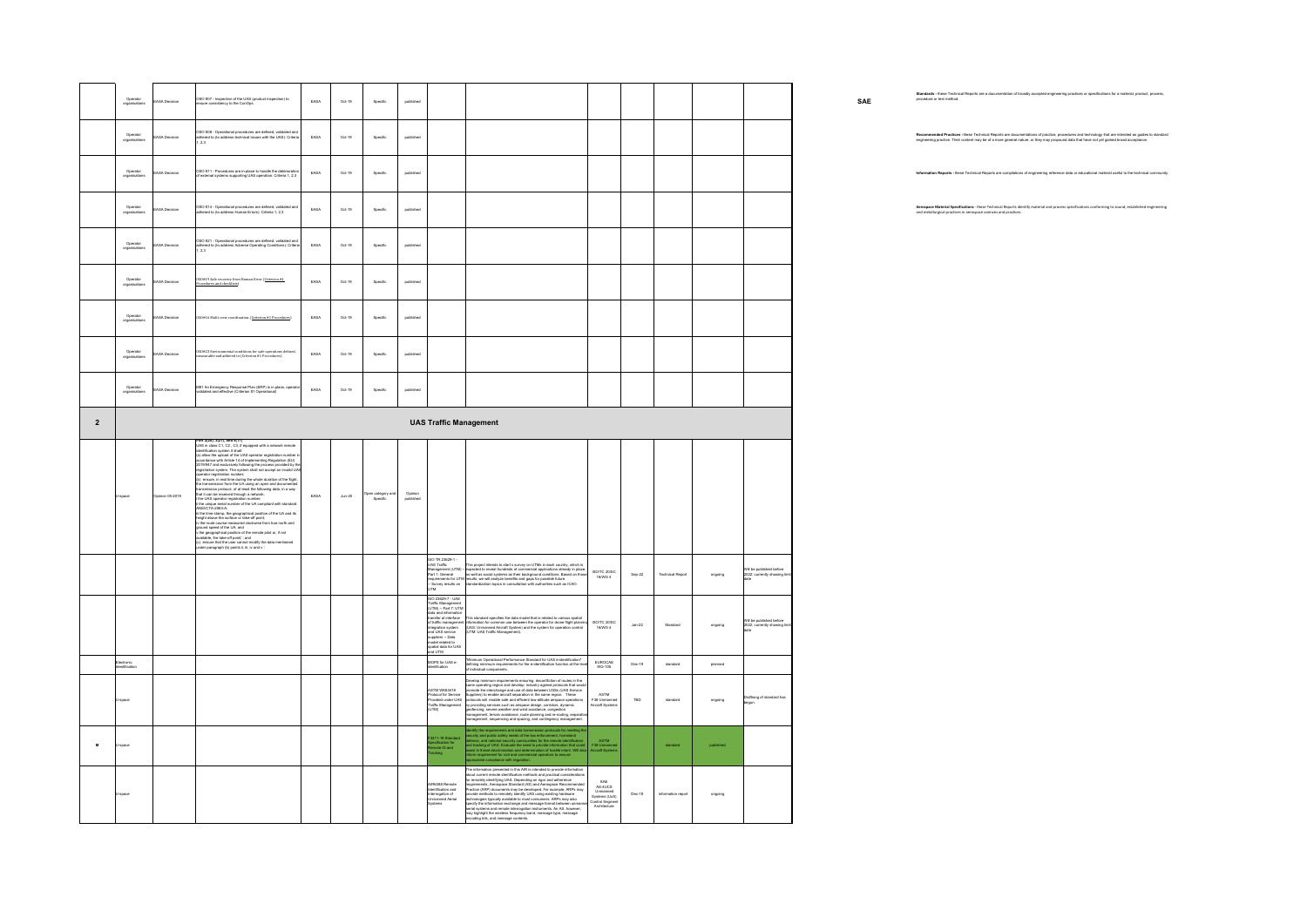|                | Operator<br>organisations        | EASA Decision | OSO #07 - Inspection of the UAS (product inspection) to<br>ure consistency to the ConOps                                                                                                                                                                                                                                                                                                                                                                                                                                                                                                                                                                                                                                                                                                                                                                                                                                                                                                                                                                                                                                                                                                                                                                                                                                                                                                                            | EASA | $Oct-19$           | Specific                                           | published            |                                                                                                                                                                                                                                                                                                                                                                                                                                                                                                                                               |                                                                                     |                         |           |                                                              | SAE | Standards - these Technical Reports are a documentation of broadly accepted engineering practices or specifications for a material, product, process,                                                                             |
|----------------|----------------------------------|---------------|---------------------------------------------------------------------------------------------------------------------------------------------------------------------------------------------------------------------------------------------------------------------------------------------------------------------------------------------------------------------------------------------------------------------------------------------------------------------------------------------------------------------------------------------------------------------------------------------------------------------------------------------------------------------------------------------------------------------------------------------------------------------------------------------------------------------------------------------------------------------------------------------------------------------------------------------------------------------------------------------------------------------------------------------------------------------------------------------------------------------------------------------------------------------------------------------------------------------------------------------------------------------------------------------------------------------------------------------------------------------------------------------------------------------|------|--------------------|----------------------------------------------------|----------------------|-----------------------------------------------------------------------------------------------------------------------------------------------------------------------------------------------------------------------------------------------------------------------------------------------------------------------------------------------------------------------------------------------------------------------------------------------------------------------------------------------------------------------------------------------|-------------------------------------------------------------------------------------|-------------------------|-----------|--------------------------------------------------------------|-----|-----------------------------------------------------------------------------------------------------------------------------------------------------------------------------------------------------------------------------------|
|                | Operator<br>organisations        | ASA Decision  | OSO #08 - Operational procedures are defined, validated and<br>adhered to (to address technical issues with the UAS): Criteria<br>1, 2,3                                                                                                                                                                                                                                                                                                                                                                                                                                                                                                                                                                                                                                                                                                                                                                                                                                                                                                                                                                                                                                                                                                                                                                                                                                                                            | EASA | $Oct-19$           | $\operatorname{\mathsf{Spec}}\nolimits\mathsf{fc}$ | published            |                                                                                                                                                                                                                                                                                                                                                                                                                                                                                                                                               |                                                                                     |                         |           |                                                              |     | Recommended Practices -these Technical Reports are documentations of practice, procedures and technology that are intended as guides to standar<br>engineering practice. Their content may be of a more general nature, or they m |
|                | Operator<br>organisations        | EASA Decision | OSO #11 - Procedures are in-place to handle the deterioration<br>of external systems supporting UAS operation: Criteria 1, 2,3                                                                                                                                                                                                                                                                                                                                                                                                                                                                                                                                                                                                                                                                                                                                                                                                                                                                                                                                                                                                                                                                                                                                                                                                                                                                                      | EASA | $Oct-19$           | Specific                                           | published            |                                                                                                                                                                                                                                                                                                                                                                                                                                                                                                                                               |                                                                                     |                         |           |                                                              |     | Information Reports - these Technical Reports are compilations of engineering reference data or educational material useful to the technical communit                                                                             |
|                | Operator<br>organisations        | ASA Decision  | .<br>OSO #14 - Operational procedures are defined, valida<br>adhered to (to address Human Errors): Criteria 1, 2,3<br>ated and                                                                                                                                                                                                                                                                                                                                                                                                                                                                                                                                                                                                                                                                                                                                                                                                                                                                                                                                                                                                                                                                                                                                                                                                                                                                                      | EASA | $Oct-19$           | Specific                                           | published            |                                                                                                                                                                                                                                                                                                                                                                                                                                                                                                                                               |                                                                                     |                         |           |                                                              |     | Aerospace Material Specifications - these Technical Reports identify material and process specifications conforming to sound, established engineering<br>and metallurgical practices in aerospace sciences and practices.         |
|                | Operator<br>organisations        | BASA Decision | OSO #21 - Operational procedures are defined, validated and<br>adhered to (to address Adverse Operating Conditions): Criteri<br>1, 2,3                                                                                                                                                                                                                                                                                                                                                                                                                                                                                                                                                                                                                                                                                                                                                                                                                                                                                                                                                                                                                                                                                                                                                                                                                                                                              | EASA | Oct-19             | Specific                                           | published            |                                                                                                                                                                                                                                                                                                                                                                                                                                                                                                                                               |                                                                                     |                         |           |                                                              |     |                                                                                                                                                                                                                                   |
|                | Operator<br>organisations        | EASA Decision | ISO#19 Safe recovery from Human Error ( <u>Criterion #1.</u><br>Yocedures and checklists)                                                                                                                                                                                                                                                                                                                                                                                                                                                                                                                                                                                                                                                                                                                                                                                                                                                                                                                                                                                                                                                                                                                                                                                                                                                                                                                           | EASA | Oct-19             | Specific                                           | published            |                                                                                                                                                                                                                                                                                                                                                                                                                                                                                                                                               |                                                                                     |                         |           |                                                              |     |                                                                                                                                                                                                                                   |
|                | <b>Operator</b><br>organisations | ASA Decision  | 0816 Multi crew coordination. (Criterion #1 Procedures)                                                                                                                                                                                                                                                                                                                                                                                                                                                                                                                                                                                                                                                                                                                                                                                                                                                                                                                                                                                                                                                                                                                                                                                                                                                                                                                                                             | EASA | $Oct-19$           | Specific                                           | published            |                                                                                                                                                                                                                                                                                                                                                                                                                                                                                                                                               |                                                                                     |                         |           |                                                              |     |                                                                                                                                                                                                                                   |
|                | Operator<br>organisations        | BASA Decision | 050#23 Environmental conditions for safe operations defined,<br>measurable and adhered to (Criterion #1 Procedures)                                                                                                                                                                                                                                                                                                                                                                                                                                                                                                                                                                                                                                                                                                                                                                                                                                                                                                                                                                                                                                                                                                                                                                                                                                                                                                 | EASA | $Oct-19$           | Specific                                           | published            |                                                                                                                                                                                                                                                                                                                                                                                                                                                                                                                                               |                                                                                     |                         |           |                                                              |     |                                                                                                                                                                                                                                   |
|                | Operator<br>organisations        | EASA Decision | M#1 An Emergency Response Plan (ERP) is in place, open<br>idated and effective (Criterion #1 Operational)                                                                                                                                                                                                                                                                                                                                                                                                                                                                                                                                                                                                                                                                                                                                                                                                                                                                                                                                                                                                                                                                                                                                                                                                                                                                                                           | EASA | $Oct-19$           | Specific                                           | published            |                                                                                                                                                                                                                                                                                                                                                                                                                                                                                                                                               |                                                                                     |                         |           |                                                              |     |                                                                                                                                                                                                                                   |
| $\overline{2}$ |                                  |               |                                                                                                                                                                                                                                                                                                                                                                                                                                                                                                                                                                                                                                                                                                                                                                                                                                                                                                                                                                                                                                                                                                                                                                                                                                                                                                                                                                                                                     |      |                    |                                                    |                      | <b>UAS Traffic Management</b>                                                                                                                                                                                                                                                                                                                                                                                                                                                                                                                 |                                                                                     |                         |           |                                                              |     |                                                                                                                                                                                                                                   |
|                | pace                             | inion 05-2019 | Part 2(20), 3(21), and 4(17)<br>UAS in class C1, C2 , C3, if equipped with a network remote<br>identification system it shall:<br>(a) allow the upload of the UAS operator registration number is<br>accordance with Article 14 of Implementing Regulation (EU)<br>2019/947 and exclusively following the process provided by th<br>registration system. The system shall not accept an invalid UA<br>erator registration number;<br>  ensure, in real time during the whole duration of the flight,<br>the transmission from the LIA using an open and documented<br>transmission protocol, of at least the following data, in a way<br>that it can be received through a network;<br>that it can be received through a network;<br>i the UAS operator registration number;<br>ii the unique serial number of the UA compliant with standard<br>ANSI/CTA-2063-A;<br>wears<br>in the steme stamp, the geographical position of the UA and its<br>height above the surface or take-off point;<br>iv the route course measured dockwise from true north and<br>with exotic course measured dockwise from true nor<br>or university and the UA) and<br>interval appears of the UA) and<br>appears appear of the second points of the remote pilot or, if not<br>available, the take-off points," and<br>(c) ensure that the user cannot modify the data mentione<br>.<br>Ider paragraph (b) points ii, iii, iv and v.' | EASA | $_{\text{Ann-}20}$ | Open category and<br>Specific                      | Opinion<br>published |                                                                                                                                                                                                                                                                                                                                                                                                                                                                                                                                               |                                                                                     |                         |           |                                                              |     |                                                                                                                                                                                                                                   |
|                |                                  |               |                                                                                                                                                                                                                                                                                                                                                                                                                                                                                                                                                                                                                                                                                                                                                                                                                                                                                                                                                                                                                                                                                                                                                                                                                                                                                                                                                                                                                     |      |                    |                                                    |                      | SO TR 23629-1 -<br>AS Traffic<br>TR20624-1-<br>TR20624-1-This project intends to start is survey on UTMs in each country, which is<br>nagement (UTM) – expected to reveal functions of commencial applications already in place,<br>it : Ceneral  — sa well as social sy<br>Part 1: General<br>Survey results on                                                                                                                                                                                                                              | ISO/TC 20/SC<br>$Sap-22$<br>16/WG 4                                                 | <b>Technical Report</b> | ongoing   | Will be published before<br>2022; currently showing limited  |     |                                                                                                                                                                                                                                   |
|                |                                  |               |                                                                                                                                                                                                                                                                                                                                                                                                                                                                                                                                                                                                                                                                                                                                                                                                                                                                                                                                                                                                                                                                                                                                                                                                                                                                                                                                                                                                                     |      |                    |                                                    |                      | ISO 23629-7 - UAS<br>Fraffic Management<br>UTM) -- Part 7: UTM<br>(orm) = rance in constant<br>data and information<br>transfer at interface<br>of transportion system<br>and UAS service<br>suppliers -- Data<br>model related to<br>spatial data for UAS<br>and UTM<br>This standard specifies the data model that is related to various spatial<br>information for common use between the operator for drone flight planning<br>(UAS: Unmanned Aircraft System) and the system for operation control<br>(UTM:                              | ISO/TC 20/SC<br>16/WG 4<br>$Jan-22$                                                 | Standard                | ongoing   | .<br>Will be published before<br>2022; currently showing lin |     |                                                                                                                                                                                                                                   |
|                | iectronic<br>entificatio         |               |                                                                                                                                                                                                                                                                                                                                                                                                                                                                                                                                                                                                                                                                                                                                                                                                                                                                                                                                                                                                                                                                                                                                                                                                                                                                                                                                                                                                                     |      |                    |                                                    |                      | *Minimum Operational Performance Standard for UAS e-identification*<br>defining minimum requirements for the e-identification function at the level<br>of individual components.<br>OPS for UAS e-<br>ifcation                                                                                                                                                                                                                                                                                                                                | EUROCAE<br>$Dec-19$<br>WG-105                                                       | standard                | planned   |                                                              |     |                                                                                                                                                                                                                                   |
|                | -space                           |               |                                                                                                                                                                                                                                                                                                                                                                                                                                                                                                                                                                                                                                                                                                                                                                                                                                                                                                                                                                                                                                                                                                                                                                                                                                                                                                                                                                                                                     |      |                    |                                                    |                      | $\label{eq:converg} \begin{minipage}[t]{0.9\textwidth} \begin{tabular}{lcccc} \textbf{Sow} \textbf{Weyl} & \textbf{intra} \textbf{Weyl} & \textbf{intra} \textbf{Weyl} & \textbf{intra} \textbf{Weyl} \\ \textbf{intra} \textbf{Weyl} & \textbf{intra} \textbf{Weyl} & \textbf{intra} \textbf{Weyl} & \textbf{intra} \textbf{Weyl} \\ \textbf{intra} \textbf{Weyl} & \textbf{intra} \textbf{Weyl} & \textbf{intra} \textbf{Weyl} & \textbf{intra} \textbf$<br>STM WK63418<br>Protocol for Service<br>Provided under UAS<br>Fraffic Management | ASTM<br>F38 Unmanned<br>Aircraft Systems<br>TBD                                     | standard                | ongoing   | Draftiong of standard has                                    |     |                                                                                                                                                                                                                                   |
| M              | -space                           |               |                                                                                                                                                                                                                                                                                                                                                                                                                                                                                                                                                                                                                                                                                                                                                                                                                                                                                                                                                                                                                                                                                                                                                                                                                                                                                                                                                                                                                     |      |                    |                                                    |                      | entify the requirements and data transmission protocols for meeting the<br>country and public safety meeting communities for the method method and<br>reference the material security communities for the remote identification<br>of t<br>411-19 Standar<br>scification for<br>mote ID and                                                                                                                                                                                                                                                   | ASTM<br>F38 Unmanne<br>Niscraft System                                              | standard                | published |                                                              |     |                                                                                                                                                                                                                                   |
|                | J-space                          |               |                                                                                                                                                                                                                                                                                                                                                                                                                                                                                                                                                                                                                                                                                                                                                                                                                                                                                                                                                                                                                                                                                                                                                                                                                                                                                                                                                                                                                     |      |                    |                                                    |                      | The information presented in this AIR is intended to provide information<br>The information passential in this ARIs is interacted to possible information and about current numerical sets fluctuation in the ARIs interaction of the material properties of the sets and the sets and the sets are inter<br>R6388 Remote<br>ntification and<br>arrogation of<br>ی سب pri<br>Inmanned Aerial<br>Istems                                                                                                                                        | AS-4UCS<br>Unmanned<br>Systems (UxS)<br>Control Segment<br>Architecture<br>$Dec-18$ | information repor       | ongoing   |                                                              |     |                                                                                                                                                                                                                                   |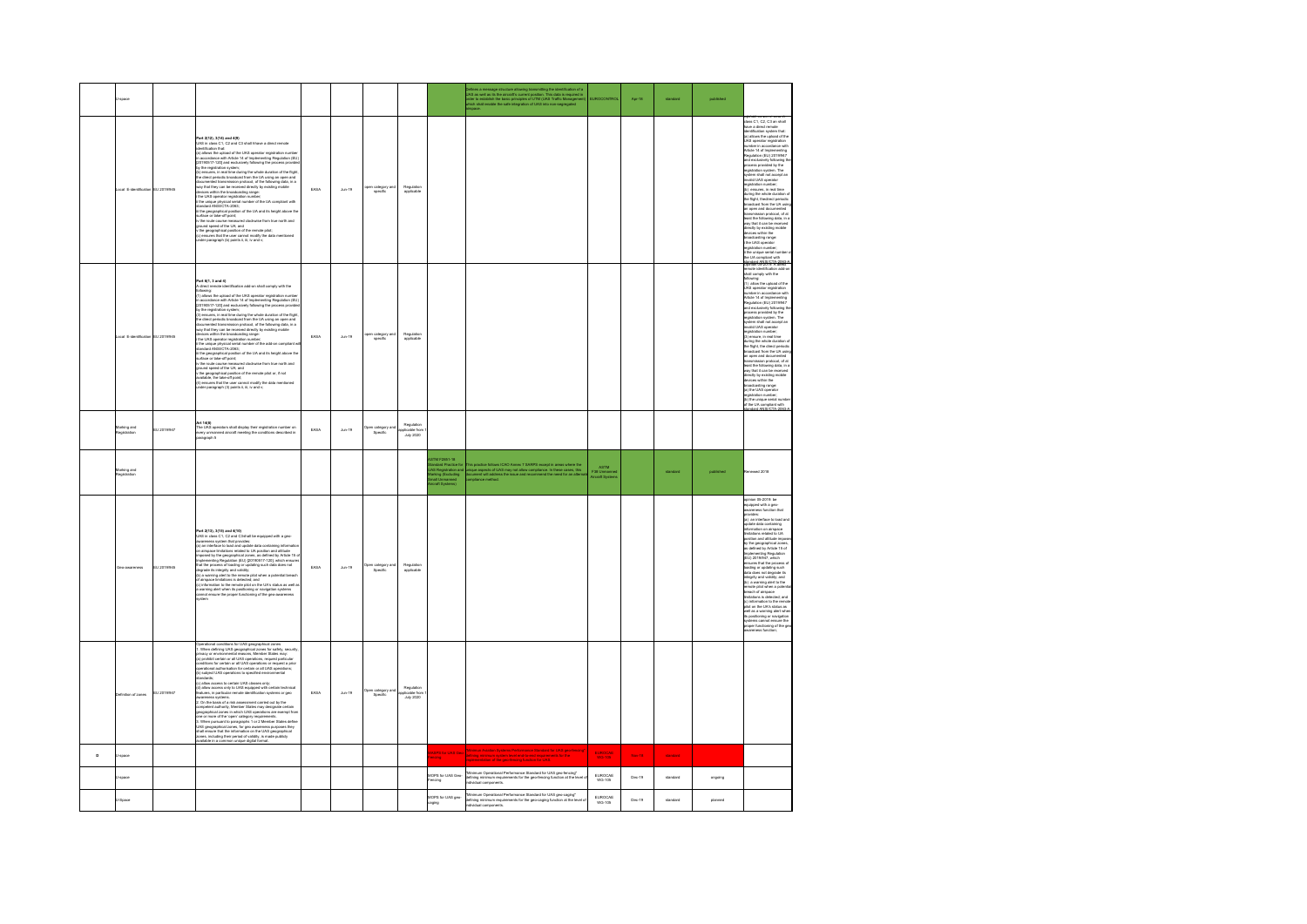|              |                                  |             |                                                                                                                                                                                                                                                                                                                                                                                                                                                                                                                                                                                                                                                                                                                                                                                                                                                                                    |      |                    |                               |                                       |                                                                                                                | Defines a message structure allowing transmitting the identification of a<br>JAS as well as its the aircraft's current position. This data is required in<br>order to establish the basic principles of UTM (UAS Traffic Management<br> | <b>UROCONTRO</b>                     | Apr-18        | standard | published |                                                                                                                                                                                                                                                                                                                                                                                                                                                                                                                                                                                                                                                                                                                                                                                                                                                                                                                                                                                                                                             |
|--------------|----------------------------------|-------------|------------------------------------------------------------------------------------------------------------------------------------------------------------------------------------------------------------------------------------------------------------------------------------------------------------------------------------------------------------------------------------------------------------------------------------------------------------------------------------------------------------------------------------------------------------------------------------------------------------------------------------------------------------------------------------------------------------------------------------------------------------------------------------------------------------------------------------------------------------------------------------|------|--------------------|-------------------------------|---------------------------------------|----------------------------------------------------------------------------------------------------------------|-----------------------------------------------------------------------------------------------------------------------------------------------------------------------------------------------------------------------------------------|--------------------------------------|---------------|----------|-----------|---------------------------------------------------------------------------------------------------------------------------------------------------------------------------------------------------------------------------------------------------------------------------------------------------------------------------------------------------------------------------------------------------------------------------------------------------------------------------------------------------------------------------------------------------------------------------------------------------------------------------------------------------------------------------------------------------------------------------------------------------------------------------------------------------------------------------------------------------------------------------------------------------------------------------------------------------------------------------------------------------------------------------------------------|
|              | cal E-identification EU 2019/945 |             | hart 2(12), 3(14) and 4(9)<br>JAS in class C1, C2 and C3 islail hhave a direct remote<br>sentification that:<br>a) allows the uplead of the UAS operator registration number<br>a) allows the uplead of the UAS operator registration (EU)<br>20105017-1201 and enclosively following the material process provides a property of the fight. The space of the space of the space of the space of the space of the space of the space of the space of the space of the space<br>orface of two----,<br>v the route course measured doctives- ---<br>ground speed of the UA; and<br>---------------- position of the remote pilot;<br>room spewer will allow the memote pilot;<br>the geographical position of the remote pilot;<br>c) ensures that the user cannot modify the data mentioned<br>under paragraph (b) points ii, iii, iv and v;                                        | EASA | $_{\text{Ann-19}}$ | pen category an<br>specific   | Regulation<br>applicable              |                                                                                                                |                                                                                                                                                                                                                                         |                                      |               |          |           | Upinion US-2019: UAS in<br>diass C1, C2, C3 an shall<br>vead<br>identification system that:<br>(a) allows the upload of the<br>UAS operator registration<br>number in accordance with<br>Article 14 of Implementing<br>Regulation (EU) 2019/947<br>and exclusively following the<br>process provided by the<br>registration system. The<br>ystem shall not accept an<br>realid UAS operator<br>vaintention cumber<br>armains case operator<br>signification member;<br>(b) ensures, in real time<br>during the whole duration of<br>the flight, the<br>direct periodic duration of<br>the digital members of the significant<br>signification proceed that the significa<br>arricus wirin ine<br>broadcasting range:<br>registration number;<br>.<br>The unique serial number<br>he UA compliant with<br>000169007420834                                                                                                                                                                                                                    |
|              | cal E-identification EU 2019/945 |             | Part 6/1, 3 and 4)<br>direct remote identification add-on shall comply with the<br>illowing:<br>1) allows the upload of the UAS operator registration number<br>n accordance with Article 14 of Implementing Regulation (EU)<br>20190517-120] and exclusively following the process provider<br>y the registration system:<br>3) ensures, in real time during the whole duration of the flight,<br>.<br>In direct periodic broadcast from the UA using an open and<br>focumented transmission protocol, of the following data, in a<br>way that they can be received directly by existing mobile<br>vices within the broadcasting range:<br>devices within the transdoction<br>parameter registration requires the sub-orientation in the sub-orientation<br>in the subsequence registration requires of the add-orientation at<br>the subsequence of the subsequence of the subse | EASA | $_{\text{Jun-19}}$ | pen category an<br>specific   | Regulation<br>applicable              |                                                                                                                |                                                                                                                                                                                                                                         |                                      |               |          |           | note identification add-on<br>wit diw vigmos lark<br>following:<br>(1) allow the upload of the<br>UAS operator registration<br>number in accordance with<br>Article 14 of Implementing<br>Regulation (EU) 2019/947<br>and exclusively following th<br>process provided by the<br>registration system. The<br>system shall not accept an<br>alid UAS operator<br>stration number;<br>registration rumber;<br>(3) ensure, in real films<br>claring the whole duration of<br>the fight, the direct periodic<br>strondcast from the UA using<br>an open and documented<br>transmission probably<br>the stration of all leads the broadcast<br><br>broadcasting range:<br>(a) the UAS operator<br>gistration number;<br>i) the unique serial number<br>the UA compliant with<br>redord ANSWOTA 2003 A                                                                                                                                                                                                                                            |
|              | Marking and<br>noits/sige        | EU 2019/947 | Art 14(8)<br>The UAS operators shall display their registration number on<br>very unmanned aircraft meeting the conditions described in<br>aragraph 5                                                                                                                                                                                                                                                                                                                                                                                                                                                                                                                                                                                                                                                                                                                              | EASA | $_{\text{Jun-19}}$ | Open category and<br>Specific | Regulation<br>plicable from           |                                                                                                                |                                                                                                                                                                                                                                         |                                      |               |          |           |                                                                                                                                                                                                                                                                                                                                                                                                                                                                                                                                                                                                                                                                                                                                                                                                                                                                                                                                                                                                                                             |
|              | darking and<br>egistration       |             |                                                                                                                                                                                                                                                                                                                                                                                                                                                                                                                                                                                                                                                                                                                                                                                                                                                                                    |      |                    |                               |                                       | STM F2851-18<br>tandard Practice for<br>IAS Registration an<br>aking (Excluding<br>tall Unmanned<br>volt River | This practice follows ICAO Aenex 7 SARPS except in areas where the<br>inique aspects of UAS may not allow compliance. In these cases, this<br>locument will address the issue and recommend the need for an attenua<br>conpliance metho | ASTM<br>F38 Unmann<br>Aircraft Syste |               | standard | published | enewed 2018                                                                                                                                                                                                                                                                                                                                                                                                                                                                                                                                                                                                                                                                                                                                                                                                                                                                                                                                                                                                                                 |
|              |                                  | 1120101045  | art 2/13), 3/15) and 4/10)<br>Part 2(13), 3(14) and 4(16)<br>West 2(14) and Calval be equipped with a good-measure<br>and you must consider the constraint procedure of the system of<br>an an interaction of the constraints of the constraints profit<br>and an i                                                                                                                                                                                                                                                                                                                                                                                                                                                                                                                                                                                                                | FARA | Ans.19             | Open category and<br>Specific | Regulation<br>applicable              |                                                                                                                |                                                                                                                                                                                                                                         |                                      |               |          |           | coinion 05-2019: be<br>iquipped with a geo-<br>awareness function that<br>wer-<br>provides:<br>grovides:<br>(a) an interface to load and<br>(a) an interface to load and<br>information on airspace<br>firmfaces relaxed to UA<br>position and altitude impose<br>$\frac{1}{2}$<br>$\frac{1}{2}$<br>$\frac{1}{2}$<br>$\frac{1}{2}$<br>$\frac{1}{2}$<br>$\frac{1}{2}$<br>$\$<br>convertible<br>raphical zon<br>by the geographical zones,<br>as defined by Article 15 of<br>Implementing Regulation<br>(EU) 2019/947, which<br>(EO) 20 IS/SH / WIRD<br>ensures that the process of<br>loading or updating such<br>data does not degrade its<br>www.usu.usu.usu.usu<br>integrity and validity; and<br>remote pilot when a poten<br>.<br>breach of airspace<br>imitations is detected; and<br>(c) information to the remot<br>.<br>Int nn the I là's status as<br>.<br>well as a warning alert where<br>its positioning or navigation<br>.<br>Items cannot ensure the<br>systems there.com<br>proper functioning of the ge<br>areness function |
|              | inition of zones                 | EU 2019/947 | itandards;<br>c) allow access to certain UAS classes only;<br>d) allow access only to UAS equipped with certain technical<br>isitures, in particular remote identification systems or geo<br>itureness systems.<br>2. On the basis of a risk<br>2. On the basis of a risk steadsmannt curricular out by the antializer constant output in the steady properties and in which UAS operations are examinated more and the interaction are examinated more on the "operational pr                                                                                                                                                                                                                                                                                                                                                                                                     | EASA | $_{\text{Ann-19}}$ | Jpen category a<br>Specific   | Regulatio<br>ninahia fir<br>July 2020 |                                                                                                                |                                                                                                                                                                                                                                         |                                      |               |          |           |                                                                                                                                                                                                                                                                                                                                                                                                                                                                                                                                                                                                                                                                                                                                                                                                                                                                                                                                                                                                                                             |
| $\mathbf{D}$ | -space                           |             |                                                                                                                                                                                                                                                                                                                                                                                                                                                                                                                                                                                                                                                                                                                                                                                                                                                                                    |      |                    |                               |                                       | SPS for UAS Ge                                                                                                 | Minimun Aviation Systems Performance Standard for UAS geo-fencing<br>naves for the                                                                                                                                                      | EUROCAE                              | <b>Nov-18</b> | standard |           |                                                                                                                                                                                                                                                                                                                                                                                                                                                                                                                                                                                                                                                                                                                                                                                                                                                                                                                                                                                                                                             |
|              | soace                            |             |                                                                                                                                                                                                                                                                                                                                                                                                                                                                                                                                                                                                                                                                                                                                                                                                                                                                                    |      |                    |                               |                                       | MOPS for UAS Geo-<br>encing                                                                                    | "Minimum Operational Performance Standard for UAS geo-fencing"<br>defining minimum requirements for the geo-fencing function at the level<br>Individual components.                                                                     | EUROCAE<br>WG-105                    | Dec-19        | standard | ongoing   |                                                                                                                                                                                                                                                                                                                                                                                                                                                                                                                                                                                                                                                                                                                                                                                                                                                                                                                                                                                                                                             |
|              | Solo                             |             |                                                                                                                                                                                                                                                                                                                                                                                                                                                                                                                                                                                                                                                                                                                                                                                                                                                                                    |      |                    |                               |                                       | MOPS for UAS geo-<br>aging                                                                                     | "Minimum Operational Performance Standard for UAS geo-caging"<br>defining minimum requirements for the geo-caging function at the level<br>individual components.                                                                       | <b>FUROCAE</b><br>WG-105             | Dec-19        | standard | planned   |                                                                                                                                                                                                                                                                                                                                                                                                                                                                                                                                                                                                                                                                                                                                                                                                                                                                                                                                                                                                                                             |
|              |                                  |             |                                                                                                                                                                                                                                                                                                                                                                                                                                                                                                                                                                                                                                                                                                                                                                                                                                                                                    |      |                    |                               |                                       |                                                                                                                |                                                                                                                                                                                                                                         |                                      |               |          |           |                                                                                                                                                                                                                                                                                                                                                                                                                                                                                                                                                                                                                                                                                                                                                                                                                                                                                                                                                                                                                                             |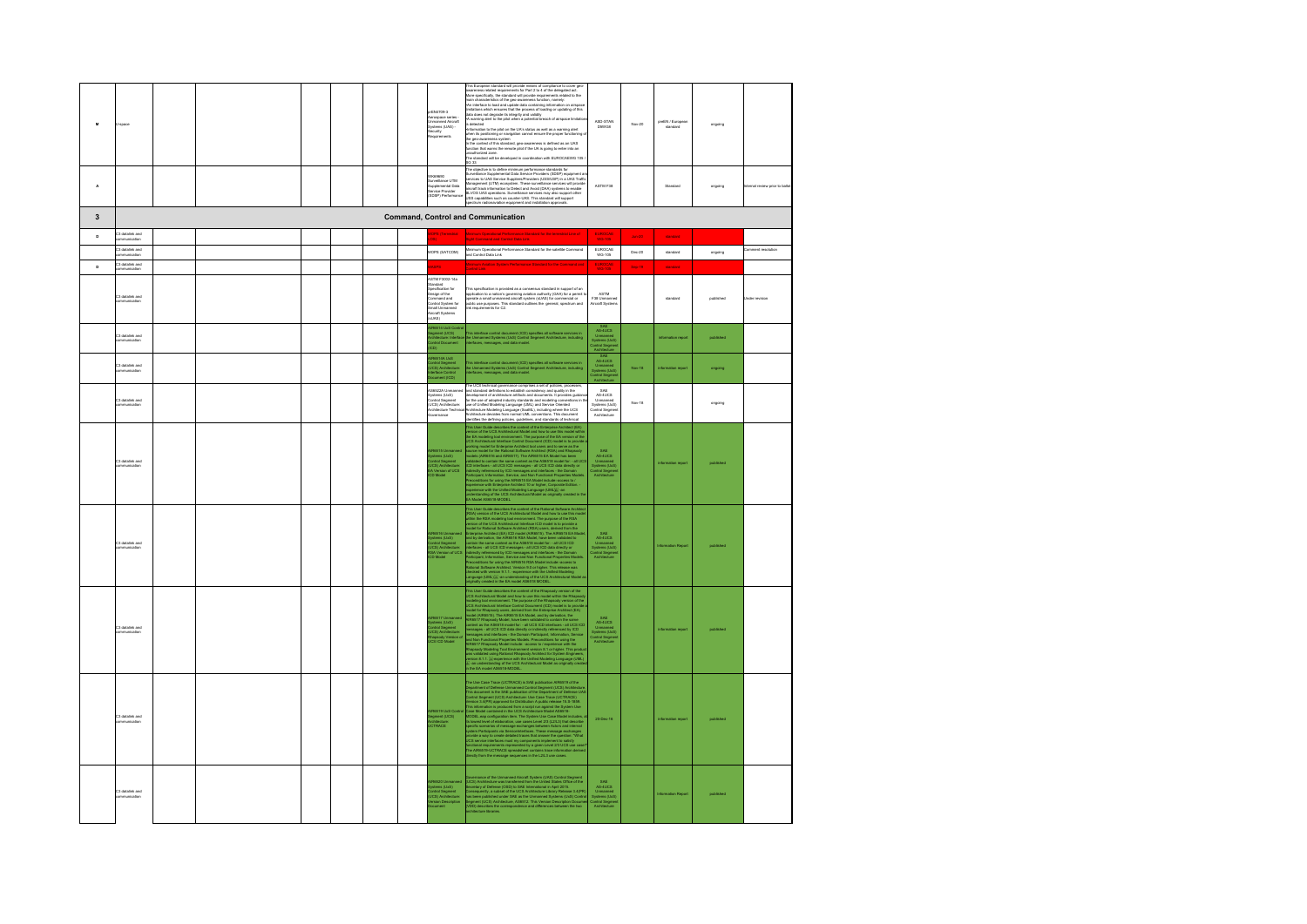| $\mathbf{M}$            |                                      |  |  |  | EN4709-3<br>ercopace series<br>Inmanned Aircraft<br>ystems (UAS) -<br>ecurity<br>Iequirements                                                                          | This European density in provide means of completes buyers to consider gives the complete property of the standard will be considered to the provide the property of the standard state of the given of the property of the s<br>is detected<br>reformation to the pilot on the UA's status as well as a warning allert<br>when its positioning or navigation cannot ensure the proper functioning<br>In geo-awareness system<br>undifficulted that standard, geo-awareness<br>.<br>The standard will be developed in coordination with EUROCAEWG 105<br>SG 33 | ARD-RTAN<br>D5WG8                                                              | Nov-20   | preEN / Europ<br>standard | ongoing   |                        |
|-------------------------|--------------------------------------|--|--|--|------------------------------------------------------------------------------------------------------------------------------------------------------------------------|----------------------------------------------------------------------------------------------------------------------------------------------------------------------------------------------------------------------------------------------------------------------------------------------------------------------------------------------------------------------------------------------------------------------------------------------------------------------------------------------------------------------------------------------------------------|--------------------------------------------------------------------------------|----------|---------------------------|-----------|------------------------|
| $\mathbb A$             |                                      |  |  |  | vototo<br>wkesesto<br>Surveillance UTM<br>Supplemental Data<br>SDSP) Performance<br>SDSP) Performance                                                                  | $\overline{263}$ Chinese is to define minimum performance standards for general and the standard of the Schwice Providers (SDP) explored and the standard standard standard standard standard standard standard standard standard s                                                                                                                                                                                                                                                                                                                            | ASTM F38                                                                       |          | Standard                  | ongoing   | I review prior to ball |
| $\overline{\mathbf{3}}$ |                                      |  |  |  |                                                                                                                                                                        | <b>Command, Control and Communication</b>                                                                                                                                                                                                                                                                                                                                                                                                                                                                                                                      |                                                                                |          |                           |           |                        |
| $\mathbf{o}$            | C3 datalink and<br>munication        |  |  |  | <b>DPS (Terrestrial</b>                                                                                                                                                | inimum Operational Performance Standard for the terrestrial Line of<br>Inh Commend and Control Data Link                                                                                                                                                                                                                                                                                                                                                                                                                                                       | EUROCAE                                                                        | $km-20$  | standard                  |           |                        |
|                         | C3 datalink and<br>munication        |  |  |  | (MOPS (SATCOM                                                                                                                                                          | Minimum Operational Performance Standard for the satellite Command<br>and Control Data Link                                                                                                                                                                                                                                                                                                                                                                                                                                                                    | <b>EUROCAE</b><br>WG-105                                                       | $Dec-20$ | standard                  | ongoing   | noitulozen tnemmo      |
| $\circ$                 | C3 datalink and<br>communication     |  |  |  | ses                                                                                                                                                                    | nimum Aviation System Performance Standard for the Command and                                                                                                                                                                                                                                                                                                                                                                                                                                                                                                 | EUROCAE<br>MG-105                                                              | Sep-19   | standard                  |           |                        |
|                         | C3 datalink and<br>mmunication       |  |  |  | ASTM F3002-14a<br>indard<br>Specification for<br>ppermisesom for<br>Dasign of the<br>Command and<br>Control System for<br>Small Unmanned<br>Aircraft Systems<br>KilAS) | This specification is provided as a consensus standard in support of an<br>application to a nation's governing aviation authority (CAA) for a permit to<br>sperate a small unmanived aircraft system (sUAS) for commercial or<br>sublic                                                                                                                                                                                                                                                                                                                        | ASTM<br>F38 Unmanned<br>Aircraft Systems                                       |          | standard                  | published | der revision           |
|                         | datalink and<br>mmunication          |  |  |  | R6514 UxS Cont<br>gment (UCS)<br>hitecture: Inte<br>ntrol Documer                                                                                                      | his interface control document (ICD) specifies all software see<br>le Unmanned Systems (UxS) Control Segment Architecture, i<br>terfaces, messages, and data model.                                                                                                                                                                                                                                                                                                                                                                                            | Unmanned<br>ystems (UxS)<br>yntrol Segmer                                      |          |                           | published |                        |
|                         | 3 datalink and                       |  |  |  | R6514A UxS<br>prinol Segment<br>ICS) Architecture:<br>terface Control<br>pcument (ICD)                                                                                 | .<br>This interface control document (ICD) specifies all software services in<br>he Unmanned Systems (UxS) Control Segment Architecture, including<br>rierfaces, messages, and data model.                                                                                                                                                                                                                                                                                                                                                                     | SAE<br>AS-4UCS<br>Unmanned<br>Systems (UxS)<br>ontrol Segmen<br>Austitecture   | Nov-18   |                           | gniopho   |                        |
|                         | 23 datalink and<br>xommunication     |  |  |  | 6522A Unn<br>Novouse Commission<br>Systems (Lh:S)<br>Control Segment<br>Nichitecture Technic<br>Sovernance                                                             | The UCS laterized proversive comprises a set of policies, processes.<br>and standard definitions to establish consistency and quality in the<br>and showing-ment of architecture artification and coconomics. If provides guidance<br>                                                                                                                                                                                                                                                                                                                         | SAE<br>AS-4UCS<br>Unmanned<br>Systems (UxS)<br>Control Segment<br>Architecture | Nov-18   |                           | ongoing   |                        |
|                         | C3 datalink and<br>mmunication       |  |  |  | JR6515 Unmanned<br>ystems (UxS)<br>:ontrol Segment<br>JCS) Architecture:<br>A Version of UCS<br>:D Model                                                               | distribution de la consequence de la consequence de la consequence de la consequence de la consequence de la consequence de la consequence de la consequence de la consequence de la consequence de la consequence de la cons                                                                                                                                                                                                                                                                                                                                  | SAE<br>AS-4UCS<br>Unmarned<br>Systems (UxS)<br>Control Segment<br>Architecture |          |                           |           |                        |
|                         | C3 datalink and<br>munication        |  |  |  | R6516 Unmanned<br>ystems (UxS)<br>ontrol Segment<br>JCS) Architecture:<br>SA Version of UCS                                                                            | Ex Manuel Addition Society in the control of the Bulletin Schwarz Architecture (1992)<br>This year of the Control of the Control of the Bulletin Schwarz Architecture<br>(1993)<br>The Control of the Control of the Control of the Co                                                                                                                                                                                                                                                                                                                         | SAE<br>AS-4UCS<br>Unmanned<br>Systema (UxS)<br>Control Segment                 |          |                           |           |                        |
|                         | C3 datalink and<br>munication        |  |  |  | R6517 Unmanne<br>ystems (UxS)<br>ontrol Segment<br>JCS) Architecture<br>iapsody Versic<br>28 ICD Model                                                                 | any and contains that is the mean Material Concern.<br>The space of the mean of the mean of the mean of the space of the space of the<br>space of the mean of the mean of the space of the space of the mean<br>of the mean of the spa                                                                                                                                                                                                                                                                                                                         | SAE<br>AS-4UCS<br>Unmarned<br>Systems (UxS)<br>Control Segmen                  |          |                           |           |                        |
|                         | C3 datalink and<br>mmunication       |  |  |  | 6519 UxS Con<br>gment (UCS)<br>:hitecture:                                                                                                                             | The the Case Trace (ICTINGE) a BAE publication ARBS 19 d by the Case Trace (ICTINGE) are the convention of the Deptember of the Case Trace (ICTING) and the Case of the Case (ICTING) and the Case Trace (ICTING) and the Cas                                                                                                                                                                                                                                                                                                                                  | 20-Dec-16                                                                      |          |                           |           |                        |
|                         | <b>TR</b> detailed and<br>munication |  |  |  |                                                                                                                                                                        | Commission of the Universed Aircraft System (UAS) Control Segment<br>UCS), Architecture was Tarackined from the University of Different of the control control of the control of the<br>contemparation (USD) to SAE International in                                                                                                                                                                                                                                                                                                                           | SAE<br>AS-4UCS<br>Unmarned<br>Systems (UxS)<br>Control Segment<br>Architecture |          |                           |           |                        |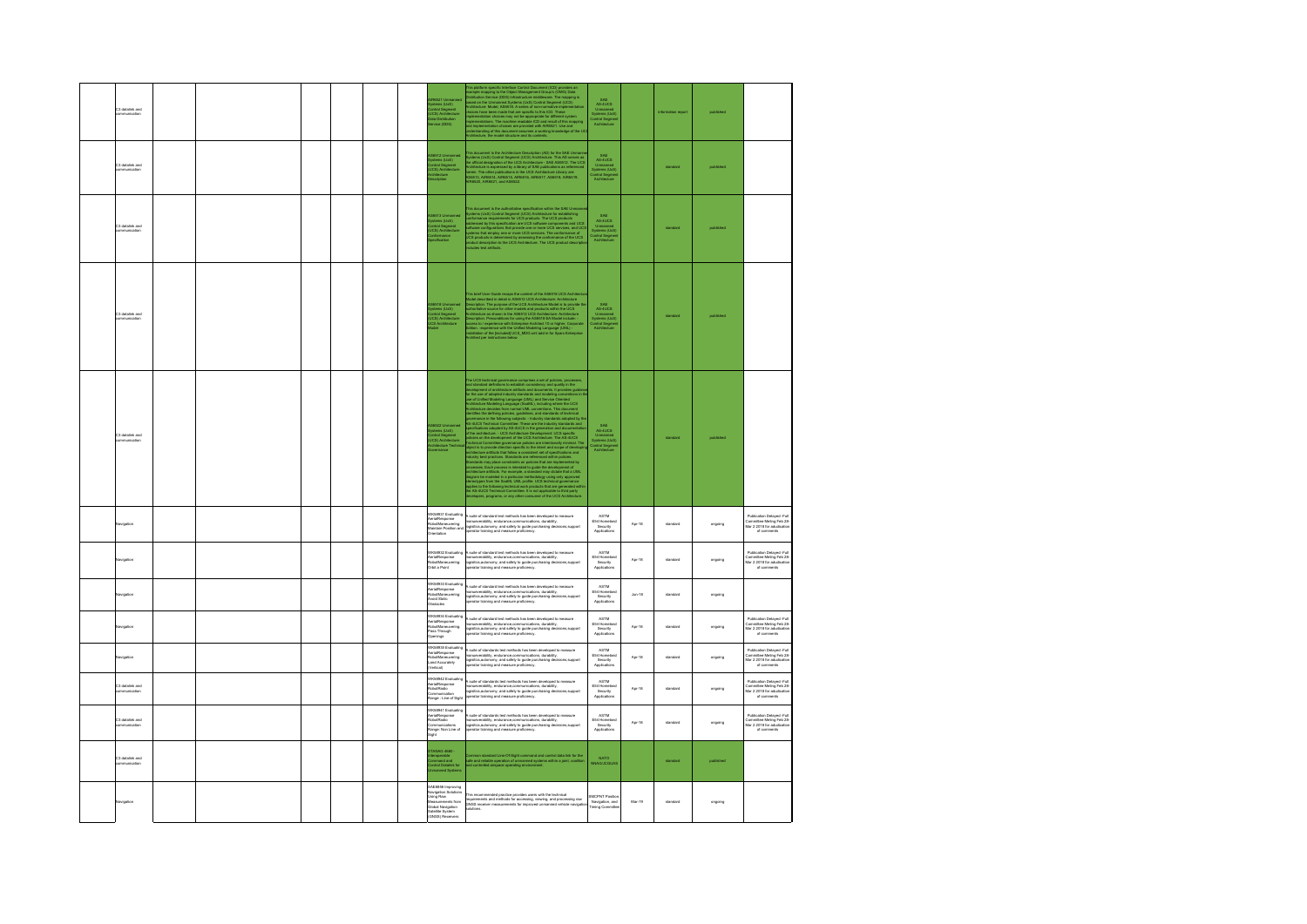| 3 datalink and                   |  |  |  |                                                                                                                                                               | In a platform specific simulation Corbits (Corbits) and place and (CD) provides and satisfying the material control (CD) (CD) compared (CD) in the material control (CD) in change of the University of the University of the                                                                           | SAE<br>AS-4UCS<br>Unmanned<br>Vysterna (Un<br>Antrol Segn                     |          |          |           |                                                                                                                                            |
|----------------------------------|--|--|--|---------------------------------------------------------------------------------------------------------------------------------------------------------------|---------------------------------------------------------------------------------------------------------------------------------------------------------------------------------------------------------------------------------------------------------------------------------------------------------|-------------------------------------------------------------------------------|----------|----------|-----------|--------------------------------------------------------------------------------------------------------------------------------------------|
| C3 datalink and<br>mmunication   |  |  |  | S6512 Urmanned<br>ystems (UxS)<br>ordrol Segment<br>JCS) Anchitecture<br>rchitecture                                                                          | This document is the Architecture Description (AD) for the SAE Unmern<br>systems (ULS) Control Segment (UCS) Architecture. This AD serves as<br>ne offsail dissignation of the UCS Architecture - SAE ASt612. The UCS<br>urchitecture i                                                                 | SAE<br>AS-4UCS<br>Unmanned<br>Systems (UxS<br>Control Segmes<br>Architecture  |          | standard | published |                                                                                                                                            |
| C3 datalink and                  |  |  |  | 8513 Un<br>ystems (UxS)<br>¦ontrol Segment<br>JCS) Architectur                                                                                                | Na documenta la Re authorizine apestication allo in Re Set Unemersitation allows popular (USI) Control Segment (USI) Antibacture for excellent projections of the USB product The USB products and USB subsequents and USB su                                                                           | SAE<br>AS-4UCS<br>Unmanned<br>Vysterra (UxS)<br>Sintrol Segme<br>Architecture |          | standard | published |                                                                                                                                            |
| 23 datalink and                  |  |  |  | S6518 Ummanne<br>ystems (UxS)<br>ontrol Segment<br>JCS) Architecture<br>CS Architecture                                                                       | This brief User Guide recaps the content of the AB6518 UCS Anche<br>about discussion in detail in AB6512 UCS Architecture. Andres and<br>secretary. The purpose of the UCS Architecture Model is to provide<br>useful content of the p                                                                  | ommannes<br>ystems (UxS)<br>introl Segme<br>Arrhitecture                      |          | wiant    |           |                                                                                                                                            |
| C3 datalink and<br>mmunication   |  |  |  | S6522 Urmanned<br>ystems (UxS)<br>:ortrol Segment<br>JCS) Architecture<br>:chitecture Technis                                                                 | The U.S. landstop generates complete a set of politics, proposed in the state of the state of the state of the state of the state of the state of the state of the state of the state of the state of the state of the state                                                                            | SAE<br>AS-4UCS<br>Unmanned<br>Systems (UxS)<br>Jontrol Segme                  |          | standard | published |                                                                                                                                            |
| lavigation                       |  |  |  | VK58931 Evaluating<br>ierialResponse<br>tobotManeuvering:<br>taintain Position and<br>trientation                                                             | A suite of standard test methods has been developed to measure<br>narraevenbility, endurance,communications, durability,<br>ogisitics,autonomy, and safety to guide purchasing decisions,support<br>operator training and measure profi                                                                 | ASTM<br>E54 Homeland<br>Security<br>Applications                              | $Apr-18$ | standard | ongoing   | Publication Delayed -Full<br>Committee Meting Feb 28-<br>Mar 2 2018 for adudication<br>of comments                                         |
| vigation                         |  |  |  | WK58932 Evaluating<br>via R<br>\erialResponse<br>RobotManeuvering:<br>Drbit a Point                                                                           | h, suite of standard test methods has been developed to measure<br>manueverability, endurance, communications, durability,<br>ogialics, autonomy, and safety to guide purchasing decisions,support<br>operator training and measure pro                                                                 | ASTM<br>E54 Homeland<br>Security<br>Applications                              | $Apr-18$ | standard | ongoing   | Publication Delayed -Full<br>Committee Meting Feb 28-<br>Mar 2 2018 for adudication<br>of comments                                         |
| wigation                         |  |  |  | WK58933 Evaluating<br>answerpender<br>tobotManeuvering:<br>void Static<br><b>bstacles</b>                                                                     | .<br>suite of standard test methods has been developed to measure<br>nanueverability, endurance,communications, durability,<br>gisitics,autonomy, and safety to guide purchasing decisions,support<br>perator training and measure proficiency.                                                         | ASTM<br>E54 Homeland<br>Security<br>Applications                              | $Jun-18$ | standard | ongoing   |                                                                                                                                            |
| wigation                         |  |  |  | WK58934 Evaluating<br>VK58ss= Eveteern<br>\erialResponse<br>tobotManeuvering:<br>Pass Through<br>~ - - lear<br>perings                                        | suite of standard test methods has been developed to measure<br>sueur or swarraare was rrestrates mas assett carvetopers to<br>anueverability, endurance communications, durability,<br>gialides,autonomy, and safety to guide purchasing decisions,support<br>perator training and measure proficiency | ASTM<br>ASTM<br>E54 Homelan<br>Security<br>Applications                       | Apr-18   | standard | ongoing   | Publication Delawed -Full<br>Published Delayed -Published Delayed<br>Committee Meting Feb 28-<br>Mar 2 2018 for adudication<br>of comments |
| avigation                        |  |  |  | MK58935 Evaluating<br>rialResponse<br>obotManeuvering:<br>and Accurately<br>/ertical)                                                                         | suite of standards test methods has been developed to measure<br>anueverability, endurance,communications, durability,<br>gisitics,autonomy, and safety to guide purchasing decisions,support<br>perator training and measure proficiency.                                                              | ASTM<br>E54 Homeland<br>Security<br>Applications                              | Apr-18   | standard | ongoing   | Publication Delayed -Full<br>Committee Meting Feb 28-<br>Mar 2 2018 for adudication<br>of comments                                         |
| C3 datalink and<br>communication |  |  |  | K58942 Evaluating<br>erialResponse<br>tobotRadio<br>tommunication<br>tange : Line of Sight                                                                    | .<br>suite of standards test methods has been developed to measure<br>nanueverability, endurance,communications, durability,<br>ogisitics,autonomy, and safety to guide purchasing decisions,support<br>erator training and measure proficiency.                                                        | ASTM<br>E54 Homelan<br>Security<br>Applications                               | Apr-18   | standard | ongoing   | Publication Delayed -Full<br>Committee Meting Feb 28-<br>Mar 2 2018 for adudication<br>of comments                                         |
| 23 datalink and                  |  |  |  | WK58941 Evaluating<br>kerialResponse<br>RobotRadio<br>Communications<br>ommuneasona<br>Jange: Non Line of<br>ight                                             | h, suite of standards test methods has been developed to measure<br>manueverability, endurance,communications, durability,<br>ogésitics, autonomy, and sately to guide purchasing decisions,support<br>operator training and measure pr                                                                 | ASTM<br>Homela<br>ASIM<br>E54 Homelan<br>Security<br>Applications             | $Apr-18$ | standard | ongoing   | Publication Delayed -Full<br>Committee Meting Feb 28-<br>Mar 2 2018 for adudication<br>of comments                                         |
| C3 datalink and<br>mmunication   |  |  |  | TANAG 4660 -<br>teroperable<br>ommand and<br>ontrol Datalink for<br>nanned System                                                                             | iommon standard Line-Of-Sight command and control data link for the<br>afe and reliable operation of unmanned systems within a joint, coalition<br>nd controlled airspace operating environment.                                                                                                        | NATO<br>NNAG/JCGUAS                                                           |          | standard | published |                                                                                                                                            |
| vigation                         |  |  |  | SAE6856 Improving<br>ancease improving<br>Navigation Solutions<br>Using Raw<br>Measurements from<br>Global Navigation<br>Satellite System<br>(GNSS) Receivers | This recommended practice provides users with the technical<br>requirements and methods for accessing, viewing, and processing raw<br>DNSS receiver measurements for improved unmanned vehicle navigatio<br>solutions.                                                                                  | SMCPNT Position<br>Navigation, and<br>Timing Committee                        | Mar-19   | standard | ongoing   |                                                                                                                                            |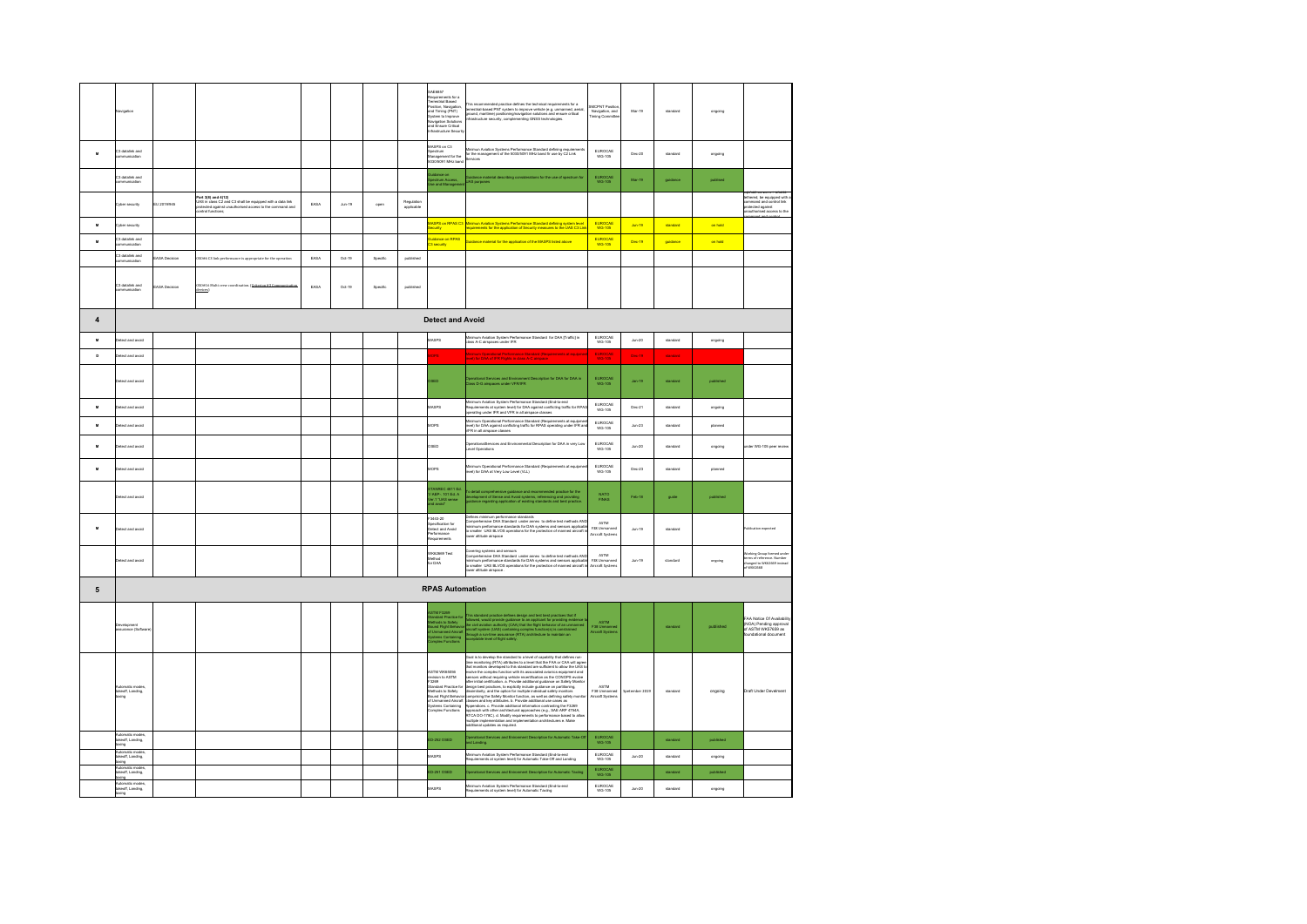|                | lavigation                                                   |                      |                                                                                                                                                                |      |                    |          |                          | BAE6857<br>.<br>Requirements for a<br>Ferrestrial Based<br>Position, Navigation<br>and Timing (PNT)<br>lystem to Improve<br>.<br>avigation Solutions<br>nd Ensure Critical<br>frastructure Securit                          | This recommended practice defines the technical requirements for a<br>enrestrial-Based PNT system to improve vehicle (e.g. urmanned, aerial,<br>ground, maritime) positioning/navigation solutions and ensure critical<br>nfrastructure                                                                    | <b>SMCPNT Positio</b><br>Navigation, and<br>Timing Committe | Mar-19             | standard | ongoing   |                                                                                                   |
|----------------|--------------------------------------------------------------|----------------------|----------------------------------------------------------------------------------------------------------------------------------------------------------------|------|--------------------|----------|--------------------------|-----------------------------------------------------------------------------------------------------------------------------------------------------------------------------------------------------------------------------|------------------------------------------------------------------------------------------------------------------------------------------------------------------------------------------------------------------------------------------------------------------------------------------------------------|-------------------------------------------------------------|--------------------|----------|-----------|---------------------------------------------------------------------------------------------------|
| M              | 3 datalink and<br>mmunication                                |                      |                                                                                                                                                                |      |                    |          |                          | MASPS on C3<br>Spectrum<br>peculum<br>fanagement for the<br>030/5091 MHz ban                                                                                                                                                | .<br>Inimun Aviation Systems Performance Standard defining requirem<br>or the management of the 5030/5091 MHz band fir use by C2 Link<br>rvices                                                                                                                                                            | EUROCAE<br>WG-105                                           | Dec-20             | standard | ongoing   |                                                                                                   |
|                | C3 datalink and                                              |                      |                                                                                                                                                                |      |                    |          |                          | kidance on<br>pectrum Access,<br>Ise and Managem                                                                                                                                                                            | .<br>Guidance material describing considerations for the use of spectru<br>UAS purposes                                                                                                                                                                                                                    | EUROCAE<br>WG-105                                           | Mar-19             | guidance | publised  |                                                                                                   |
|                | yber security                                                | EU 2019/945          | Part 3(8) and 4(12)<br>UAS in class C2 and C3 shall be equipped with a data link<br>stected against unauthorised access to the command and<br>ntrol functions; | EASA | $_{\text{Ann-19}}$ | oper     | Regulation<br>applicable |                                                                                                                                                                                                                             |                                                                                                                                                                                                                                                                                                            |                                                             |                    |          |           | hered, be equipped with<br>mmand and control link<br>itected against<br>authorised access to the  |
| $\mathbf{u}$   | yber security                                                |                      |                                                                                                                                                                |      |                    |          |                          |                                                                                                                                                                                                                             | ASPS on RPAS C3 Minimun Aviation Systems Performance Standard defining system leve<br>quirements for the application of Security measures to the UAS C3 Li                                                                                                                                                 | EUROCAE<br><b>WG-105</b>                                    | $Jun-19$           | standard | on hold   |                                                                                                   |
| M              | 23 datalink and<br>www.miration                              |                      |                                                                                                                                                                |      |                    |          |                          | <b>uidance on RPAS</b><br><b>Leonard</b>                                                                                                                                                                                    | Suidance material for the application of the MASPS listed above                                                                                                                                                                                                                                            | EUROCAE<br>WG-105                                           | <b>Dec-19</b>      | guidance | on hold   |                                                                                                   |
|                | C3 datalink and<br>mmunication                               | <b>EASA Decision</b> | ISO#6 C3 link performance is appropriate for the operation                                                                                                     | EASA | $Qct-19$           | Specific | published                |                                                                                                                                                                                                                             |                                                                                                                                                                                                                                                                                                            |                                                             |                    |          |           |                                                                                                   |
|                | C3 datalink and<br>communication                             | EASA Decision        | 050#16 Multi crew coordination. (Criterion #3 Communi                                                                                                          | EASA | $Oct-19$           | Specific | published                |                                                                                                                                                                                                                             |                                                                                                                                                                                                                                                                                                            |                                                             |                    |          |           |                                                                                                   |
| $\overline{4}$ |                                                              |                      |                                                                                                                                                                |      |                    |          |                          | <b>Detect and Avoid</b>                                                                                                                                                                                                     |                                                                                                                                                                                                                                                                                                            |                                                             |                    |          |           |                                                                                                   |
| $\mathbf{M}$   | bious bns tostal                                             |                      |                                                                                                                                                                |      |                    |          |                          | MSPS                                                                                                                                                                                                                        | inimum Aviation System Performance Standard for DAA [Traffic] in<br>ass A-C airspaces under IFR                                                                                                                                                                                                            | EUROCAE<br>WG-105                                           | $Jun-20$           | standard | ongoing   |                                                                                                   |
| $\mathbf{D}$   | etect and avoid                                              |                      |                                                                                                                                                                |      |                    |          |                          | bes                                                                                                                                                                                                                         | inimum Operational Performance Standard (Requirements at equipme<br>rel) for DAA of IFR Flights in class A-C airspace                                                                                                                                                                                      | <b>EUROCAE</b>                                              | Dec-19             | standard |           |                                                                                                   |
|                | betect and avoid                                             |                      |                                                                                                                                                                |      |                    |          |                          | <b>RED</b>                                                                                                                                                                                                                  | ent Description for DAA for DAA in<br>Iperational Services and Environmen<br>Iass D-G airspaces under VFR/IFR                                                                                                                                                                                              | EUROCAE<br>WG-105                                           | Jan-19             | standard | published |                                                                                                   |
| $\mathbf{M}$   | bious bns tostal                                             |                      |                                                                                                                                                                |      |                    |          |                          | MASPS                                                                                                                                                                                                                       | ilinimum Aviation System Performance Standard (End-to-end<br>Requirements at system level) for DAA against conflicting traffic for RPAS<br>perating under IFR and VFR in all airspace classes                                                                                                              | <b>EUROCAE</b><br>WG-105                                    | Dec-21             | standard | ongoing   |                                                                                                   |
| M              | etect and avoid                                              |                      |                                                                                                                                                                |      |                    |          |                          | <b>AOPS</b>                                                                                                                                                                                                                 | linimum Operational Performance Standard (Requirements at equipmen<br>vel) for DAA against conflicting traffic for RPAS operating under IFR an<br>FR in all airspace classes                                                                                                                               | EUROCAE<br>WG-105                                           | $Jun-23$           | standard | planned   |                                                                                                   |
| $\mathbf{u}$   | etect and avoid                                              |                      |                                                                                                                                                                |      |                    |          |                          | OSED                                                                                                                                                                                                                        | perationalServices and Environmental Description for DAA in very Los<br>wel Operations                                                                                                                                                                                                                     | EUROCAE<br>WG-105                                           | $Jun-20$           | standard | ongoing   | nder WG-105 peer review                                                                           |
| M              | bious bns tostal                                             |                      |                                                                                                                                                                |      |                    |          |                          | MOPS                                                                                                                                                                                                                        | nimum Operational Performance Standard (Requirements at equipm<br>rvel) for DAA at Very Low Level (VLL)                                                                                                                                                                                                    | EUROCAE<br>WG-105                                           | Dec-23             | standard | planned   |                                                                                                   |
|                | letect and avoid                                             |                      |                                                                                                                                                                |      |                    |          |                          | TANREC 4811 Ed<br>/ AEP-. 101 Ed. A<br>/er.1 "UAS sense<br>nd avoid"                                                                                                                                                        | o detail comprehensive guidance and recommended practice for the<br>evelopment of Sense and Avoid systems, referencing and providing<br>sidance regarding application of existing standards and best practice                                                                                              | NATO<br>FINAS                                               | $Fab-18$           | guide    | published |                                                                                                   |
| M              | Detect and avoid                                             |                      |                                                                                                                                                                |      |                    |          |                          | 3443-20<br>Specification for<br>Detect and Avoid<br>Performance<br>dnemeriupe5                                                                                                                                              | Nefines minimum performance standards<br>Comprehensive DAA Standard under annex to define test methods AND<br>inimum performance standards for DAA systems and sensors applicable<br>o smaller UAS BLVOS operations for the protection<br>wer altitude airspace                                            | ASTM<br>F38 Unmanne<br>Aircraft Systems                     | $Jun-19$           | standard |           | blication expected                                                                                |
|                | betect and avoid                                             |                      |                                                                                                                                                                |      |                    |          |                          | WK62669 Test<br>lethod<br>for DAA                                                                                                                                                                                           | overing systems and sensors<br>omprehensive DAA Standard under annex to define test methods AND<br>ninimum performance standards for DAA systems and sensors applicable<br>o smaller UAS BLVOS operations for the protection of manned aircraft in<br>ancora altitude ser                                  | ASTM<br>F38 Unmanned<br>Aircraft System                     | $Jun-19$           | standard | ongoing   | Vorking Group formed unde<br>rms of reference. Number<br>changed to WK62669 instead<br>of WK62668 |
| ${\bf 5}$      |                                                              |                      |                                                                                                                                                                |      |                    |          |                          | <b>RPAS Automation</b>                                                                                                                                                                                                      |                                                                                                                                                                                                                                                                                                            |                                                             |                    |          |           |                                                                                                   |
|                | evelopment<br>ssurance (Soft                                 |                      |                                                                                                                                                                |      |                    |          |                          | STM F3269<br>Similated Practice for<br>Nationals to Safely<br>ound Fight Behavior<br>Vystems Containing<br>Vystems Containing<br>omplex Functions                                                                           | This standard practice defines design and test best practices that if<br>followed, would provide guidance to an applicant for providing evident<br>for the different provide guidance to an unrealistic form of the unrealistic<br>alr                                                                     | ASTM<br>F38 Unmanne<br>Aircraft System                      |                    | standard | published | AA Notice Of Availabi<br>(NOA) Pending approval<br>of ASTM WK57659 as<br>indational document      |
|                | trenatie mexte<br>usunanc modes<br>akeoff, Landing,<br>axing |                      |                                                                                                                                                                |      |                    |          |                          | ARTM WAGGOGG<br>comments<br>ovision to ASTM<br>Itandard Practice fo<br>Annuary Practice<br>Aethods to Safely<br>Iound Flight Behavi<br>I Unmanned Aircra<br>u Cermannies Aircria<br>Lystems Containing<br>Jomplex Functions | cal is to develop the standard to a level of capability that defines run-<br>Cost is to denote the state that is twist of the density in the density of the state of the state of the state of the state of the state of the state of the state of the state of the state of the state of the state of the | ASTM<br>F38 Unmanned<br>Aircraft System                     | Spetember 2019     | standard | ongoing   | Draft Under Develment                                                                             |
|                | utomatic modes<br>ikeoff, Landing,<br>úng                    |                      |                                                                                                                                                                |      |                    |          |                          | D-252 OSED                                                                                                                                                                                                                  | perational Services and Enironment Description for Automatic Take-Ord Landing.                                                                                                                                                                                                                             | EUROCAE<br>WG-105                                           |                    | standard | befished  |                                                                                                   |
|                | utomatic modes.<br>akeoff, Landing,<br>axing                 |                      |                                                                                                                                                                |      |                    |          |                          | MSPS                                                                                                                                                                                                                        | inimum Aviation System Performance Standard (End-to-end<br>equirements at system level) for Automatic Take-Off and Landing                                                                                                                                                                                 | EUROCAE<br>WG-105                                           | $_{\text{Jun-20}}$ | standard | ongoing   |                                                                                                   |
|                | natin mnde<br>utemess<br>Asoff, Landing,<br>in               |                      |                                                                                                                                                                |      |                    |          |                          | D-251 OSED                                                                                                                                                                                                                  | erational Services and Enironment Description for Automatic Taxiin                                                                                                                                                                                                                                         | EUROCAE<br>WG-105                                           |                    | standard | published |                                                                                                   |
|                | utomatic modes.<br>keoff, Landing,<br>ána                    |                      |                                                                                                                                                                |      |                    |          |                          | MSPS                                                                                                                                                                                                                        | inimum Aviation System Performance Standard (End-to-end<br>lequirements at system level) for Automatic Taxiing                                                                                                                                                                                             | EUROCAE<br>WG-105                                           | $Jun-20$           | standard | ongoing   |                                                                                                   |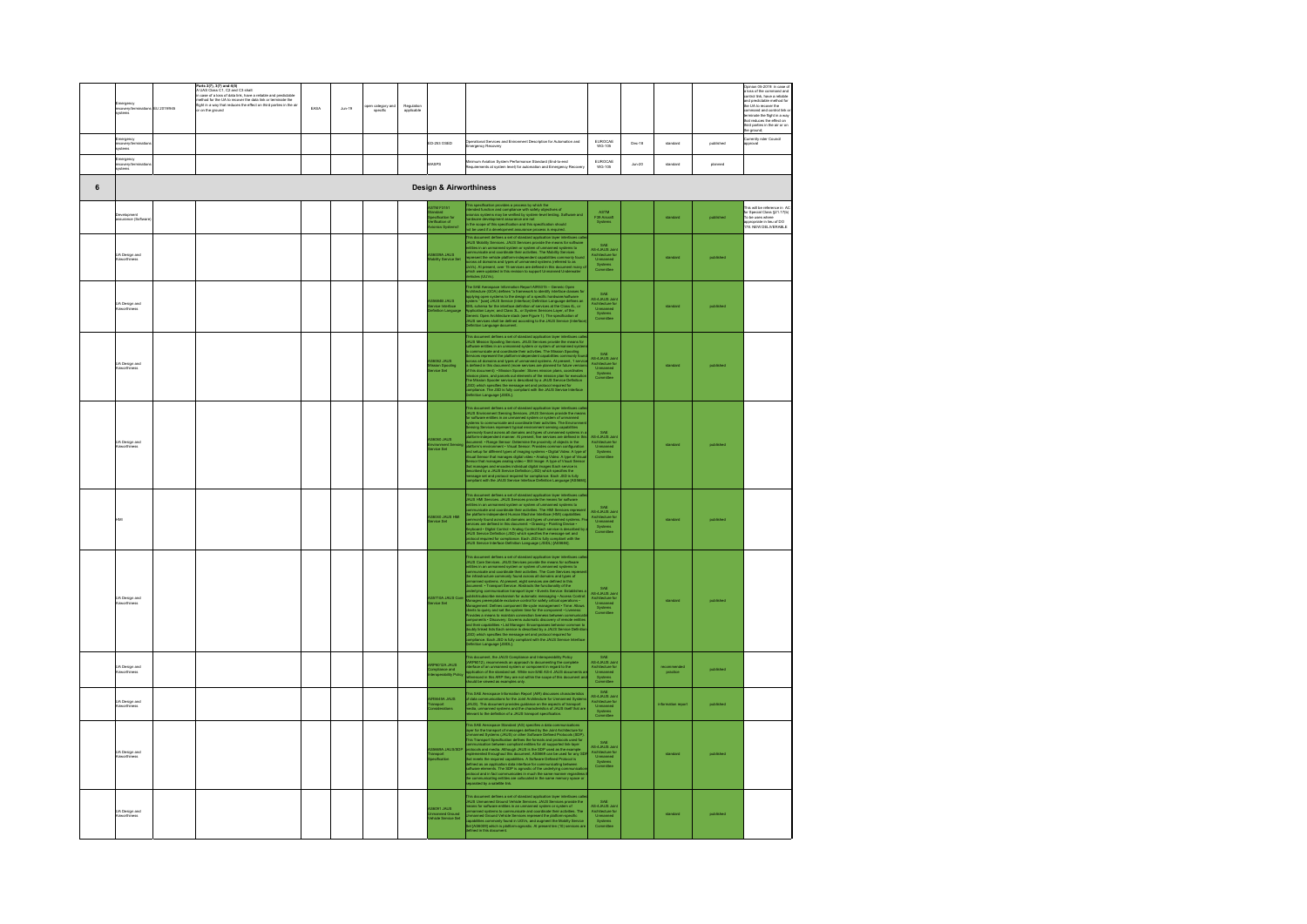|   | argancy<br>rvary/tar                  | EU 2019/945 | Parts 2(7), 3(7) and 4(8)<br>A UAS Class C1, C2 and C3 shall:<br>in case of a loss of data link, have a reliable and predictable<br>method for the UA to recover the data link or terminate the<br>fight in a way that reduces the effect<br>on the ground | EASA | $_{\text{Jun-19}}$ | open category are<br>specific | Regulation<br>applicable |                                                                             |                                                                                                                                                                                                                                                                           |                                                                               |          |                       |           | Opinion 05-2019: in case of<br>a loss of the command and<br>control link, have a reliable<br>and predictable method for<br>the UA to record the<br>command and control link or<br>terrinate the fight in a way<br>berrinate the fight in a way<br>hat reduces the effect on<br>hird parties in the air or on<br>the ground; |
|---|---------------------------------------|-------------|------------------------------------------------------------------------------------------------------------------------------------------------------------------------------------------------------------------------------------------------------------|------|--------------------|-------------------------------|--------------------------|-----------------------------------------------------------------------------|---------------------------------------------------------------------------------------------------------------------------------------------------------------------------------------------------------------------------------------------------------------------------|-------------------------------------------------------------------------------|----------|-----------------------|-----------|-----------------------------------------------------------------------------------------------------------------------------------------------------------------------------------------------------------------------------------------------------------------------------------------------------------------------------|
|   | lergency<br>overy/ter<br>items        |             |                                                                                                                                                                                                                                                            |      |                    |                               |                          | D-253 OSED                                                                  | -<br>perational Services and Enironment Description for Automation and<br>mergency Recovery                                                                                                                                                                               | EUROCAE<br>WG-105                                                             | Dec-18   | standard              | published | Currently nder Council<br>approval                                                                                                                                                                                                                                                                                          |
|   | nergency<br>tovery/ten<br>thront      |             |                                                                                                                                                                                                                                                            |      |                    |                               |                          | ASPS                                                                        | nimum Aviation System Performance Standard (End-to-end<br>quirements at system level) for automation and Emergency Reco                                                                                                                                                   | EUROCAE<br>WG-105                                                             | $Jun-20$ | standard              | planned   |                                                                                                                                                                                                                                                                                                                             |
| 6 |                                       |             |                                                                                                                                                                                                                                                            |      |                    |                               |                          | <b>Design &amp; Airworthiness</b>                                           |                                                                                                                                                                                                                                                                           |                                                                               |          |                       |           |                                                                                                                                                                                                                                                                                                                             |
|   | ivelopment<br>surance (Softe          |             |                                                                                                                                                                                                                                                            |      |                    |                               |                          | TM F3151<br>uncure<br>recification for<br>rification of<br>rionics Systems1 | his specification provides a process by which the<br>Nandad Sunction and compliance with saltly depictives of<br>Manisch systems may be wrifled by system-level testing. Soft<br>archane download and successive and manipulation of th                                   | ASTM<br>F39 Aircraft<br>Systems                                               |          | standard              |           | This will be reference in AC<br>for Special Class §21.17(b)<br>To be uses where<br>appropriate in lieu of DO<br>178. NEW DELIVERABLE                                                                                                                                                                                        |
|   | <b>JA Design and</b><br>Virworthiness |             |                                                                                                                                                                                                                                                            |      |                    |                               |                          | .<br>18009A JAUS<br>188ky Service Set                                       | This document defines a set of standard application layer interfaces can<br>consider the standard defines a set of standard application layer interfaces<br>communicate and coordinate fluid Services provide the memorial communica<br>des (UUVs).                       | <b>RAF</b><br>SHE<br>AS-4JAUS Join<br>Architecture for<br>Unmanned<br>Systems |          | standard              | befished  |                                                                                                                                                                                                                                                                                                                             |
|   | .<br>UA Design and<br>Airworthiness   |             |                                                                                                                                                                                                                                                            |      |                    |                               |                          | 35684B JAUS<br>anvice Interface<br>afinition Langua                         | The SAE Assesspace Information Report ARS215 - General Cipes<br>Architecture (COA) abdines 1 formulation Report ARS215 - General Copanidation (COA) abdines 1 for<br>a specific parameter specific parameters in the specific mater                                       | SAE<br>AS-4JAUS Joir<br>Architecture fo<br>Unmarned<br>Systems<br>Committee   |          |                       |           |                                                                                                                                                                                                                                                                                                                             |
|   | .<br>UA Design and<br>Ainvorthiness   |             |                                                                                                                                                                                                                                                            |      |                    |                               |                          | 36062 JAUS<br>Ission Spooling<br>Invice Set                                 | The decorates defines a set of standard particular have tractions can<br>be absorbed to a standard polaristic system by the first control of<br>property of the control of the control of the system of control or<br>property of the                                     | SAE<br>AS-4JAUS Join<br>Architecture for<br>Unmarned<br>Systema<br>Committee  |          | standard              | mhöshar   |                                                                                                                                                                                                                                                                                                                             |
|   | A Design and<br>invortiness           |             |                                                                                                                                                                                                                                                            |      |                    |                               |                          | 38060 JAUS<br>wirorment Se<br>arvice Set                                    | This decorates defines a set of simulate application to<br>are interfaces as a contract of the simulation of the simulation of<br>the simulation of the contract space of the simulation of<br>$\phi$ and $\phi$ are interferent as a cont                                | SHE<br>AS-4JAUS Join<br>Architecture for<br>Unmanned<br>Systems               |          |                       |           |                                                                                                                                                                                                                                                                                                                             |
|   |                                       |             |                                                                                                                                                                                                                                                            |      |                    |                               |                          | 38040 JAUS HMI<br>arvice Set                                                | This document defines a set of standard application layer interfaces contained and the second state of the container of the matter of the second state container in the second state contains the second state contains the s                                             | SAE<br>AS-4JAUS Join<br>Architecture for<br>Unmanned<br>Systems<br>Committee  |          | standard              | published |                                                                                                                                                                                                                                                                                                                             |
|   | <b>JA Design and</b><br>Ninvorthiness |             |                                                                                                                                                                                                                                                            |      |                    |                               |                          | 35710A JAUS Cor<br>anvice Set                                               | The decoment defines a set of standard application toget the<br>decision and the standard projection and the standard standard control of<br>the standard control of the standard control of the standard standard<br>control of the s<br><b>Inition Language [JSIDL]</b> | SAE<br>AS-4JAUS Join<br>Architecture for<br>Unmanned<br>Systema<br>Committee  |          | standard              |           |                                                                                                                                                                                                                                                                                                                             |
|   | .<br>UA Design and<br>Ainvorthiness   |             |                                                                                                                                                                                                                                                            |      |                    |                               |                          | RP6012A JAUS<br>:mpliance and<br>teroperability Pol                         | This document, the JAUS Compliance and Interoperability Policy<br>(ARP6012), recommends an approach to documenting the complete<br>installate of an unmanned system or component in regard to the<br>application of the standard set. W                                   | SAE<br>AS-4JAUS Join<br>Architecture for<br>Unmanned<br>Systems<br>Committee  |          | recommend<br>practice | published |                                                                                                                                                                                                                                                                                                                             |
|   | .<br>UA Design and<br>Ainvorthiness   |             |                                                                                                                                                                                                                                                            |      |                    |                               |                          | R5645A JAUS<br>ansport<br>voltamfore                                        | his SAE Aerospace Information Report (AIR) discusses characteristic<br>dista communications for the Joint Aethlacture for Unmanned System<br>(AUS). This document provides guidance on the aspects of transport<br>leads, unmanned syst                                   | SAE<br>AS-4JAUS Join<br>Architecture for<br>Unmanned<br>Systems<br>Committee  |          |                       | published |                                                                                                                                                                                                                                                                                                                             |
|   | <b>JA Design and</b><br>Vinvorthiness |             |                                                                                                                                                                                                                                                            |      |                    |                               |                          | S669A JAI<br>ansport<br>verification                                        | This the American contribution of the state of the matrix contribution.<br>This the American contribution of the property of the Southern Contribution<br>Symmetric Symmetric (Apple 1993) or effect the<br>discussion (Since 1993) an                                    | SAE<br>AS-4JAUS Join<br>Architecture for<br>Unmanned<br>Systema<br>Committee  |          | standard              |           |                                                                                                                                                                                                                                                                                                                             |
|   | .<br>UA Design and<br>Ainvorthiness   |             |                                                                                                                                                                                                                                                            |      |                    |                               |                          | S6091 JAUS<br>nmanned Ground<br>ehicle Service Set                          | This document defines a set of standard application layer interfaces called<br>this photon control of the standard standard state and standard the standard standard state of the standard state of the standard state control o                                          | SAE<br>AS-4JAUS Join<br>Architecture for<br>Unmarned<br>Systems<br>Committee  |          | standard              |           |                                                                                                                                                                                                                                                                                                                             |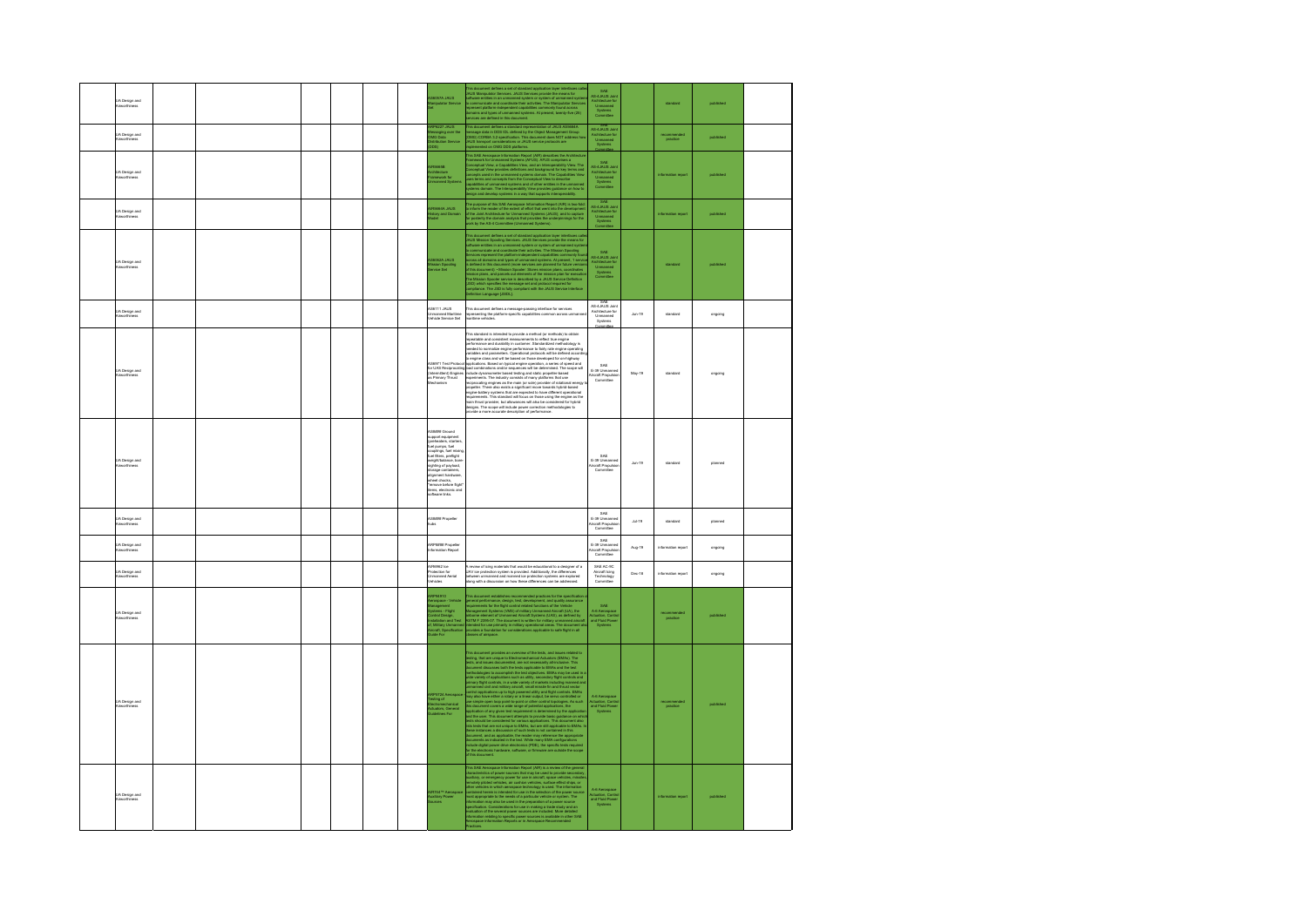| .<br>UA Design and<br>Aineorthiness   |  |  |  | 8057A JAUS                                                                                                                                                                                                                                                                                                                                                                 | his document defines a set of standard application layer interfaces call<br>AUS Marigaulates Senices. JAUS Services provide the means for<br>a different entities in an unmanned system or system of unmanned system<br>of communicate                                                                                                                                                                                                                                                                                                                                                                                                                                                                                                                                                                                                                                      | SAE<br>AS-4JAUS Joir<br>Architecture for<br>Unmarned<br>Systems<br>Committee  |          |                        |           |  |
|---------------------------------------|--|--|--|----------------------------------------------------------------------------------------------------------------------------------------------------------------------------------------------------------------------------------------------------------------------------------------------------------------------------------------------------------------------------|-----------------------------------------------------------------------------------------------------------------------------------------------------------------------------------------------------------------------------------------------------------------------------------------------------------------------------------------------------------------------------------------------------------------------------------------------------------------------------------------------------------------------------------------------------------------------------------------------------------------------------------------------------------------------------------------------------------------------------------------------------------------------------------------------------------------------------------------------------------------------------|-------------------------------------------------------------------------------|----------|------------------------|-----------|--|
| UA Design and<br>Aineorthiness        |  |  |  | P6227 JAUS<br>Haaging over the<br>essaging<br>MG Data<br><b>dion Service</b>                                                                                                                                                                                                                                                                                               | his document defines a standard representation of JAUS AS5684A<br>essage data in DDS IDL defined by the Object Management Group<br>DMO) CORBA 3.2 specification . This document does NOT address h<br>AUS transport considerations or J                                                                                                                                                                                                                                                                                                                                                                                                                                                                                                                                                                                                                                     | AS-4JAUS Joi<br>Architecture fo<br>Unmanned<br>Systems                        |          | ecomment<br>practice   | published |  |
| UA Design and<br>Airworthiness        |  |  |  |                                                                                                                                                                                                                                                                                                                                                                            | the matter than the property of the matter of the specific property and the problem of the specific property of the matter of the matter of the matter of the matter of the matter of the matter of the matter of the matter                                                                                                                                                                                                                                                                                                                                                                                                                                                                                                                                                                                                                                                | SAE<br>AS-4JAUS Joint<br>Architecture for<br>Unmanned<br>Systems<br>Committee |          |                        | published |  |
| UA Design and<br><b>Airworthiness</b> |  |  |  | R5864A JAUS<br>story and Domain                                                                                                                                                                                                                                                                                                                                            | The purpose of this SAE Aerospace Information Report (ARI) is two-fold<br>inform the reader of the extent of effort that went into the development<br>of the Joint Architecture for Umranned Systems (JAUS); and to capture<br>or poste                                                                                                                                                                                                                                                                                                                                                                                                                                                                                                                                                                                                                                     | SAE<br>NS-4JAUS Joir<br>Architecture for<br>Unmanned<br>Systems               |          |                        | published |  |
| .<br>LiA Design and<br>Linunthiness   |  |  |  | 8062A JAUS<br>ssion Spooling<br>nvice Set                                                                                                                                                                                                                                                                                                                                  | This decorates defines a set of standard application tage transforms calculated and the standard standard standard standard common property and contact the standard property of the contact of the standard standard contact<br>Inition Language (JSIDL).                                                                                                                                                                                                                                                                                                                                                                                                                                                                                                                                                                                                                  | SAE<br>AS-4JAUS Joir<br>Architecture fo<br>Unmanned<br>Systems<br>Committee   |          |                        |           |  |
| UA Design and<br>Ainvorthiness        |  |  |  | <b>S6111 JAUS</b><br>nmanned Maritime<br>ehide Service Set                                                                                                                                                                                                                                                                                                                 | .<br>This document defines a message-passing interface for services<br>opresenting the platform-specific capabilities common across unm<br>aritime vehicles.                                                                                                                                                                                                                                                                                                                                                                                                                                                                                                                                                                                                                                                                                                                | AS-4JAUS Joint<br>Architecture for<br>Unmanned<br>Systems                     | $Jun-19$ | standard               | ongoing   |  |
| UA Design and<br>Ainvorthiness        |  |  |  | S6971 Test Protos                                                                                                                                                                                                                                                                                                                                                          | .<br>This standard is intended to provide a method (or methods) to obtain<br>epeatable and consistent measurements to reflect true engine<br>reformance and durability in customer. Standardized methodology is<br>on community and conservative contracts to fairly rate engine operating<br>variables and parameters. Operational protocols will be defined accord<br>o engine class and will be based on those developed for on-highway<br>pplications. Based on typical engine operation, a series of speed and<br>$\begin{split} &\text{A 500\%} \\ &\text{A 500\%} \\ &\text{A 500\%} \\ &\text{A 500\%} \\ &\text{B 500\%} \\ &\text{A 500\%} \\ &\text{A 500\%} \\ &\text{A 500\%} \\ &\text{A 500\%} \\ \end{split} \begin{split} &\text{A 500\%} \\ &\text{A 500\%} \\ &\text{A 500\%} \\ &\text{A 500\%} \\ &\text{A 500\%} \\ &\text{A 500\%} \\ &\text{A 500\$ | SAE<br>E-39 Unmanner<br>Nircraft Propulsio<br>Committee                       | May-19   | standard               | ongoing   |  |
| <b>UA Design and</b><br>invorthiness  |  |  |  | AS#### Ground<br>support equipment<br>(preheaters, starters,<br>toel pumps, fuel mixing<br>couplings, fuel mixing<br>coupungs, rue mons<br>luel fibers, prefight<br>weight/balance, bore<br>sighting of payload,<br>agnung or paysoan,<br>alignment hardware,<br>alignment hardware,<br>wheel chocks,<br>"remove before fight"<br>terms, electronic and<br>software links. |                                                                                                                                                                                                                                                                                                                                                                                                                                                                                                                                                                                                                                                                                                                                                                                                                                                                             | SAE<br>E-39 Unmanned<br>Nircraft Propulsion<br>Committee                      | $Jun-19$ | standard               | planned   |  |
| .<br>UA Design and<br>Ainvorthiness   |  |  |  | Sawas Propeller<br>ita.                                                                                                                                                                                                                                                                                                                                                    |                                                                                                                                                                                                                                                                                                                                                                                                                                                                                                                                                                                                                                                                                                                                                                                                                                                                             | SAF<br>F-30 Hz<br>ircraft Propulsio                                           | 34.19    | standard               | nlannert  |  |
| JA Design and<br><b>Airworthiness</b> |  |  |  | RP#### Propeller<br>formation Report                                                                                                                                                                                                                                                                                                                                       |                                                                                                                                                                                                                                                                                                                                                                                                                                                                                                                                                                                                                                                                                                                                                                                                                                                                             | SAE<br>E-39 Unmanne<br>Nircraft Propulsion<br>Committee                       | Aug-19   | information report     | angaing   |  |
| <b>JA Design and</b><br>Vinvorthiness |  |  |  | DODG ION<br>rotection for<br>Inmanned Aerial<br>Iehicles                                                                                                                                                                                                                                                                                                                   | review of icing materials that would be educational to a designer of a<br>ститит от полу плинению они можна он ножнажении бо й обейдей? от й<br>AV los protection system is provided. Additionally, the differences<br>shaven ummanmed and manned ice protection systems are explored<br>long with a discussion                                                                                                                                                                                                                                                                                                                                                                                                                                                                                                                                                             | SAE AC-9C<br>Aircraft Icing<br>Technology<br>Committee                        | Dec-18   | information report     | ongoing   |  |
| UA Design and<br>Airworthiness        |  |  |  | RP94910<br>arcopace - Vehicle<br>Ianagement<br>yatems - Flight<br>ontrol Design,<br>stallation and Test<br>ircaft, Specification<br>ircaft, Specification<br>ide For                                                                                                                                                                                                       | This document establishes recommended practices for the specification<br>general performance, design, tast, development, and quality assumes<br>requirements for the fight control related function of the Vehicle<br>Management for t                                                                                                                                                                                                                                                                                                                                                                                                                                                                                                                                                                                                                                      | <b>RAF</b><br>A-6 Aerospec<br>Actuation, Con<br>and Fluid Pow<br>Systems      |          | recomments<br>practice | published |  |
| UA Design and<br>Airworthiness        |  |  |  | ting of<br>Immerhaninal<br><b>ators, Gen</b><br>alians End                                                                                                                                                                                                                                                                                                                 | This decay<br>result provides an overlowed the helio, and some model to be a stronger<br>of the stronger of the stronger of the stronger of the stronger of<br>the stronger of the stronger of the stronger of the stronger of<br>the str<br>this document                                                                                                                                                                                                                                                                                                                                                                                                                                                                                                                                                                                                                  | <b><i>Communicação</i></b><br>Actuation, Conta<br>And Fluid Pow               |          | practice               |           |  |
| UA Design and<br>Ainvorthiness        |  |  |  | diary Power<br>roes                                                                                                                                                                                                                                                                                                                                                        | The SME Assumption between the figure (ARI) is a vector of the general state and the control of the general state of the state of the state of the state of the state of the state of the state of the state of the state of                                                                                                                                                                                                                                                                                                                                                                                                                                                                                                                                                                                                                                                | A-6 Ae<br>Actuation, Cont<br>and Fluid Pow<br>Systems                         |          |                        | published |  |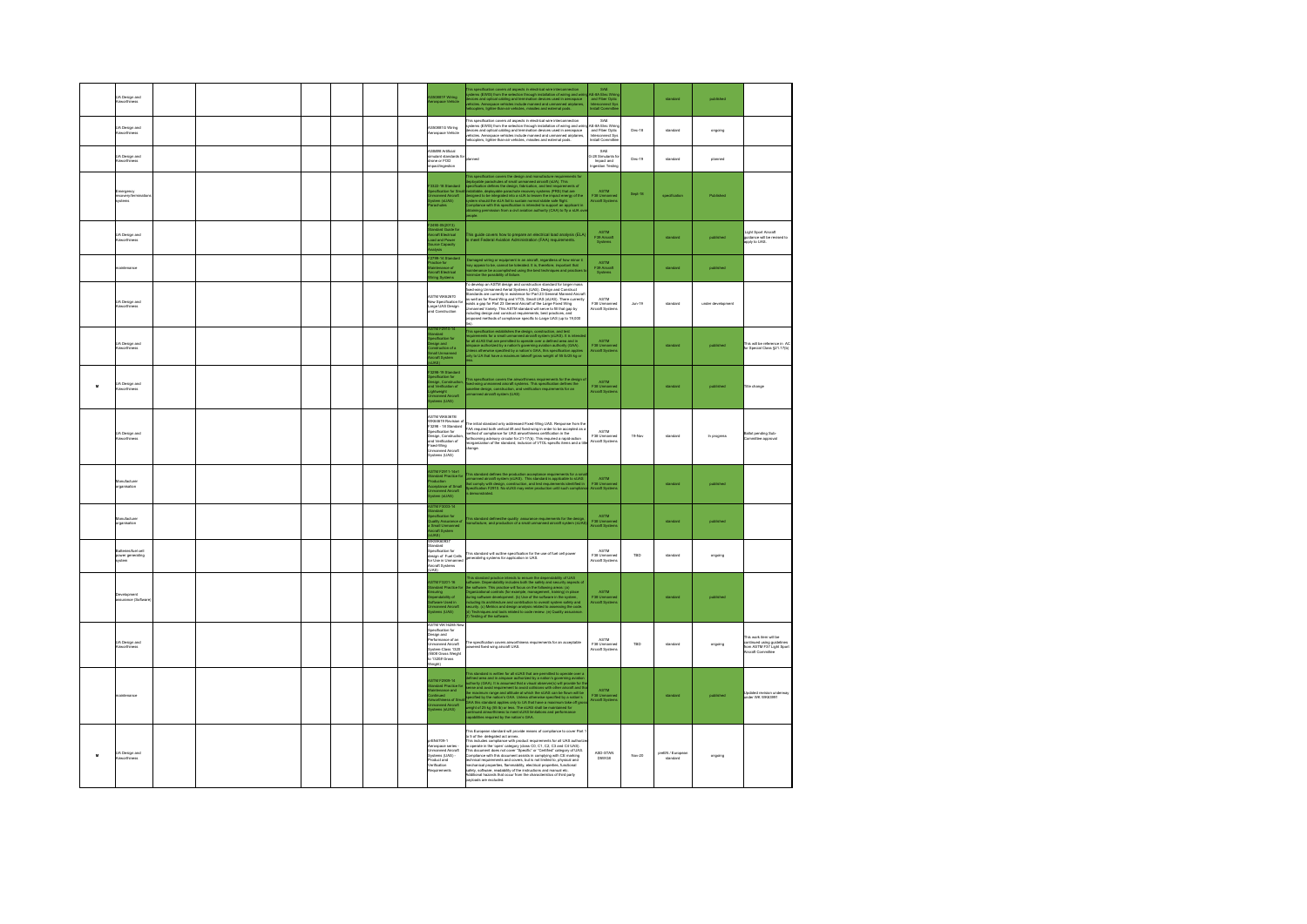|           | <b>UA Design and</b><br>Airworthiness    |  |  |  | SS0881F Wiring<br>erospace Vehicle                                                                                                                                                       | his specification covers all aspects in electrical wire interconnection<br>plasms (EVMS) from the selection through installation of winny and wire<br>prices and optical cabing and termination devices used in aerospace<br>iniciplers                                                                                                                                                                                                                                                                                                                             | SAE<br>NE-8A Elec Wir<br>and Fiber Optic<br>Interconnect System                        |               | standard                     | published         |                                                                                                                |
|-----------|------------------------------------------|--|--|--|------------------------------------------------------------------------------------------------------------------------------------------------------------------------------------------|---------------------------------------------------------------------------------------------------------------------------------------------------------------------------------------------------------------------------------------------------------------------------------------------------------------------------------------------------------------------------------------------------------------------------------------------------------------------------------------------------------------------------------------------------------------------|----------------------------------------------------------------------------------------|---------------|------------------------------|-------------------|----------------------------------------------------------------------------------------------------------------|
|           | UA Design and<br>Airworthiness           |  |  |  | ASS0881G Wiring<br>Aerospace Vehicle                                                                                                                                                     | This specification covers all aspects in electrical wire interconnection<br>items (EWIS) from the selection through installation of wiring and wir<br>rvices and optical cabling and termination devices used in aerospace<br>hicles. Aerospace vehicles include manned and unmanned airplanes,<br>copters, lighter-than-air vehicles, missiles and external pods.                                                                                                                                                                                                  | SAE<br><b>AE-8A Elec Wirk</b><br>and Fiber Optic<br>Interconnect Sys<br>Install Commit | Dec-18        | standard                     | ongoing           |                                                                                                                |
|           | UA Design and<br><b>Uranethin</b>        |  |  |  | Savas Artificial<br>ebrebnete trelumi<br>one or FOD<br>martin<br>2.                                                                                                                      | <b>Start</b>                                                                                                                                                                                                                                                                                                                                                                                                                                                                                                                                                        | SAE<br>3-28 Simulants fo<br>Impact and<br>ngestion Testin                              | Dec-19        | standard                     | réannert          |                                                                                                                |
|           | Emergency<br>ecovery/terminati<br>rstemi |  |  |  | -<br>Specification for Sm<br>Jomanned Aircraft<br>System (sl.IAS)<br>Parachutes                                                                                                          | is specification covers the design and manufa<br>to spatial material of the design) and material care trajectories for the spatial material of the spatial condition of the spatial material of the spatial material of the spatial material of the spatial material of the sp                                                                                                                                                                                                                                                                                      | ASTM<br>F38 Unmanned<br>Aircraft Systems                                               | Sept-18       | specification                | Published         |                                                                                                                |
|           | <b>UA Design and</b><br>Airworthiness    |  |  |  | -<br>2400-05(2013)<br>Standard Guide for<br>Aircraft Electrical<br>Load and Power<br>Source Capacity<br>Analysis                                                                         | his guide covers how to prepare an electrical load analysis (ELA)<br>meet Federal Aviation Administration (FAA) requirements.                                                                                                                                                                                                                                                                                                                                                                                                                                       | <b>ASTM</b><br>F39 Aircraft                                                            |               | standard                     | published         | Light Sport Aircraft<br>wayn says is entered.<br>guidance will be revised to<br>apply to UAS.                  |
|           | intenance                                |  |  |  | :<br>2799-14 Standard<br>fractice for<br>direraft Electrical<br>iring Systems                                                                                                            | amaged wiring or equipment in an aircraft, regardless of how minor it<br>ay appear to be, carnot be bekrated. It is, therefore, important that<br>airknnance be accomplished using the best techniques and practices<br>inimize the pos                                                                                                                                                                                                                                                                                                                             | ASTM<br>F39 Aircraft<br>Systems                                                        |               |                              | published         |                                                                                                                |
|           | <b>UA Design and</b><br>Airworthiness    |  |  |  | <b>ASTM WK62670</b><br>lew Specification fo<br>arge LIAS Design<br>and Construction<br>TM F2910-14                                                                                       | To develop an ASTM design and construction standard for larger mass<br>fixed-wing Unmanned Aerial Systems (UAS). Design and Construct<br>tandards are currently in existence for Part 23 General Manned Aircraft<br>a well as for Fixed Wing and VTOL Small UAS (sUAS). There currently<br>dsts a gap for Part 23 General Aircraft of the Large Fixed Wing<br>manned Variety. This ASTM standard will serve to fill that gap by<br>suding design and construct requirements, best practices, and<br>posed methods of compliance specific to Large UAS (up to 19,000 | ASTM<br>F38 Unmanned<br>Aircraft Systems                                               | <b>Jun-19</b> | standard                     | under development |                                                                                                                |
|           | UA Design and<br><b>Airworthiness</b>    |  |  |  | tandard<br>pecification for<br>lesign and<br>loratruction of a<br>mall Unmarned<br>ircraft System                                                                                        | This specification establishes the design, construction, and test<br>equipments for a small unramined aircraft system (sUAS). It is intended<br>or all sUAS that are permitted to operate over a defined area and in<br>impace authoriz                                                                                                                                                                                                                                                                                                                             | ASTM<br>F38 Ummanner<br>Aircraft System                                                |               | standard                     | published         | his will be reference in AC<br>or Special Class §21.17(b)                                                      |
| $\pmb{u}$ | <b>UA Design and</b><br>Airworthiness    |  |  |  | 3298-19 Standard<br>Szate-ration for<br>Ipacification for<br>Nasign, Construction<br>Inflavelight<br>Johnsened Aircraft<br>Inmanned Aircraft<br>Ipatems (UAS)                            | is specification covers the airworthinese requirements for the design<br>ad-wing urmanned aircraft systems. This specification defines the<br>seeine design, construction, and wrification requirements for an<br>mianned aircraft syst                                                                                                                                                                                                                                                                                                                             | <b>ASTM</b><br>F38 Unmanne<br>Aircraft System                                          |               | standard                     | published         | Title change                                                                                                   |
|           | <b>UA Design and</b><br>Airworthiness    |  |  |  | STM WK63678/<br>MK64619 Revision of<br>"3298 - 18 Standard<br>pacification for<br>lesian, Constructio<br>nd Verification of<br>boad-Wing<br><b>Toyyuk honomic</b><br>ystems (UAS)        | he initial standard only addressed Fixed-Wing UAS. Response from the<br>FAA required both vertical lift and fixed-wing in order to be accepted as a<br>eathed of compliance for UAS airworthiness certification in the<br>orthcoming advisory circular for 21-17(b). This required a rapid-action<br>eorganization of the standard, inclusion of VTOL-specific items and a title<br>añse                                                                                                                                                                            | ASTM<br>F38 Unmanned<br>Aircraft Systems                                               | 19-Nov        | standard                     | In progress       | Ballot pending Sub-<br>mmittee acoroval                                                                        |
|           | Manufacturer<br>rganisation              |  |  |  | <b>ASTM F2011-14e1<br/>Blandard Practice for</b><br>Production<br>Acceptance of Small<br>Jamanned Aiscraft<br>Bystem (sLIAS)                                                             | is standard defines the production acceptance requirements for a sma<br>manned aircraft system (sUAS). This standard is applicable to sUAS<br>at comply with design, construction, and test requirements identified in<br>sectication F                                                                                                                                                                                                                                                                                                                             | <b>ASTM</b><br>F38 Unmanne<br>Aircraft System                                          |               | standard                     | published         |                                                                                                                |
|           | Manufacturer<br>rganisation              |  |  |  | STM F3003-14<br>Contractor<br>Indian<br>Quality Assurance of<br>Small Unmanned<br>Vireraft System                                                                                        | is standard definesthe quality assurance requirements for the design,<br>anufacture, and production of a small unmanned aircraft system (sUAS                                                                                                                                                                                                                                                                                                                                                                                                                       | <b>ASTM</b><br>F38 Unmanne<br>Aircraft System                                          |               | standard                     | published         |                                                                                                                |
|           | ower generating<br>vystem                |  |  |  | WKWK60937<br>tandard<br>pecification for<br>lesign of Fuel Cells<br>or Use in Unmanned<br>ürcraft Systems<br>(844                                                                        | .<br>This standard will outline specification for the use of fuel cell power<br>generatinhg systems for application in UAS.                                                                                                                                                                                                                                                                                                                                                                                                                                         | ASTM<br>F38 Unmanned<br>Aircraft Systems                                               | TBD           | standard                     | ongoing           |                                                                                                                |
|           | <b>Desaderoment</b><br>ssurance (Softes  |  |  |  | ASTM F3201-16<br>Standard Practice for<br>Ensuring<br>Dependability of<br>Jornanned Aircraft<br>Jystems (UAS)                                                                            | his standard practice intends to ensure the dependability of UAS<br>This attention procedure intends to ensure the dependentiality of UAS<br>$\sim$ Markov Departments of the state of the state of the state of the<br>$\sim$ Markov Department of the state of the state of the state of the<br>$\sim$ Mark                                                                                                                                                                                                                                                       | ASTM<br>F38 Unmann<br>Aircraft Syster                                                  |               | standard                     | published         |                                                                                                                |
|           | <b>UA Design and</b><br>Airworthiness    |  |  |  | ARTM WK18285 No<br>pecification for<br>Specification for<br>Design and<br>Performance of an<br>Unmanned Aircraft<br>System-Class 1520<br>to 1320# Gross<br>Neinhti<br>Weinhti<br>(Irigis | e specification covers airworthiness requirements for an acceptable<br>vered food wing aircraft UAS.                                                                                                                                                                                                                                                                                                                                                                                                                                                                | ASTM<br>F38U<br>craft System                                                           | TBD           | standard                     | ongoing           | .<br>Die work item will he<br>continued using guidelines<br>form ASTM F37 Light Spo<br>form ASTM F37 Light Spo |
|           | naintenance                              |  |  |  | STM F2909-14<br>tandard Practice fo<br>laintenance and<br>oversees<br>Invorthiness of Sm<br>Intramed Aircraft<br>Interns (sUAS)                                                          | This standard is written for all sLUSS that are permitted to operate over a<br>defined para and in any papea substitute the parameterized by a relation's growing stations<br>actively (DAA). It is assumed that a visual observed                                                                                                                                                                                                                                                                                                                                  | ASTM<br>F38 Ummanner<br>Aircraft System                                                |               | standard                     | published         | Updated revision underway<br>under WK WK63991                                                                  |
| M         | <b>UA Design and</b><br>Airworthiness    |  |  |  | FEN4709-1<br>xerverou-1<br>Aerospace series -<br>Jamanned Aircraft<br>Bystems (UAS) -<br>Product and<br>Verification<br>komenispe                                                        | .<br>This Funnean standard will nervide means of compliance to cover Part<br>This European standard will provide means of compliance to cour<br>FP of the disinguist act armost court equivarement for all UAS authorizes<br>to 5 of the disingular act armost court equivarement for all UAS authorizes<br>This do<br>payloads are excluded.                                                                                                                                                                                                                       | ASD-STAN<br>D5WG8                                                                      | Nov-20        | preEN / European<br>standard | ongoing           |                                                                                                                |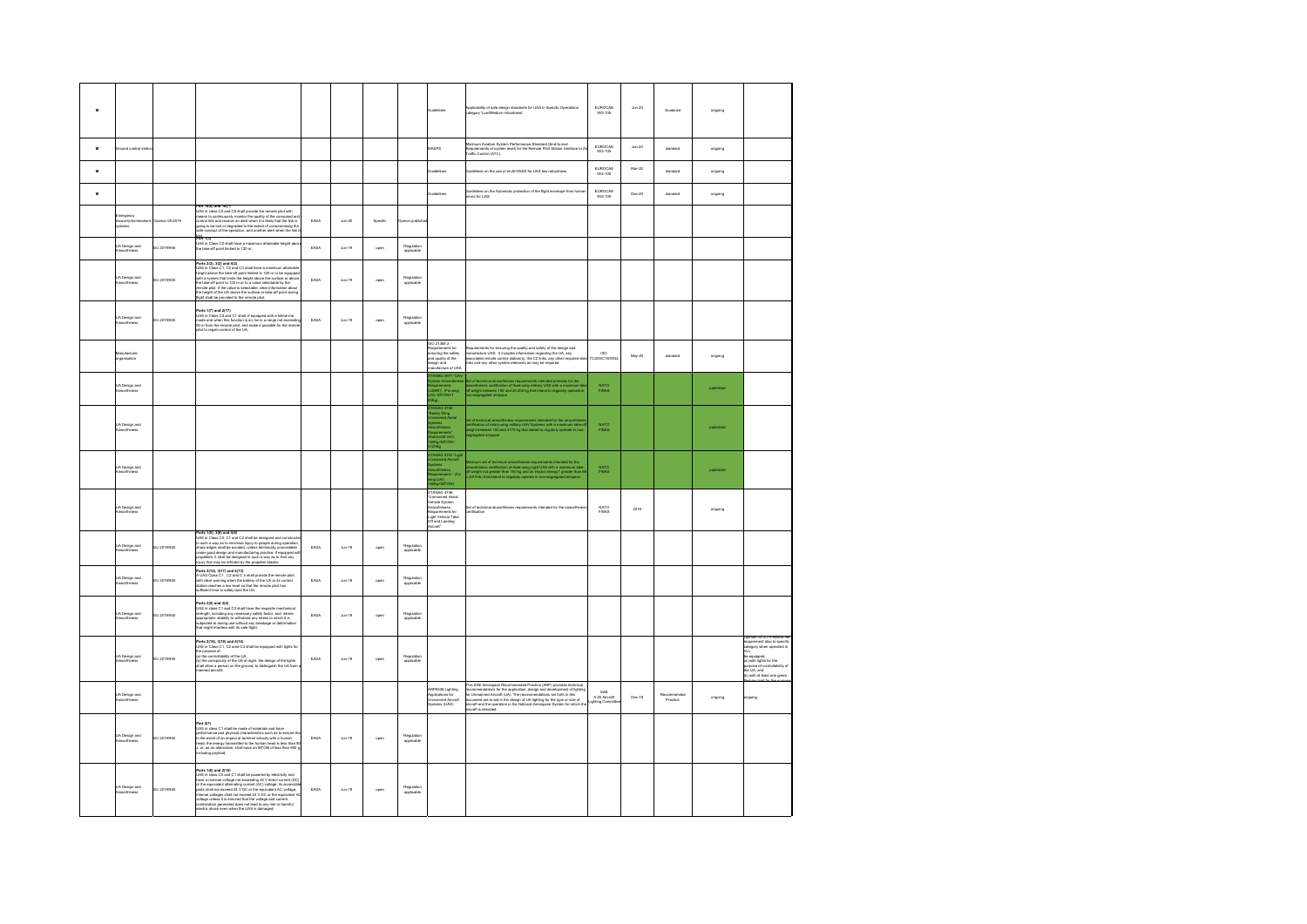| $\mathbf{M}$     |                                       |                 |                                                                                                                                                                                                                                                                                                                                                                                                                                             |      |                    |          |                          | idalinas                                                                                                                                                                                                                                                                                                                                                                                                                                     | plicability of safe design standards for UAS in Specific Operations<br>Agory 'Low/Medium robustness'                                                                                                                                    | EUROCAE<br>WG-105                    | <b>Jun 20</b> | Guidance               | ongoing   |                                                                                                                                                                                                             |
|------------------|---------------------------------------|-----------------|---------------------------------------------------------------------------------------------------------------------------------------------------------------------------------------------------------------------------------------------------------------------------------------------------------------------------------------------------------------------------------------------------------------------------------------------|------|--------------------|----------|--------------------------|----------------------------------------------------------------------------------------------------------------------------------------------------------------------------------------------------------------------------------------------------------------------------------------------------------------------------------------------------------------------------------------------------------------------------------------------|-----------------------------------------------------------------------------------------------------------------------------------------------------------------------------------------------------------------------------------------|--------------------------------------|---------------|------------------------|-----------|-------------------------------------------------------------------------------------------------------------------------------------------------------------------------------------------------------------|
| M                | und control sta                       |                 |                                                                                                                                                                                                                                                                                                                                                                                                                                             |      |                    |          |                          | ASPS                                                                                                                                                                                                                                                                                                                                                                                                                                         | Animum Aviation System Performance Standard (End-to-end<br>Requirements at system level) for the Remote Pilot Station interface to:<br>raffic Control (ATC).                                                                            | EUROCAE<br>WG-105                    | $Jun-20$      | standard               | ongoing   |                                                                                                                                                                                                             |
| $\boldsymbol{u}$ |                                       |                 |                                                                                                                                                                                                                                                                                                                                                                                                                                             |      |                    |          |                          |                                                                                                                                                                                                                                                                                                                                                                                                                                              | hes on the use of multi-GNSS for UAS low robustness                                                                                                                                                                                     | EUROCAE<br>WG-105                    | Mar-20        | standard               | ongoing   |                                                                                                                                                                                                             |
| $\mathbf{M}$     |                                       |                 |                                                                                                                                                                                                                                                                                                                                                                                                                                             |      |                    |          |                          | delines                                                                                                                                                                                                                                                                                                                                                                                                                                      | uidelines on the Automatic protection of the flight envelope from human<br>tors for UAS                                                                                                                                                 | EUROCAE<br>WG-105                    | $Dec-20$      | standard               | ongoing   |                                                                                                                                                                                                             |
|                  | nergency<br>ecovery/term<br>stemi     | pinion 05-2019  | Part 16(6) and 16(7)<br>UAS in class C5 and C6 shall provide the remote pilot with<br>eans to continuously monitor the quality of the command and<br>introl link and receive an alert when it is likely that the link is<br>sing to be lost or degraded to the extent of compromising the<br>de conduct of the operation, and another alert when the link<br>art 1(3)                                                                       | EASA | $_{\text{Jun-20}}$ | Specific | Opinon publish           |                                                                                                                                                                                                                                                                                                                                                                                                                                              |                                                                                                                                                                                                                                         |                                      |               |                        |           |                                                                                                                                                                                                             |
|                  | JA Design and<br>invorthiness         | U 2019/945      | wrt 1(a)<br>IAS in Class C0 shall have a maximum attainable height abo<br>e take-off point limited to 120 m:                                                                                                                                                                                                                                                                                                                                | EASA | $_{\text{Jun-19}}$ | open     | Regulation<br>applicable |                                                                                                                                                                                                                                                                                                                                                                                                                                              |                                                                                                                                                                                                                                         |                                      |               |                        |           |                                                                                                                                                                                                             |
|                  | UA Design and<br>Nineorthiness        | EU 2019/945     | Parts 2(3), 3(2) and 4(2)<br>UAS in Class C1, C2 and C3 shall have a maximum attainable<br>height above the take-off point limited to 120 m or be equipped<br>with a system that limits the height above the surface or above<br>the take-<br>$\alpha$ wave to plot. If the value is selectable, clear information about<br>the height of the UA above the surface or take-off point during<br>light shall be provided to the remote pilot. | EASA | $_{\text{Aln-19}}$ | open     | Regulation<br>applicable |                                                                                                                                                                                                                                                                                                                                                                                                                                              |                                                                                                                                                                                                                                         |                                      |               |                        |           |                                                                                                                                                                                                             |
|                  | <b>JA Design and</b><br>Virworthiness | EU 2019/945     | arts 1(7) and 2(17)<br>- o in Class C0 and C1 shall, if equipped with a follow-me<br>v=rts 11/1 and 2(17)<br>UAS in Class CO and C1 shall, if equipped with a follow-me<br>mode and when this luncifor is on, be in a range not exceeding<br>SO m from the remote pilot, and make it possible for the remot<br>biot to regain c                                                                                                             | EASA | $_{\text{dun-19}}$ | open     | Regulation<br>applicable |                                                                                                                                                                                                                                                                                                                                                                                                                                              |                                                                                                                                                                                                                                         |                                      |               |                        |           |                                                                                                                                                                                                             |
|                  | ufacturer<br>rganisation              |                 |                                                                                                                                                                                                                                                                                                                                                                                                                                             |      |                    |          |                          | 80 21384-2 -<br>iquirements for<br>suring the safety<br>nd quality of the<br>iign and<br>nufacture of LIAS                                                                                                                                                                                                                                                                                                                                   | rquirements for ensuring the quality and safety of the design and<br>anufacture UAS. It includes information regarding the UA, any<br>sociated remote control station(s), the C2 links, any other required data<br>is and any other sys | ISO<br>TC20/SC16/WG                  | May-20        | standard               | ongoing   |                                                                                                                                                                                                             |
|                  | JA Design and<br><b>kinecritiness</b> |                 |                                                                                                                                                                                                                                                                                                                                                                                                                                             |      |                    |          |                          | -<br>TANAG 4671 "UA<br>ystem Airworthine<br><b>irements</b><br>SARJ". (Fix wing<br>V, MTOW>1                                                                                                                                                                                                                                                                                                                                                 | let of technical airworthiness requirements intended primarily for the<br>invorthinese certification of fixed-wing military UAS with a maximum tal<br>d'weight batween 150 and 20,000 kg that intend to regularly operate in<br>on-segr | NATO<br>FINAS                        |               |                        | published |                                                                                                                                                                                                             |
|                  | JA Design and<br>Nineorthiness        |                 |                                                                                                                                                                                                                                                                                                                                                                                                                                             |      |                    |          |                          | <b>TANAG 4702</b><br>ary Wing<br>nanned Aerial<br>ems<br>orthiness<br>sirementsi<br>.<br>Iororaft LIAV<br>Kg <mtow<< td=""><td>airworthiness require<br/>nts intended for the airv<br/>refication of rotary-wing military UAV Systems with a maximum take-<br/>sight between 150 and 3175 kg that intend to regularly operate in non<br/>gregated airspace</td><td>NATO<br/>FINAS</td><td></td><td></td><td>published</td><td></td></mtow<<> | airworthiness require<br>nts intended for the airv<br>refication of rotary-wing military UAV Systems with a maximum take-<br>sight between 150 and 3175 kg that intend to regularly operate in non<br>gregated airspace                 | NATO<br>FINAS                        |               |                        | published |                                                                                                                                                                                                             |
|                  | <b>JA Design and</b><br>Nineorthiness |                 |                                                                                                                                                                                                                                                                                                                                                                                                                                             |      |                    |          |                          | FANAG 4703 "Ligh<br>nmanned Aucrail<br>rworthiness<br>rworthiness<br>equirements". (Fix<br>ing UAV,<br>iGKg-MTOW).                                                                                                                                                                                                                                                                                                                           | linimum set of technical aireorthinese requirements intended for the<br>inventhinese centrication of froed-wing Light UAS with a maximum take<br>d'weight not greater than 150 kg and an impact energy! greater than 6<br>(49 ft-b) tha | NATO<br>FINAS                        |               |                        | published |                                                                                                                                                                                                             |
|                  | .<br>IA Design and<br>Linunrthiness   |                 |                                                                                                                                                                                                                                                                                                                                                                                                                                             |      |                    |          |                          | STANAG 4746<br>Unmanned Aerial<br>Vehicle System<br>Nequirements for<br>Requirements for<br>Jight Vertical Take<br>If and Landing                                                                                                                                                                                                                                                                                                            | et of technical airworthiness requirements intended for the airworthin                                                                                                                                                                  | NATO<br>FINAS                        | 2018          |                        | ongoing   |                                                                                                                                                                                                             |
|                  | JA Design and<br>Ainvorthiness        | EU 2019/945     | Parts 1(5), 3(6) and 4(6)<br>Parts 1(5), 3(6) and 4(6)<br>UAS in Class C0, C1 and C2 shall be designed and constructe<br>in such a way as to minimise injury to people during operation,<br>sharp edges shall be avoided, unleas technically unavoidable<br>under good<br>njury that may be inflicted by the propeller blades;                                                                                                              | EASA | $_{\text{Jun-19}}$ | open     | Regulation<br>applicable |                                                                                                                                                                                                                                                                                                                                                                                                                                              |                                                                                                                                                                                                                                         |                                      |               |                        |           |                                                                                                                                                                                                             |
|                  | <b>JA Design and</b><br>Linunethiness | EU 2019/945     | arts 2(15), 3(17) and 4(13)<br>arms 4 (19), aptivism a 4(19)<br>- UAS Class C1, C2 and C 3 shall provide the remote pilot<br>th clear warning when the battery of the UA or its control<br>lation reaches a low level so that the remote pilot has<br>ufficient time to s                                                                                                                                                                   | EASA | Ann.19             | open     | Regulation<br>applicable |                                                                                                                                                                                                                                                                                                                                                                                                                                              |                                                                                                                                                                                                                                         |                                      |               |                        |           |                                                                                                                                                                                                             |
|                  | <b>UA Design and</b><br>Airworthiness | EU 2019/945     | Parts 2(5) and 3(4)<br>JAS in class C1 and C2 shall have the requisite me<br>strength, including any necessary safety factor, and, where<br>appropriate, stability to withstand any stress to which it is<br>appropriate, stability to withstand any breakage or deformation<br>that might interfere with its safe f                                                                                                                        | EASA | $_{\text{Jun-19}}$ | open     | Regulation<br>applicable |                                                                                                                                                                                                                                                                                                                                                                                                                                              |                                                                                                                                                                                                                                         |                                      |               |                        |           |                                                                                                                                                                                                             |
|                  | JA Design and<br>Virworthiness        | EU 2019/945     | .<br>Parts 2(16), 3(18) and 4(14)<br>JAS in Class C1, C2 amd C3 shall be equipped with lights for<br>ured in custom of , call antis cut announced explorer men egities to<br>the purpose of:<br>(a) the controllability of the UA, at right, the design of the lights<br>hall allow a person on the ground, to distinguish the UA from<br>anned aircraft                                                                                    | EASA | $_{\text{Jun-19}}$ | open     | Regulation<br>applicable |                                                                                                                                                                                                                                                                                                                                                                                                                                              |                                                                                                                                                                                                                                         |                                      |               |                        |           | .<br>Iquirement also to specific<br>Integory when operated in<br>VLL<br>be equipped:<br>(a) with lights for the<br>urpose of controllability of<br>the UA: and<br>ne un, and<br>(b) with at least one green |
|                  | .<br>UA Design and<br>Ninrorthiness   |                 |                                                                                                                                                                                                                                                                                                                                                                                                                                             |      |                    |          |                          | RP6336 Lighting<br>plications for<br>manned Aircraft<br>stems (UAS)                                                                                                                                                                                                                                                                                                                                                                          | This SAE Aerospace Recommended Practice (ARP) provides technical<br>recommendations for the application, design and development of lighting<br>for Umranned Aircraft (UA). The recommendations ast forth in this<br>document are to aid | SAE<br>A-20 Aircraft<br>ighting Comm | Dec-18        | ecommended<br>Practice | ongoing   | priogno                                                                                                                                                                                                     |
|                  | .<br>Linunethiness                    | EU 2019/945     | rt2(1)<br><b>PART 2(1)</b><br>(UAS in class C1 shall be made of materials and have $\frac{1}{2}$ (UAS) in class C1 shall be made of materials and has been considered that in the event of an impact at fearminal velocity with a human<br>head, the e<br>sting payload;                                                                                                                                                                    | EASA | $_{\text{dun-19}}$ | open     | Regulation<br>applicable |                                                                                                                                                                                                                                                                                                                                                                                                                                              |                                                                                                                                                                                                                                         |                                      |               |                        |           |                                                                                                                                                                                                             |
|                  | <b>IA Design and</b><br>inworthiness  | <b>RUPITION</b> | <b>Parts 1(6) and 2(10)</b><br>WAS In data CD and C11 shall be powered by electricity and UMS in diaso CO and C1 shall be powered by absorbing (DC)<br>have a nominal voltage not exceeding 24 V direct current (DC)<br>or the equivalent a                                                                                                                                                                                                 | FASA | $_{\text{Aln-19}}$ | open     | Regulation<br>applicable |                                                                                                                                                                                                                                                                                                                                                                                                                                              |                                                                                                                                                                                                                                         |                                      |               |                        |           |                                                                                                                                                                                                             |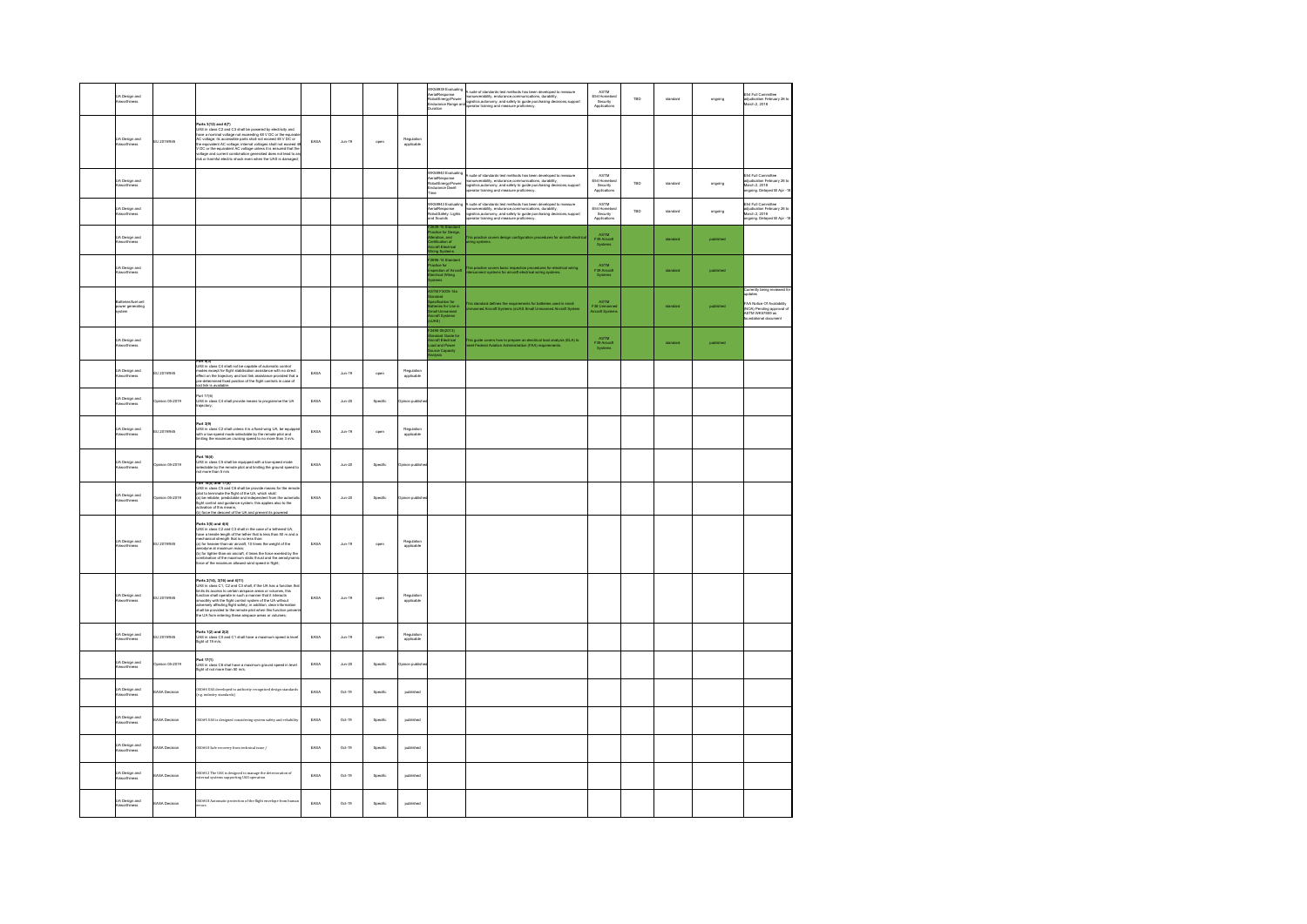| .<br>UA Design and<br>Ainvorthiness           |                     |                                                                                                                                                                                                                                                                                                                                                            |      |                    |          |                          | K58939 Evaluating<br>eria/Response<br>tobotEnergy/Power:<br>:ndurance Range an                 | i suite of standards test methods has been developed to measure<br>nemuverativity, endurance,communications, durability,<br>ogistics,autonomy, and safety to guide purchasing decisions,support<br>perator training and measure profici          | $\mathsf{ASTM}\xspace$<br>E54 Homeland<br>Security<br>Applications | TRO | standard | ongoing   | 1<br>E54 Full Committee<br>whydication February 26 to<br>March 2, 2018                                                                        |
|-----------------------------------------------|---------------------|------------------------------------------------------------------------------------------------------------------------------------------------------------------------------------------------------------------------------------------------------------------------------------------------------------------------------------------------------------|------|--------------------|----------|--------------------------|------------------------------------------------------------------------------------------------|--------------------------------------------------------------------------------------------------------------------------------------------------------------------------------------------------------------------------------------------------|--------------------------------------------------------------------|-----|----------|-----------|-----------------------------------------------------------------------------------------------------------------------------------------------|
| .<br>UA Design and<br>Ainvorthiness           | EU 2019/945         | <b>Parts 3(12) and 4(7)</b><br>(USB) and 4(7) and 5 shall be powered by electricity and (USB) in class C2 and C3 shall be powered by 4(eC or the equivalent line with the complete line state and 4 UCC or the equivalent line comple                                                                                                                      | EASA | $_{\text{Jun-19}}$ | open     | Regulation<br>applicable |                                                                                                |                                                                                                                                                                                                                                                  |                                                                    |     |          |           |                                                                                                                                               |
| UA Design and<br>Ainvorthiness                |                     |                                                                                                                                                                                                                                                                                                                                                            |      |                    |          |                          | K58940 Evaluating<br>aria/Response<br>abotEnergy/Power:<br>vdurance Dwell                      | suite of standards test methods has been developed to measure<br>nerwowshility, endurance,communications, durability,<br>gialitics,suitnomy, and safety to guide purchasing decisions,support<br>perator training and measure proficien          | ASTM<br>E54 Homelan<br>Security<br>Applications                    | TBD | standard | ongoing   | E54 Full Committee<br>adjudication February 26 to<br>March 2, 2018<br>ongoing. Delayed till Apr -18                                           |
| JA Design and<br>kineorthiness                |                     |                                                                                                                                                                                                                                                                                                                                                            |      |                    |          |                          | K58943 Evaluatin<br>arialResponse<br>abotSafety: Lights<br>nd Sounds                           | suite of standards test methods has been developed to measure<br>.<br>nanueverability, endurance.communications, durability,<br>ogisitics,autonomy, and safety to guide purchasing decisions,support<br>erator training and measure proficiency. | ASTM<br>E54 Homeland<br>Security<br>Applications                   | TBD | standard | ongoing   | <b>E54 Full Committee</b><br>adjudication February 26 to<br>March 2, 2018<br>March 2, 2018<br>engoing. Delayed till Apr -18                   |
| .<br>UA Design and<br>Nineothiness            |                     |                                                                                                                                                                                                                                                                                                                                                            |      |                    |          |                          | 39-15 Standar<br>clice for Designation, and<br>tification of<br>raft Electrical<br>ing Systems | is practice co<br>ring systems.                                                                                                                                                                                                                  | ASTM<br>F39 Aircraft<br>Systems                                    |     | standard | published |                                                                                                                                               |
| UA Design and<br>Airworthiness                |                     |                                                                                                                                                                                                                                                                                                                                                            |      |                    |          |                          | 696-14 Standard<br>actice for<br>ction of Aircraft<br>trical Wiring                            | his practice covers basic inspection procedures for electrics<br>terconnect systems for aircraft electrical wiring systems.                                                                                                                      | ASTM<br>F39 Aircraft<br>Systems                                    |     | standard | published |                                                                                                                                               |
| eries/fuel cell<br>power generating<br>vystem |                     |                                                                                                                                                                                                                                                                                                                                                            |      |                    |          |                          | .<br>TM F3005-14a<br>dard<br>ification for<br>iries for Use in<br>ill Unmanned<br>raft Systems | is standard defines the requirements for batteries used in small<br>manned Aircraft Systems (sUAS Small Unmanned Aircraft System                                                                                                                 | ASTM<br>F38 Unman<br>Aircraft Syste                                |     | standard | published | Currently being reviewed<br>pdates<br>-<br>AA Notice Of Availability<br>(NOA) Pending approval of<br>ASTM WK57659 as<br>foundational document |
| UA Design and<br>Ainvorthiness                |                     |                                                                                                                                                                                                                                                                                                                                                            |      |                    |          |                          | 100-05(2013)<br>ndard Guide for<br>raft Electrical<br>id and Power<br>roe Capacity             | his guide covers how to prepare an electrical load analysis (ELA) to<br>leet Federal Aviation Administration (FAA) requirements.                                                                                                                 | ASTM<br>F39 Aircraft                                               |     | standard | published |                                                                                                                                               |
| JA Design and<br>Nineorthiness                | EU 2019/945         | Part 5(3)<br>JAS in class C4 shall not be capable of automatic control<br>modes except for flight stabilisation assistance with no direct<br>effect on the trajectory and lost link assistance provided that a<br>re-determined fixed position of the flight controls in case of<br>st link is available:                                                  | EASA | $_{\text{Aln-19}}$ | open     | Regulation<br>applicable |                                                                                                |                                                                                                                                                                                                                                                  |                                                                    |     |          |           |                                                                                                                                               |
| JA Design and<br>.<br>Invochi                 | Joinion 05-2019     | art 17/AV<br>runs 17(6)<br>UAS in class C4 shall provide means to programme the UA<br>trajectory;                                                                                                                                                                                                                                                          | EASA | $_{\text{Aln-20}}$ | Specific | teinon publish           |                                                                                                |                                                                                                                                                                                                                                                  |                                                                    |     |          |           |                                                                                                                                               |
| UA Design and<br>Aineorthiness                | EU 2019/945         | Part 3(9)<br>UAS in class C2 shall unless it is a fixed-wing UA, be equippe<br>with a low-speed mode selectable by the remote pilot and<br>timiting the maximum orisiang speed to no more than 3 m/s.                                                                                                                                                      | EASA | $_{\text{Jun-19}}$ | open     | Regulation<br>applicable |                                                                                                |                                                                                                                                                                                                                                                  |                                                                    |     |          |           |                                                                                                                                               |
| <b>JA Design and</b><br>Ninvorthiness         | Dainion 05-2019     | art 16(4)<br>rums<br>LIAS in class C5 shall be equipped with a low-speed mode<br>selectable by the remote pilot and limiting the ground speed to<br>not more than 5 m/s                                                                                                                                                                                    | EASA | $_{\text{Aln-20}}$ | Specific | pinon publish            |                                                                                                |                                                                                                                                                                                                                                                  |                                                                    |     |          |           |                                                                                                                                               |
| <b>UA Design and</b><br>Ainvorthiness         | pinion 05-2019      | Part 16(5) and 17(5)<br><b>Part 16(5) and 17(5)</b><br>UAS in class CS and C6 shall be provide means for the remote plot to terminate the flight of the LIA, which shall:<br>(a) be reliable, predictable and independent from the automatic<br>(a) be reliable, pr                                                                                        | EASA | $_{\text{Jun-20}}$ | Specific | on publis                |                                                                                                |                                                                                                                                                                                                                                                  |                                                                    |     |          |           |                                                                                                                                               |
| .<br>UA Design and<br>Ainvorthiness           | EU 2019/945         | Parts 3(5) and 4(4)<br>UAS in close C2 and C3 shall in the case of a tethered UA,<br>UAS in close C2 and C3 shall in the case of a tethered UA,<br>mechanical sheepth right in the new theorem.<br>Second UAS in the case of the case of t<br>cribination of the maximum static thrust and the aerodyni<br>roe of the maximum allowed wind speed in fight; | EASA | $_{\text{Ann-19}}$ | open     | Regulation<br>applicable |                                                                                                |                                                                                                                                                                                                                                                  |                                                                    |     |          |           |                                                                                                                                               |
| .<br>UA Design and<br>Ainvorthiness           | EU 2019/945         | <b>Parts 2(14), 3(15) and 4(11)</b> and 100 and 100 and 100 and 100 and 100 and 100 and 100 and 100 and 100 and 100 and 100 and 100 and 100 and 100 and 100 and 100 and 100 and 100 and 100 and 100 and 100 and 100 and 100 and 10                                                                                                                         | EASA | $_{\text{dun-19}}$ | open     | Regulation<br>applicable |                                                                                                |                                                                                                                                                                                                                                                  |                                                                    |     |          |           |                                                                                                                                               |
| <b>JA Design and</b><br>Ninvorthiness         | EU 2019/945         | arts 1(2) and 2(2)<br>.<br>IAS in class C0 and C1 shall have a maximum speed in level<br>ight of 19 mls;                                                                                                                                                                                                                                                   | FASA | Ans.19             | open     | Regulation<br>applicable |                                                                                                |                                                                                                                                                                                                                                                  |                                                                    |     |          |           |                                                                                                                                               |
| JA Design and<br>nexthiness                   | pinion 05-2019      | Part 17(1)<br>UAS in class C6 shal have a maximum ground speed in level<br>flight of not more than 50 m/s;                                                                                                                                                                                                                                                 | EASA | $_{\text{Jun-20}}$ | Specific | n publis                 |                                                                                                |                                                                                                                                                                                                                                                  |                                                                    |     |          |           |                                                                                                                                               |
| JA Design and<br>Ninvorthiness                | <b>ASA Decision</b> | $\rm{150044~IIAS}$ developed to authority recognized design standards (e.g. industry standards)                                                                                                                                                                                                                                                            | EASA | $Oct-19$           | Specific | published                |                                                                                                |                                                                                                                                                                                                                                                  |                                                                    |     |          |           |                                                                                                                                               |
| <b>JA Design and</b><br>Ninvorthiness         | EASA Decision       | OSO#S UAS is designed considering system safety and reliability                                                                                                                                                                                                                                                                                            | EASA | Oct-19             | Specific | published                |                                                                                                |                                                                                                                                                                                                                                                  |                                                                    |     |          |           |                                                                                                                                               |
| UA Design and<br>Airworthiness                | <b>ASA Decision</b> | 50#10 Safe recovery from technical issue /                                                                                                                                                                                                                                                                                                                 | EASA | $Oct-19$           | Specific | published                |                                                                                                |                                                                                                                                                                                                                                                  |                                                                    |     |          |           |                                                                                                                                               |
| UA Design and<br>Nineorthiness                | -<br>ASA Decision   | ISO#12 The UAS is designed to manage the deterioration of<br>xternal systems supporting UAS operation                                                                                                                                                                                                                                                      | EASA | $Oct-19$           | Specific | published                |                                                                                                |                                                                                                                                                                                                                                                  |                                                                    |     |          |           |                                                                                                                                               |
| UA Design and<br>Airworthiness                | EASA Decision       | SO#18 Automatic protection of the flight envelope from human                                                                                                                                                                                                                                                                                               | EASA | Oct-19             | Specific | published                |                                                                                                |                                                                                                                                                                                                                                                  |                                                                    |     |          |           |                                                                                                                                               |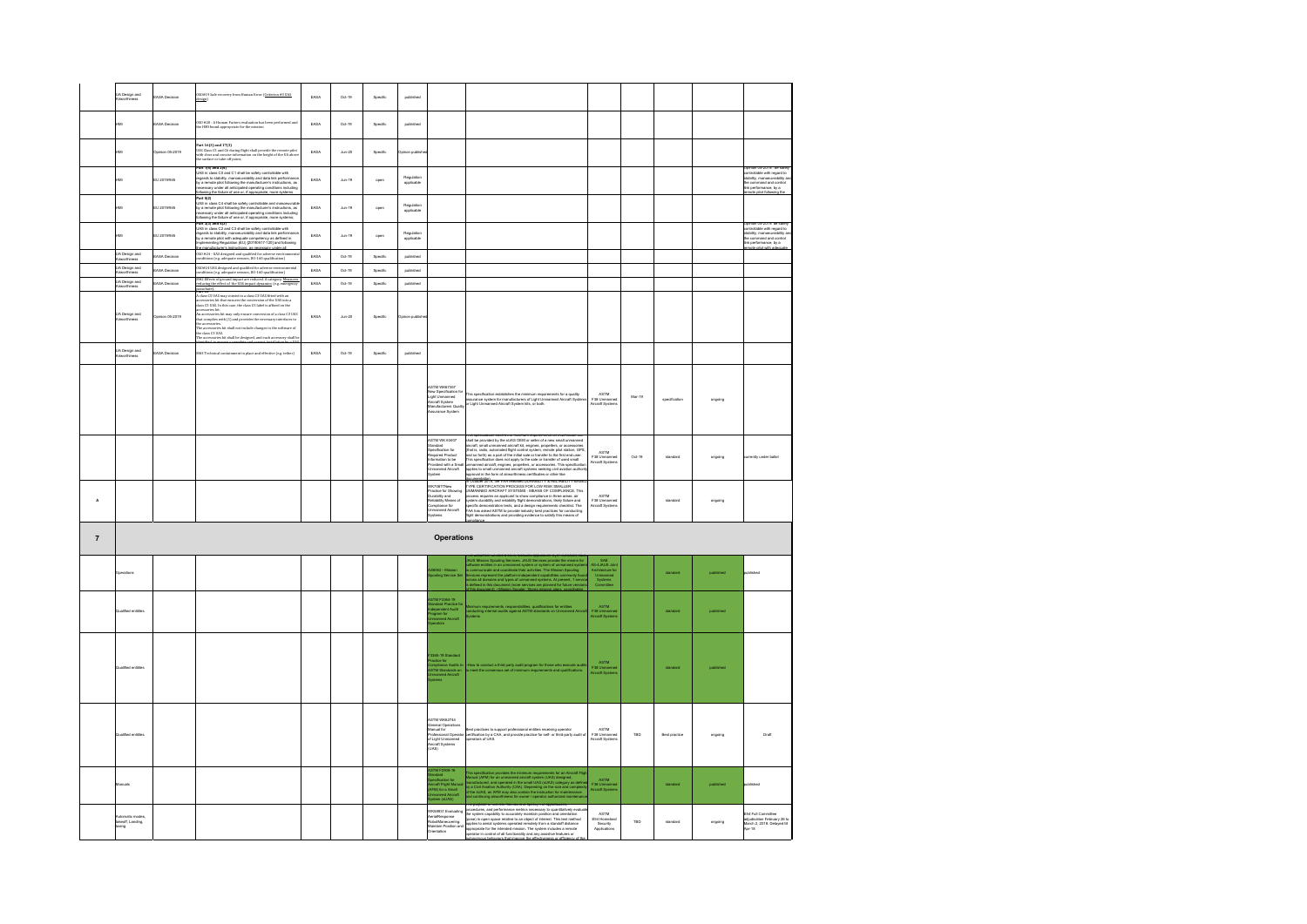|                         | .<br>A Design and<br>Vinicethiness            | <b>ASA Decision</b>    | 00419 Safe recovery from Human Error (Criterion #3 UAS                                                                                                                                                                                                                                                                  | FASA | 0.449              | Specific | published                |                                                                                                                                                           |                                                                                                                                                                                                                                                                                                                                                                                                |                                                                              |          |               |           |                                                                                                                                                    |
|-------------------------|-----------------------------------------------|------------------------|-------------------------------------------------------------------------------------------------------------------------------------------------------------------------------------------------------------------------------------------------------------------------------------------------------------------------|------|--------------------|----------|--------------------------|-----------------------------------------------------------------------------------------------------------------------------------------------------------|------------------------------------------------------------------------------------------------------------------------------------------------------------------------------------------------------------------------------------------------------------------------------------------------------------------------------------------------------------------------------------------------|------------------------------------------------------------------------------|----------|---------------|-----------|----------------------------------------------------------------------------------------------------------------------------------------------------|
|                         | iM                                            | <b>ASA Decision</b>    | .<br>SO #20 - A Human Factors evaluation has been performed and<br>se HMI found appropriate for the mission                                                                                                                                                                                                             | EASA | $Oct-19$           | Specific | published                |                                                                                                                                                           |                                                                                                                                                                                                                                                                                                                                                                                                |                                                                              |          |               |           |                                                                                                                                                    |
|                         | iM                                            | pinion 05-2019         | art 16(3) and 17(3)<br>ting flight shall provide the remote pilot<br>rformation on the height of the UA above<br>e surface or take-off point:                                                                                                                                                                           | EASA | $_{\text{Ann-20}}$ | Specific | non publis               |                                                                                                                                                           |                                                                                                                                                                                                                                                                                                                                                                                                |                                                                              |          |               |           |                                                                                                                                                    |
|                         | нM                                            | EU 2019/945            | Part 1(4) and 2(4)<br>UAS in close CO and C1 shall be safely controllable with<br>regards to stability, manoeuvrability and data link performance<br>by a remote pilot following the manufacturer's instructions, as<br>necessary under al                                                                              | EASA | $_{\text{Aln-19}}$ | open     | Rendeting<br>applicable  |                                                                                                                                                           |                                                                                                                                                                                                                                                                                                                                                                                                |                                                                              |          |               |           | Opinion 05-2019:: be safe<br>controllable with regard to<br>stability, manoscurability a<br>the command and control<br>link performance, by a      |
|                         | нM                                            | EU 2019/945            | obleaved fluctuation of the control of the control of the control of the factor<br>JMS in class C4 shall be safely controllable and manosuveable<br>by a remote pite following the manufacturer's instructions, as<br>necessary under a                                                                                 | EASA | $_{\text{Aln-19}}$ | open     | Regulation<br>applicable |                                                                                                                                                           |                                                                                                                                                                                                                                                                                                                                                                                                |                                                                              |          |               |           | to nãos foilin                                                                                                                                     |
|                         | нM                                            | EU 2019/945            | bilomong Bre latiure of one or, if appropriate, more systems;<br>Part 3(3) and 4(3)<br>UAS in class C2 and C3 shall be safely controllable with<br>uAS in class C2 and C3 shall be safely controllable with<br>region remote plot with ade                                                                              | EASA | $_{\text{Aln-19}}$ | open     | Regulation<br>applicable |                                                                                                                                                           |                                                                                                                                                                                                                                                                                                                                                                                                |                                                                              |          |               |           | Opinion 05-2019: be safely<br>controllable with regard to<br>stability, manoeuvrability as<br>the command and control<br>ink perform<br>ance, by a |
|                         | .<br>UA Design and<br>Aineorthiness           | ASA Decision           | a manuscuster a massaceuse as moderates sense<br>50 #24 - UAS designed and qualified for adverse environ<br>mditions (e.g. adequate sensors, DO-160 qualification)                                                                                                                                                      | EASA | $Oct-19$           | Specific | published                |                                                                                                                                                           |                                                                                                                                                                                                                                                                                                                                                                                                |                                                                              |          |               |           | ote pilot with an                                                                                                                                  |
|                         | JA Design and                                 | ASA Decision           | SO#24 UAS designed and qualified for adverse environmental<br>seditions (e.g. adequate sensors, DO-160 qualification)<br>t#2 Effects of ground impact are reduced. A category. <u>Measures</u><br>educing the effect of the UAS impact dynam                                                                            | EASA | $Oct-19$           | Specific | published                |                                                                                                                                                           |                                                                                                                                                                                                                                                                                                                                                                                                |                                                                              |          |               |           |                                                                                                                                                    |
|                         | UA Design and<br>Airworthiness                | ARA Devision           |                                                                                                                                                                                                                                                                                                                         | FASA | 0.4.19             | Specific | published                |                                                                                                                                                           |                                                                                                                                                                                                                                                                                                                                                                                                |                                                                              |          |               |           |                                                                                                                                                    |
|                         | UA Design and<br>Ainvorthiness                | <b>Joinion 05-2019</b> | ифа<br><b>SHEWAY</b><br>class CS UAS may consist in a class CS UAS fitted with an accessories left that ensures the conversion of the UAS into a<br>lass CS UAS. In this case, the class CS label is affixed on the<br>consorties left.<br>the accesso<br>ut complies with (1) and provides the necessary interfaces to | EASA | $_{\text{Ann-}20}$ | Specific | inon publis              |                                                                                                                                                           |                                                                                                                                                                                                                                                                                                                                                                                                |                                                                              |          |               |           |                                                                                                                                                    |
|                         | UA Design and<br>Ainvorthiness                | ASA Decision           | $\pm 3$ Technical containment in place and effective (e.g. tether)                                                                                                                                                                                                                                                      | EASA | $Oct-19$           | Specific | published                |                                                                                                                                                           |                                                                                                                                                                                                                                                                                                                                                                                                |                                                                              |          |               |           |                                                                                                                                                    |
|                         |                                               |                        |                                                                                                                                                                                                                                                                                                                         |      |                    |          |                          | <b>ASTM WK67357</b><br>lew Specification for<br>Jight Unmanned<br>Vircraft System<br>Manufacturers Qualit<br>Vissurance System                            | .<br>This specification establishes the minimum requirements for a quality<br>issurance system for manufacturers of Light Unmanned Aircraft Syste<br>ir Light Unmanned Aircraft System kits, or both.                                                                                                                                                                                          | ASTM<br>F38 Unmanner<br>Aircraft System                                      | Mar-19   | specification | ongoing   |                                                                                                                                                    |
|                         |                                               |                        |                                                                                                                                                                                                                                                                                                                         |      |                    |          |                          | STM WK 63407<br>ndard<br>pecification for<br>r-memoration for<br>Vaquired Product<br>formation to be<br>vovided with a Smu<br>tranned Aircraft<br>stem    | ung the me<br>ants for min<br>hall be provided by the sUAS OEM or seller of a new small unmanned<br>which by provides by the added CoM of selected in a low-training interactional and the projection of the control of the control of the selected control of the selected provides and so born) as a part of the brind state to<br>Cultural 2019 the FAA relat<br>M DURARI ITY & RELIABLITYJ | ASTM<br>F38 Ummanner<br>Aircraft Systems                                     | $Oct-19$ | standard      | ongoing   | urrently under ballot                                                                                                                              |
| $\mathbf{A}$            |                                               |                        |                                                                                                                                                                                                                                                                                                                         |      |                    |          |                          | VK70877New<br>ractice for Showing<br>necedur for onowing<br>urability Means of<br>templiance for<br>temanned Aircraft<br>ystems                           | VPE CERTIFICATION PROCESS FOR LOW RISK SMALLER<br>NMANNED AIRCRAFT SYSTEMS - MEANS OF COMPLIANCE. This<br>orenomente automation en ora termo - mezeuro un cuentralemonato internacional anticological and applicant to show compliance in three ansatz air<br>system durability and reliability flight demonstrations, likely failure and<br>p                                                 | ASTM<br>F38 Unmanned<br>Aircraft Systems                                     |          | standard      | ongoing   |                                                                                                                                                    |
| $\overline{\mathbf{7}}$ |                                               |                        |                                                                                                                                                                                                                                                                                                                         |      |                    |          |                          | <b>Operations</b>                                                                                                                                         |                                                                                                                                                                                                                                                                                                                                                                                                |                                                                              |          |               |           |                                                                                                                                                    |
|                         | Doerations                                    |                        |                                                                                                                                                                                                                                                                                                                         |      |                    |          |                          | 1062 - Mission<br>oling Service Se                                                                                                                        | Mission Spooling Services. JAUS Services provide the mea<br>we entities in an unmanned system or system of urmanned<br>municate and coordinate their activities. The Mission Spool<br>ws represent the platform-independent capabilitie                                                                                                                                                        | SAE<br>AS-4JAUS Join<br>Architecture for<br>Unmarmed<br>Systems<br>Committee |          | standard      | published | dished                                                                                                                                             |
|                         | saified entitle                               |                        |                                                                                                                                                                                                                                                                                                                         |      |                    |          |                          | STM F3364-19<br>andard Practice f<br>dependent Audit<br>ogram for<br>imanned Aircraft                                                                     | s requirements, responsibilities, qualifications for entities<br>Ig internal audits against ASTM standards on Upmanne                                                                                                                                                                                                                                                                          | ASTM<br>F38 Unmar<br>Aircraft Syst                                           |          |               |           |                                                                                                                                                    |
|                         | ified entitle                                 |                        |                                                                                                                                                                                                                                                                                                                         |      |                    |          |                          | 365-19 Standard<br>Ictice for<br>mpliance Audits t<br>TM Standards or<br>mannert Airmret                                                                  | anduat a third party audit program for those who :<br>a consensus set of minimum requirements and q:                                                                                                                                                                                                                                                                                           | ASTM<br>F38 Unman<br>Aircraft Syst                                           |          | standard      | published |                                                                                                                                                    |
|                         | Qualified entities                            |                        |                                                                                                                                                                                                                                                                                                                         |      |                    |          |                          | <b>STM WK62744</b><br>ים זות vvrozz+<br>Seneral Operations<br>Aanual for<br>Yofessional Operato<br>of Light Unmanned<br>ürcraft Systems<br>UAS)           | lest practices to support professional entities receiving operator<br>entification by a CAA, and provide practice for self- or third-party audit of<br>perators of UAS.                                                                                                                                                                                                                        | ASTM<br>F38 Unmanned<br>Aircraft Systems                                     | TBD      | Best practice | ongoing   | Draft                                                                                                                                              |
|                         | Aenuels                                       |                        |                                                                                                                                                                                                                                                                                                                         |      |                    |          |                          | TM F2908-16<br>s im Pzikie- ie<br>pacification for<br>ircraft Flight Manua<br>n-Manuard Aircraft<br>n-manuard Aircraft<br>n-manuard Aircraft<br>m (sLIAS) | This specification provides the minimum requirements for an Aircraft File<br>farmul (AFM) for an unmanned aircraft system (UAS) designed, in<br>nanufactured, and operated in the small UAS (AUAS) category as defined<br>any a Chil Av                                                                                                                                                        | ASTM<br>F38 Unmann<br>Aircraft Syste                                         |          | standard      | published | dished                                                                                                                                             |
|                         | Automatic mode<br>takeoff, Landing,<br>taxing |                        |                                                                                                                                                                                                                                                                                                                         |      |                    |          |                          | K58931 Evaluating<br>analResponse<br>obotManeuvering:<br>laintain Position and                                                                            | rine purpose or une une mentors is to specify our apparentmes, and performation of the specifical proposed and particle in the specifical proposed in particle in a particle of the specifical proposed in particle in the sp                                                                                                                                                                  | ASTM<br>E54 Homelan<br>Security<br>Applications                              | TBD      | standard      | ongoing   | E54 Full Committee<br>adjustication February 28 to<br>March 2, 2018. Delayed til<br>Apr-18                                                         |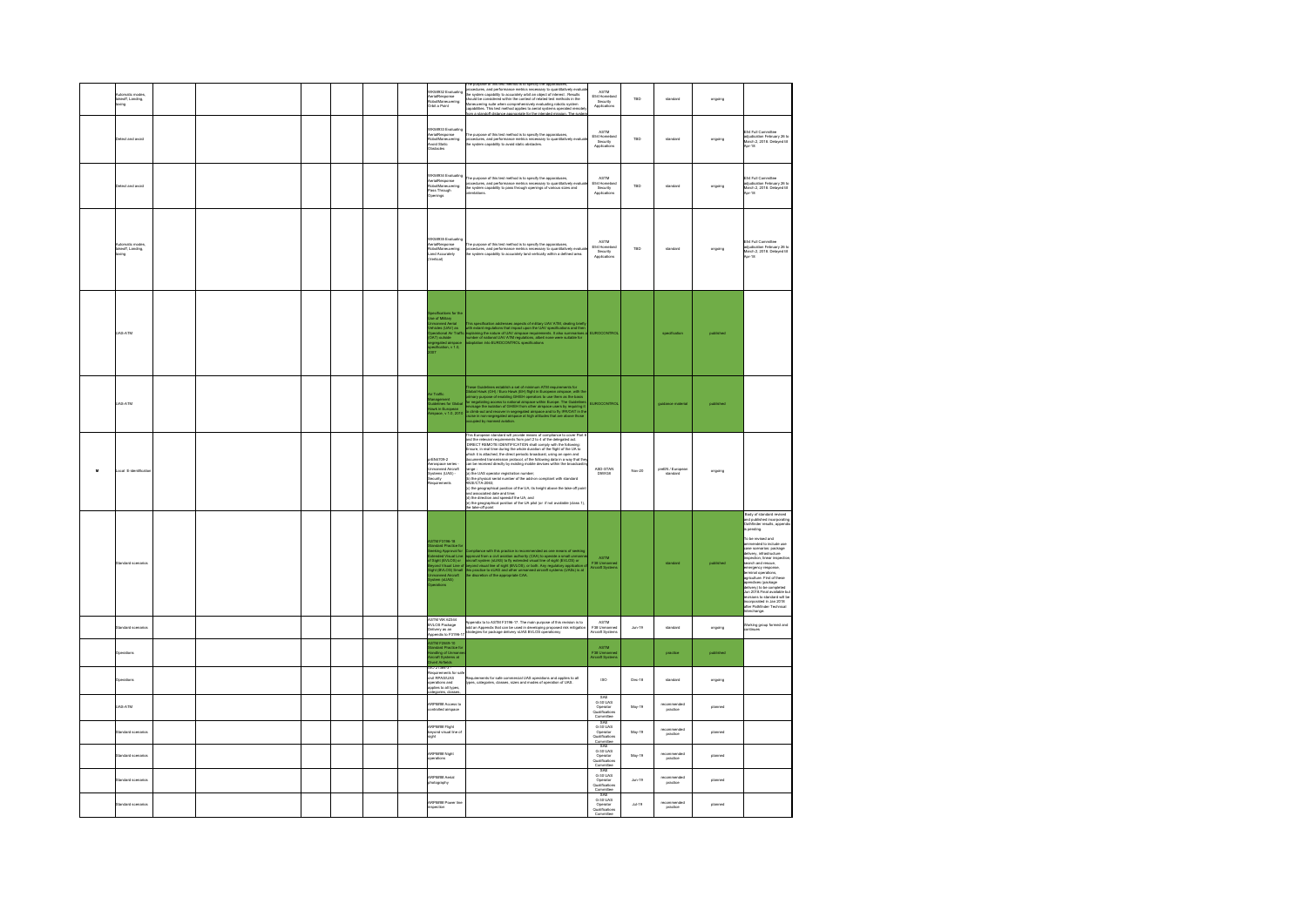|   | keoff, Landing,<br>xing               |  |  |  | WK58932 Evaluating<br>erialResponse<br>tobotManeuvering:<br><b>Orbit a Point</b>                                                                                                                                                                                | The purpose of the text method is to specify the appearances, we calcule a propose of the purpose of the purpose of the purpose of the purpose of the purpose of the purpose of the purpose of the purpose of the purpose of                                                                                                                                                                                                                                                  | ASTM<br>E54 Homela<br>Security<br>Applications                      | TRO      | standard                           | ongoing   |                                                                                                                                                                                                                                                                                                                                                                                                                                                                                                                                                                                                      |
|---|---------------------------------------|--|--|--|-----------------------------------------------------------------------------------------------------------------------------------------------------------------------------------------------------------------------------------------------------------------|-------------------------------------------------------------------------------------------------------------------------------------------------------------------------------------------------------------------------------------------------------------------------------------------------------------------------------------------------------------------------------------------------------------------------------------------------------------------------------|---------------------------------------------------------------------|----------|------------------------------------|-----------|------------------------------------------------------------------------------------------------------------------------------------------------------------------------------------------------------------------------------------------------------------------------------------------------------------------------------------------------------------------------------------------------------------------------------------------------------------------------------------------------------------------------------------------------------------------------------------------------------|
|   | tect and avoid                        |  |  |  | K58933 Eval<br>unialResponse<br>hobotManeuvering:<br>woid Static<br>bstacles                                                                                                                                                                                    | The purpose of this test method is to specify the apparatuses,<br>procedures, and performance metrics necessary to quantitatively eval<br>the system capability to avoid static obstacles.                                                                                                                                                                                                                                                                                    | ASTM<br>E54 Homelan<br>Security<br>Applications                     | TBD      | standard                           | ongoing   | E54 Full Committee<br>adjudication February 26 to<br>March 2, 2018. Delayed til<br>Apr-18                                                                                                                                                                                                                                                                                                                                                                                                                                                                                                            |
|   | stect and avoid                       |  |  |  | K58934 Evaluating<br>VASterre.com<br>AerialResponse<br>RobotManeuvering:<br>ass Through<br>nings                                                                                                                                                                | The purpose of this test method is to specify the appentances,<br>procedures, and performance metrics necessary to quantitatively ev<br>the system capability to pass through openings of various sizes and<br>orientations.                                                                                                                                                                                                                                                  | ASTM<br>E54 Homelan<br>Security<br>Applications                     | TBD      | standard                           | ongoing   | E54 Full Committee<br>adjudication February 26 to<br>March 2, 2018. Delayed til<br>$65 - 18$                                                                                                                                                                                                                                                                                                                                                                                                                                                                                                         |
|   | uttereen<br>ikeoff, Landing,<br>axing |  |  |  | K58935 Evaluat<br>/K58135 Evatuum<br>aria/Response<br>lobotManeuvering:<br>and Accurately                                                                                                                                                                       | .<br>The purpose of this test method is to specify the apparatuses,<br>xocedures, and performance metrics necessary to quantitatively evalua<br>.<br>The system capability to accurately land vertically within a defined area.                                                                                                                                                                                                                                               | ASTM<br>E54 Homela<br>Security<br>Applications                      | TRO      | standard                           | ongoing   | 54 Full O<br>adjudication February 26 to<br>March 2, 2018. Delayed till<br>$ur - 18$                                                                                                                                                                                                                                                                                                                                                                                                                                                                                                                 |
|   | IAS ATM                               |  |  |  | ipecifications for the<br>Jac of Military<br>Jumanned Aerial<br>Cehicles (UAV) as<br>Joerrational Air Traffic<br>OAT) outside<br>egregated airspace<br>pecification, v 1.0,                                                                                     | This specification addresses expects of military UAV ATM, dealing brief<br>hits extent regulations that impact upon the UAV specifications and then<br>replaining the nature of UAV arangese requirements. It also summarises<br>umber                                                                                                                                                                                                                                        | <b>UROCONTROL</b>                                                   |          |                                    |           |                                                                                                                                                                                                                                                                                                                                                                                                                                                                                                                                                                                                      |
|   | <b>JAS-ATM</b>                        |  |  |  | inagement<br>sidelines for Global<br>awk in European<br>irspace, v 1.0, 2010                                                                                                                                                                                    | These Cultistines establish a set of minimum ATM requirements for Theorem (CHY) (Carolineae and page of the formula control of the control of the control of the control of the control of the control of the control of the                                                                                                                                                                                                                                                  | <b>IROCONTRO</b>                                                    |          |                                    |           |                                                                                                                                                                                                                                                                                                                                                                                                                                                                                                                                                                                                      |
| M | Local E-identific                     |  |  |  | EN4709-2<br>xerveroure<br>Aarospace series<br>Jomanned Aircraft<br>Systems (LIAS) -<br>Security<br>Requirements                                                                                                                                                 | This European standard will provide means of compliance to cover Part 6<br>and the relocation consistents from part 2 to 4 of the delegated acts<br>and the Direct Federation part and consistent of the plate of the delegated act<br>cartest records concept or registration must<br>be a proposed of the sale of the sale of the sale of the same of the<br>(a) the UAS operator registration must<br>be (b) the physical leads of records and the line of the sale of poi | ASD-STAN<br>D5WG8                                                   | Nov-20   | preEN / European                   | ongoing   |                                                                                                                                                                                                                                                                                                                                                                                                                                                                                                                                                                                                      |
|   | andard scenarios                      |  |  |  | NSTM F3196-18<br>Standard Practice for<br>Isaking Approval for<br>Lesking Approval for<br>Standard Visual Line<br>Airpord Visual Line of b<br>Hypti (BVLOS) Small<br>Vyatem (slAS)<br>Standard Aircraft<br>Standard Visual Line of b<br>Vyatem (slAS)<br>Standa | Compliance with this practice is recommended as one means of seeking<br>approval from a civil aviation authority (CAA) to operate a small ummanity<br>aircraft system (slJAS) to fly extended visual line of sight (EVLOS) or<br>beyon                                                                                                                                                                                                                                        | <b>ASTM</b><br>F38 Unmann<br>Aiscraft Syster                        |          | standard                           | published | .<br>Body of standard revised<br>Ind published incorporatin<br>Dathfinder results, appendi<br>s pending.<br>To be revised and<br>mended to include use<br>case scenarios: package<br>delivery, infrastructure<br>inspection, linear inspectio<br>inspection, linear inspecte<br>search and rescue,<br>emergency response,<br>terminal operations,<br>agriculture. First of these<br>apendixes (package<br>spensores precises<br>delivery) to be completed<br>Jun 2018. Final available bu<br>revisions to standard will be<br>interpretted in Jan 2018<br>after Pathfinder Technical<br>Interchange. |
|   | andard scenarios                      |  |  |  | <b>ASTM WK 62344</b><br>VLOS Package<br>elivery as an<br>ppendix to F3196-17                                                                                                                                                                                    | Appendix to to ASTM F3196-17. The main purpose of this revision is to<br>add an Appendix that can be used in developing proposed risk mitigation<br>strategies for package delivery sUAS BVLOS operationsy                                                                                                                                                                                                                                                                    | ASTM<br>F38 Unmanned<br>Aircraft Systems                            | $Jun-19$ | standard                           | ongoing   | Working group formed and<br>ntinues                                                                                                                                                                                                                                                                                                                                                                                                                                                                                                                                                                  |
|   | erations                              |  |  |  | STM F2849-10<br>tandard Practice fo<br>andling of Unmann<br>ircraft Systems at                                                                                                                                                                                  |                                                                                                                                                                                                                                                                                                                                                                                                                                                                               | ASTM<br>F38 Unmann<br>Aircraft Syste                                |          | practice                           | published |                                                                                                                                                                                                                                                                                                                                                                                                                                                                                                                                                                                                      |
|   |                                       |  |  |  | Xvert Airfields<br>SO 21384-3 -<br>Requirements for safe<br>:ivil RPAS/UAS<br>perations and<br>oplies to all types,<br>storosies, classes                                                                                                                       | pirements for safe commercial UAS operations and applies to all<br>pes, categories, classes, sizes and modes of operation of UAS.                                                                                                                                                                                                                                                                                                                                             | 180                                                                 | Dec-18   | standard                           | ongoing   |                                                                                                                                                                                                                                                                                                                                                                                                                                                                                                                                                                                                      |
|   | IAR-ATM                               |  |  |  | <b>RPates Arress to</b><br>ntrolled airspace                                                                                                                                                                                                                    |                                                                                                                                                                                                                                                                                                                                                                                                                                                                               | SAE<br>G-30 UAS<br>Operator<br>Qualifications<br>Committee          | May-19   | practice                           | planned   |                                                                                                                                                                                                                                                                                                                                                                                                                                                                                                                                                                                                      |
|   | infant snenarin                       |  |  |  | ARP <mark>asses</mark> Flight<br>Heyond visual line of<br>Light                                                                                                                                                                                                 |                                                                                                                                                                                                                                                                                                                                                                                                                                                                               | SAE<br>G-30 UAS<br>Operator<br>Qualification<br>Committee<br>SAE    | May-19   | recommend<br>practice              | planned   |                                                                                                                                                                                                                                                                                                                                                                                                                                                                                                                                                                                                      |
|   | infarit scenarin                      |  |  |  | RP####Night<br>erations                                                                                                                                                                                                                                         |                                                                                                                                                                                                                                                                                                                                                                                                                                                                               | G-301148<br>Operator<br>Qualifications<br>Committee                 | May-19   | recommended<br>practice            | planned   |                                                                                                                                                                                                                                                                                                                                                                                                                                                                                                                                                                                                      |
|   | andard scenarios                      |  |  |  | RP#### Aerial<br>otography                                                                                                                                                                                                                                      |                                                                                                                                                                                                                                                                                                                                                                                                                                                                               | $G-30$ UAS<br>Operator<br>Qualifications<br>Committee<br><b>RAF</b> | $Jun-19$ | recommended<br>practice            | planned   |                                                                                                                                                                                                                                                                                                                                                                                                                                                                                                                                                                                                      |
|   | landard scenarins                     |  |  |  | <b>RP#### Power line</b><br>pection                                                                                                                                                                                                                             |                                                                                                                                                                                                                                                                                                                                                                                                                                                                               | $G-30$ UAS<br>Operator<br>Qualifications<br>Committee               | 34.19    | recommended<br>$\mathsf{pracVece}$ | nlannert  |                                                                                                                                                                                                                                                                                                                                                                                                                                                                                                                                                                                                      |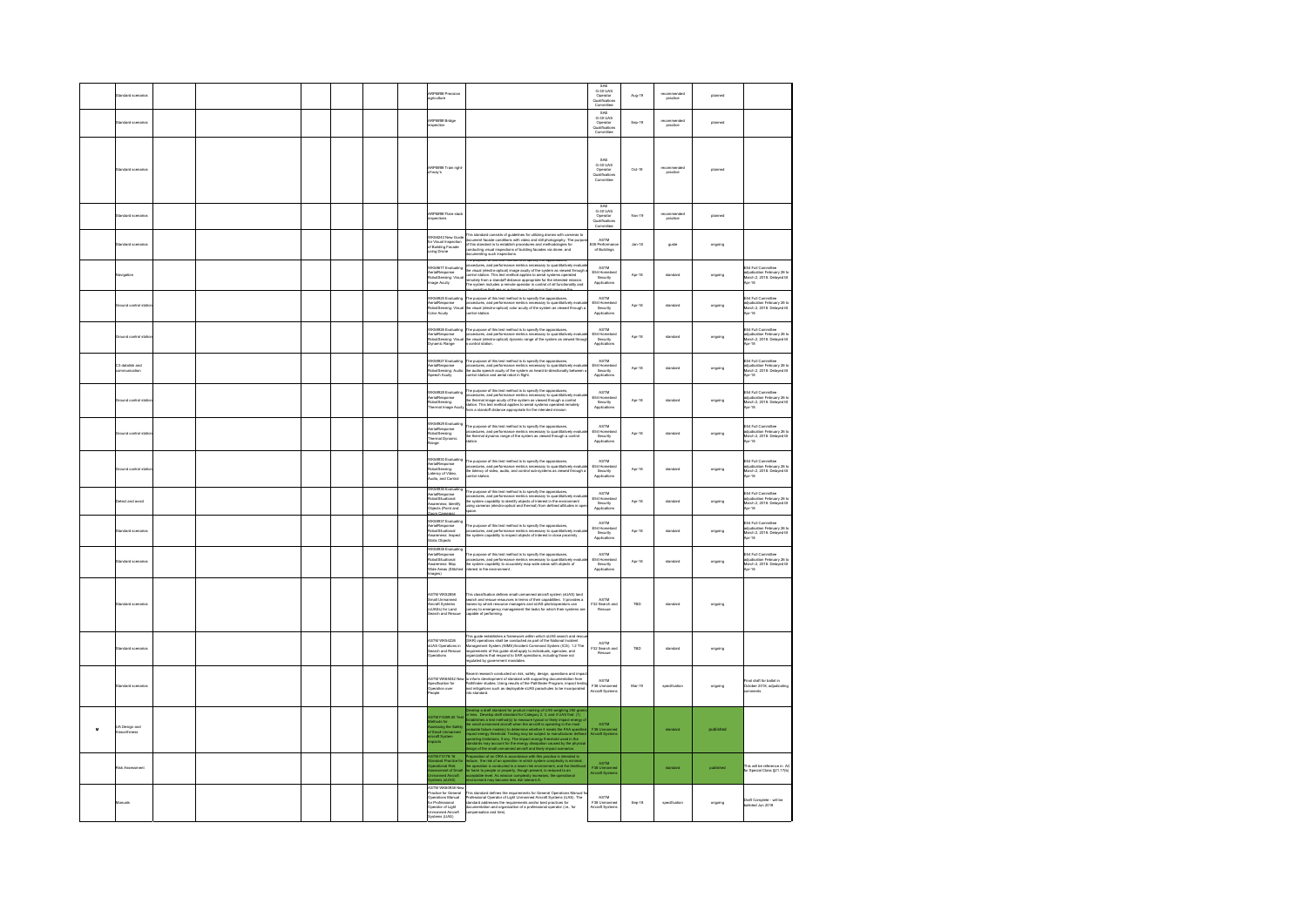|              |                                       |  |  |  | Passa Prec<br>culture                                                                                                               |                                                                                                                                                                                                                                                                                                                                                    | SAE<br>G-30 UAS<br>Operator<br>Qualification                           | Aug-19            | comments<br>practice  | planned   |                                                                                                         |
|--------------|---------------------------------------|--|--|--|-------------------------------------------------------------------------------------------------------------------------------------|----------------------------------------------------------------------------------------------------------------------------------------------------------------------------------------------------------------------------------------------------------------------------------------------------------------------------------------------------|------------------------------------------------------------------------|-------------------|-----------------------|-----------|---------------------------------------------------------------------------------------------------------|
|              | andard scenari                        |  |  |  | Passa Bridge                                                                                                                        |                                                                                                                                                                                                                                                                                                                                                    | Committee<br>SAE<br>G-30 UAS<br>Operator<br>Qualification<br>Committee | Sep-19            | recommend<br>practice | planned   |                                                                                                         |
|              |                                       |  |  |  | Passa Train right<br>way's                                                                                                          |                                                                                                                                                                                                                                                                                                                                                    | SAE<br>G-30 UAS<br>Operator<br>Qualifications<br>Committee             | $Oct-19$          | commend<br>practice   | planned   |                                                                                                         |
|              | tandard scenario                      |  |  |  | Passe Flare stac                                                                                                                    |                                                                                                                                                                                                                                                                                                                                                    | SAE<br>G-30 UAS<br>Operator<br>Qualifications<br>Committee             | New <sub>19</sub> | commend<br>practice   | planned   |                                                                                                         |
|              | tandard scenario                      |  |  |  | KS8243 New Guid<br>r Visual Inspection<br>! Building Facade<br>ing Drone                                                            | his standard consists of guidelines for utilizing drones with cameras to<br>rms summare comana or guestimes in cruising aromas wire cummars to<br>document facede conditions with video and still photography. The purp<br>of this standard is to establish procedures and methodologies for<br>conducting visual i<br>cumenting such inspections. | ASTM<br>E06 Performan<br>of Buildings                                  | <b>Jan-18</b>     | guide                 | ongoing   |                                                                                                         |
|              | avigation                             |  |  |  | K58677 Fughatin<br>nuuur i Lea<br>stalRespons<br>sige Acuity<br>.<br>Voq                                                            | purpose or ons was meanou as so www.<br>The purpose or star was mention to a space y and apparements,<br>generalizing, and parlicmance metrics recessiony to quantitatively evaluate<br>the visual (electro-optical) image acuity of the system as viewed through<br>control s                                                                     | ASTM<br>ADIM<br>E54 Homelas<br>Security<br>Applications                | Apr-18            | standard              | ongoing   | 54 Full Committee<br>adjudication February 26 to<br>March 2, 2018. Delayed til<br>$\frac{1}{2}$         |
|              | round control st                      |  |  |  | S8925 Evaluatin<br>erialResponse<br>obotSensing: Vise<br>olor Acuity                                                                | he purpose of this test method is to specify the apparatuses<br>$\frac{1}{100}$ and parformance metrics necessary on wavenumber. The constant of the system as viewed through<br>the visual (electro-optical) color acuity of the system as viewed through<br>ontrol station.                                                                      | ASTM<br>ASIM<br>E54 Homelan<br>Security<br>Applications                | Apr-18            | standard              | ongoing   | E54 Full Committee<br>adjudication February 26 to<br>March 2, 2018. Delayed till<br>Assets<br>$40 - 18$ |
|              | mund control sta                      |  |  |  | KR8926 Evaluating<br>hottav Lymu <sub>ming</sub><br>slotSensing: Visua<br><i>mamic Range</i>                                        | The purpose of this test method is to specify the apperatuses,<br>procedures, and performance metrics necessary to quantitatively evalu<br>the visual (electro-optical) dynamic range of the system as viewed throu<br>the visual (elec<br>control station.                                                                                        | ACTM<br>E54 Homela<br>Security<br>Application                          | Apr-18            | standard              | ongoing   | .<br>E54 Full Committee<br>March 2, 2018. Delayed til<br>Apr-18                                         |
|              | 3 datalink and<br>mmunication         |  |  |  | K58927 Evaluating<br>eria/Response<br>obotSensing: Audio<br>sech Acuity                                                             | The purpose of this test method is to specify the apparatuses,<br>procedures, and performance metrics necessary to quantitatively evaluate<br>the audio speech acuity of the system as heard bi-directionally between<br>control station and aerial robot in flight.                                                                               | ASTM<br>E54 Homela<br>Security<br>Applications                         | Apr-18            | standard              | ongoing   | E54 Full Committee<br>adjudication February 26 to<br>March 2, 2018. Delayed til<br>Apr-18               |
|              | Iround control sta                    |  |  |  | K58928 Evaluating<br>aria/Response<br>abotSensing:<br>vermal Image Acuit                                                            | The purpose of this test method is to specify the apparatuses,<br>procedures, and performance metrics necessary to quantitatively evaluated in the maps acuity of the system as viewed through a control<br>the thermal image acuity of the system as viewed through a control<br>station. This test m                                             | ASTM<br>E54 Homel<br>Security<br>Application                           | Apr-18            | standard              | ongoing   | E54 Full Committee<br>adjudication February 26 to<br>March 2, 2018. Delayed till<br>Apr-18              |
|              | Iround control sta                    |  |  |  | K58929 Evaluatir<br>erialResponse<br>obstSensing:<br>hermal Dynamic<br>ange                                                         | the purpose of this test method is to specify the appenthases,<br>rocedures, and performance metrics necessary to quantitatively evalu<br>a thermal dynamic range of the system as viewed through a control<br>alion.                                                                                                                              | ASTM<br>E54 Homela<br>Security<br>Application                          | Apr-18            | standard              | ongoing   | E54 Full Committee<br>adjudication February 26 to<br>March 2, 2018. Delayed til<br>Apr-18               |
|              | round control sta                     |  |  |  | S8930 Evaluat<br>erialResponse<br>obotSensing:<br>atency of Video,<br>dio, and Control                                              | he purpose of this test method is to specify the apparatuses,<br>rocedures, and performance metrics necessary to quantitatively evalua<br>le latency of video, audio, and control sub-systems as viewed through<br>ontrol station.                                                                                                                 | ASTM<br>E54 Homelar<br>Security<br>Applications                        | Apr-18            | standard              | ongoing   | E54 Full Committee<br>adjudication February 26 to<br>March 2, 2018. Delayed til<br>Apr-18               |
|              | tect and avoid                        |  |  |  | (58936 Evaluat<br>rialResponse<br>botSituational<br>uareness: Identify<br>Jects (Point and<br>en Cameros                            | The purpose of this test method is to specify the apparatuses,<br>me purpose or sma was meernes is to specier ama appearances,<br>rocedures, and performance metrics necessary to quantitatively evalua<br>le system capability to identify objects of interest in the environment<br>sing cameras (elect                                          | ASTM<br>E54 Homel<br>Security<br>Application                           | Apr-18            | standard              | ongoing   | E54 Full Committee<br>adjudication February 26 to<br>March 2, 2018. Delayed till<br>Apr-18              |
|              | ard scenar                            |  |  |  | K58937 Evaluatin<br>ia/Response<br>botSituational<br>iareness: Inspect<br>itic Objects                                              | .<br>The purpose of this test method is to specify the apparatuses,<br>rocedures, and performance metrics necessary to quantitatively eva<br>he system capability to inspect objects of interest in close proximity .                                                                                                                              | ASTM<br>E54 Homelan<br>Security<br>Applications                        | Apr-18            | standard              | ongoing   | E54 Full Committee<br>adjudication February 26 to<br>March 2, 2018. Delayed till<br>Apr-18              |
|              | <b>tandard</b> scenarin               |  |  |  | WK58938 Evaluatin<br>\erialResponse<br>RobotSituational<br>obotskuabonal<br>wareness: Map<br>lide Areas (Stitc<br>(age              | he purpose of this test method is to specify the apparatuses,<br>rocedures, and performance metrics necessary to quantitatively r<br>a system capability to accurately map wide areas with objects of<br>terest in the environment .                                                                                                               | ASTM<br>ASIM<br>E54 Homelar<br>Security<br>Applications                | Apr-18            | standard              | ongoing   | <b>S4 Full Committee</b><br>adjudication February 26 to<br>March 2, 2018. Delayed till<br>$2r-18$       |
|              | ndard scenario                        |  |  |  | STM WK52858<br>Imall Unmanned<br>ircraft Systems<br>sLIASs) for Land<br>learch and Resco                                            | his classification defines small unmanned aircraft system (sUAS) land<br>narch and rescue resources in terms of their capabilities. It provides a<br>ears by which resources in terms of their capabilities. It provides a<br>provey to                                                                                                            | ASTM<br>F32 Search an                                                  | TBD               | standard              | ongoing   |                                                                                                         |
|              | ndard scenari                         |  |  |  | <b>STM WIKE422R</b><br><b>UAS Operation</b><br>earch and Res<br>Iperations                                                          | his guide establishes a framework within which sUAS search and resource and Real CART) considers able to conducted sa part of the National Insident<br>Kanapement System (NMS)\Incident Command System (ICS). 1.2 The<br>equivalence                                                                                                               | ASTM<br>F32 Search as<br>Rescue                                        | TBD               | standard              | ongoing   |                                                                                                         |
|              | andard scenario                       |  |  |  | STM WK65042 N<br>pacification for<br>paration over<br>acpile                                                                        | acent reaearch conducted on risk, safety, design, operations and impar<br>inform development of standard with supporting documentation from<br>athfinder studies. Using results of the Pathfinder Program, impact testis<br>to standard                                                                                                            | ASTM<br>F38 Unmanne<br>Aircraft System                                 | Mar-19            | specification         | ongoing   | inal draft for ballot in<br>ctober 2018, adjudicating<br>etnem                                          |
| $\mathbf{u}$ | <b>JA Design and</b><br>Vinvorthiness |  |  |  | STM F3389-20 Tes<br>fethods for<br>ssessing the Safety<br>f Small Unmanned<br>ircraft System                                        | evelop a druh kandaré bi product manáng of UAS weighing 250 pp<br>ana, bovelop a druh kandaré bi product manáng of UAS weighing 250 pp<br>a anal province a production of the Company 2, 3, and UAS the CD (1)<br>a similar product                                                                                                                | <b>ASTM</b><br>F38 Unmann<br>Niscraft Syate                            |                   | standard              | published |                                                                                                         |
|              | Risk Assessment                       |  |  |  | STM F3178-16<br>Iandard Practice fo<br>erational Risk<br>lessment of Smi<br>(SALk) amets                                            | ironment may become less risk tolerant A.                                                                                                                                                                                                                                                                                                          | ASTM<br>F38 Unmann<br>Niscraft Syste                                   |                   | standard              | published | .<br>This will be reference in AC<br>or Special Class §21.17(b)                                         |
|              | tanuals                               |  |  |  | ASTM WK60938 New<br>actice for General<br>perations Manual<br>or Professional<br>erator of Light<br>manned Aircraft<br>(CAL) amatey | This standard defines the requirements for General Operations Manual<br>Professional Operator of Light Unmanned Aircraft Systems (UAS). The<br>standard addresses the requirements and/or best practices for<br>documentation and organ                                                                                                            | ASTM<br>F38 Unmanned<br>Aircraft Systems                               | Sep-18            | specification         | ongoing   | Draft Complete - will be<br>alloted Jun 2018                                                            |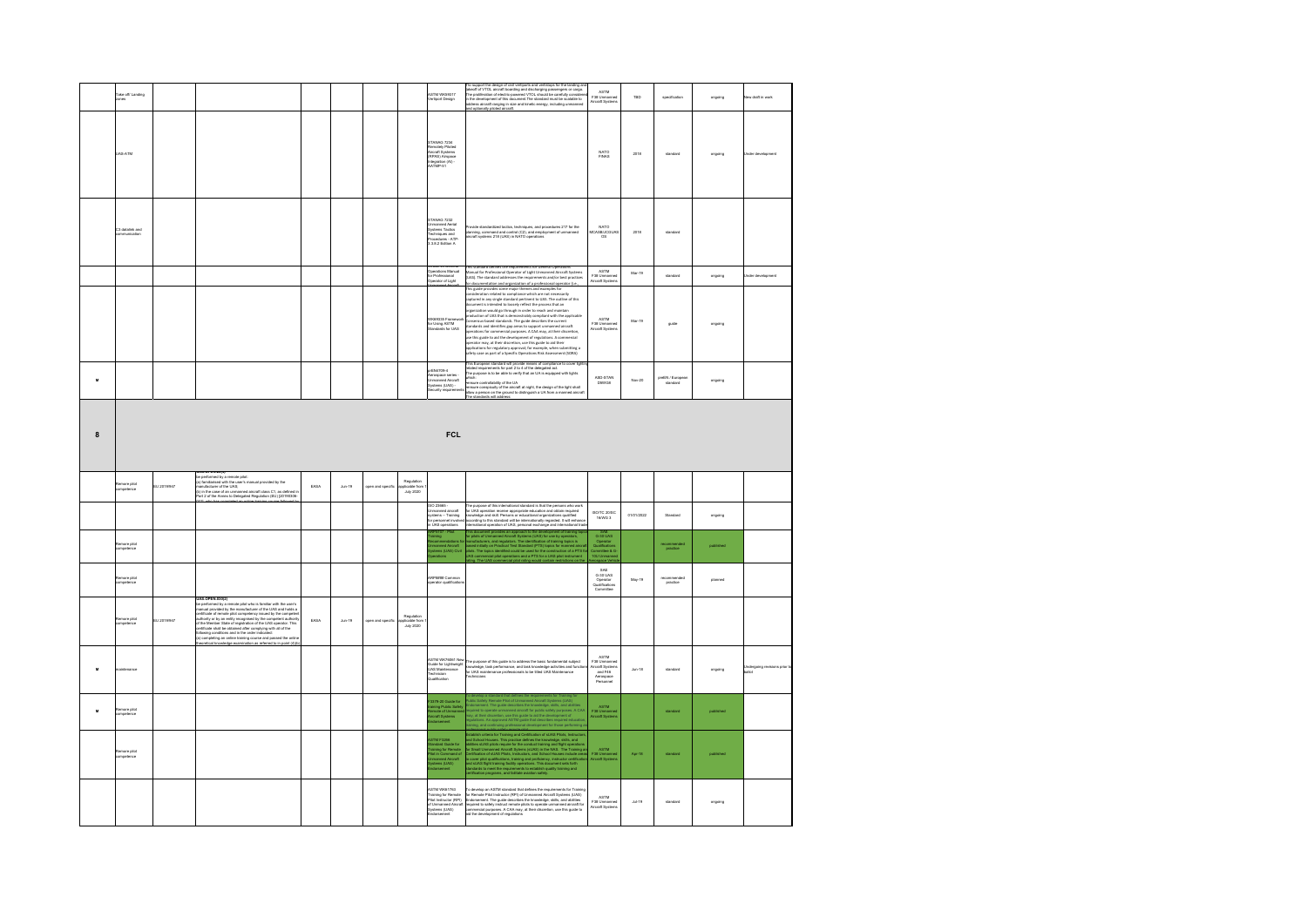|                  | ake off Landing<br>ines       |             |                                                                                                                                                                                                                                               |      |                    |                   |                                      | <b>ASTM WK59317</b><br>/ertiport Design                                                                                             | to support the design of civil vertiports and vertistops for the landing an<br>To support the design of conventions and were<br>taken to the landary and dechanging passengers or cargo.<br>The profileration of detecting and disclosingly passengers or cargo.<br>The profileration of detecting powered VTOL shoul                                                                                                                                                                                                                                                                                                                                                                                                                                                                                                                                                                                                                                                                                            | ASTM<br>F38 Unmann<br>Aircraft System                                         | TBD        | specification              | ongoing          | ew draft in work                      |
|------------------|-------------------------------|-------------|-----------------------------------------------------------------------------------------------------------------------------------------------------------------------------------------------------------------------------------------------|------|--------------------|-------------------|--------------------------------------|-------------------------------------------------------------------------------------------------------------------------------------|------------------------------------------------------------------------------------------------------------------------------------------------------------------------------------------------------------------------------------------------------------------------------------------------------------------------------------------------------------------------------------------------------------------------------------------------------------------------------------------------------------------------------------------------------------------------------------------------------------------------------------------------------------------------------------------------------------------------------------------------------------------------------------------------------------------------------------------------------------------------------------------------------------------------------------------------------------------------------------------------------------------|-------------------------------------------------------------------------------|------------|----------------------------|------------------|---------------------------------------|
|                  | JAS-ATM                       |             |                                                                                                                                                                                                                                               |      |                    |                   |                                      | STANAG 7234<br>STANALS 7234<br>Remotely Piloted<br>Aircraft Systems<br>(RPAS) Airspace<br>Integration (AI) -<br>AATMP-51            |                                                                                                                                                                                                                                                                                                                                                                                                                                                                                                                                                                                                                                                                                                                                                                                                                                                                                                                                                                                                                  | NATO<br>FINAS                                                                 | 2018       | standard                   | ongoing          | <b>Jnder develop</b>                  |
|                  | C3 datalink and<br>munication |             |                                                                                                                                                                                                                                               |      |                    |                   |                                      | SFCT DAMATR<br><b>Unmanned Aerial</b><br>Systems Tactics<br>Symmetricus<br>Techniques and<br>Procedures - ATP-<br>3.3.8.2 Edition A | ovide standardized tactics, techniques, and procedures 217 for the<br>lanning, command and control (C2), and employment of unmanned<br>rcraft systems 218 (UAS) in NATO operations                                                                                                                                                                                                                                                                                                                                                                                                                                                                                                                                                                                                                                                                                                                                                                                                                               | <b>NATO</b><br><b>ACASB/JCGUA</b><br>O <sub>S</sub>                           | 2018       | standard                   |                  |                                       |
|                  |                               |             |                                                                                                                                                                                                                                               |      |                    |                   |                                      | perations Manual<br>operations Manual<br>serator of Light                                                                           | standard defines the requirements for General Operatio<br>nual for Professional Operator of Light Unmanned Aircraft Systems                                                                                                                                                                                                                                                                                                                                                                                                                                                                                                                                                                                                                                                                                                                                                                                                                                                                                      | ASTM<br>F38 Unmann<br><b>Niscraft System</b>                                  | Mar-19     | standard                   | ongoing          | der develop                           |
|                  |                               |             |                                                                                                                                                                                                                                               |      |                    |                   |                                      | WK69335 Framew<br>for Using ASTM<br>Standards for UAS                                                                               | unnan row roomancoum Operation or Digits contrainmed Anti-Anti-Appendix<br>JASJ. The standard addresses the requirements and/or best practices<br>In decumentation and organization of a professional operator (i.e.,<br>nsideration related to compliance which are not necessarily<br>aptured in any single standard pertinent to UAS. The outline of this<br>locument is intended to loosely reflect the process that an<br>regarization would go through in order to reach and maintain<br>oduction of UAS that is demonstrably compliant with the applicable<br>insensus-based standards. The guide describes the current<br>andards and identifies eap areas to support unmanned aircraft<br>amanos amo tommers pap areas to support unmannes ancient<br>perations for commercial purposes. A CAA may, at their discretion,<br>se this guide to aid the development of regulations. A commercial<br>perator may, at their discretion<br>afety case as part of a Specific Operations Risk Assessment (SORA) | ASTM<br>F38 Unmanned<br>Aircraft Systems                                      | Mar-19     | guide                      | ongoing          |                                       |
| $\mathbf{M}$     |                               |             |                                                                                                                                                                                                                                               |      |                    |                   |                                      | xEN4709-4<br>rospace series<br>imanned Aircraft<br>stems (UAS) -<br>ity requir                                                      | es European standard will provide means of compliance to cover light<br>elated requirements for part 2 to 4 of the delegated act.<br>he purpose is to be able to verify that an UA is equipped with lights<br>which:<br>•ensure controllability of the UA<br>•ensure conspicuity of the aircraft at night, the design of the light shall<br>allow a person on the ground to distinguish a UA from a manned aircraft<br>The standards will address:                                                                                                                                                                                                                                                                                                                                                                                                                                                                                                                                                               | ASD-STAN<br>D5WG8                                                             | Nov-20     | preEN / Europe<br>standard | ongoing          |                                       |
| 8                |                               |             |                                                                                                                                                                                                                                               |      |                    |                   |                                      | <b>FCL</b>                                                                                                                          |                                                                                                                                                                                                                                                                                                                                                                                                                                                                                                                                                                                                                                                                                                                                                                                                                                                                                                                                                                                                                  |                                                                               |            |                            |                  |                                       |
|                  |                               |             |                                                                                                                                                                                                                                               |      |                    |                   |                                      |                                                                                                                                     |                                                                                                                                                                                                                                                                                                                                                                                                                                                                                                                                                                                                                                                                                                                                                                                                                                                                                                                                                                                                                  |                                                                               |            |                            |                  |                                       |
|                  | amore pilot<br>mpetence       | U 2019/947  | unes.urent.zujey<br>la parlomad by a remote pilot:<br>ia) familiarised with the user's manual provided by the<br>manufacturer of the UAS;<br>(b) in the case of an unmanned aircraft class C1, as defined in<br>Part 2 of the Annex to Delega | FASA | Ans.19             | pen and specif    | Regulatio<br>--<br>July 2020         |                                                                                                                                     |                                                                                                                                                                                                                                                                                                                                                                                                                                                                                                                                                                                                                                                                                                                                                                                                                                                                                                                                                                                                                  |                                                                               |            |                            |                  |                                       |
|                  |                               |             |                                                                                                                                                                                                                                               |      |                    |                   |                                      | 80 23665<br>manned aircraft<br>vstems - Training<br>.<br>or personnel invol<br>UAS operations                                       | he purpose of this international standard is that the persons who work<br>.<br>I UAS operation receive appropriate education and obtain required<br>cording to this standard will be internationally regarded. It will enha<br>emational operation of UAS, personal exchange and international trac                                                                                                                                                                                                                                                                                                                                                                                                                                                                                                                                                                                                                                                                                                              | ISO/TC 20/SC<br>16/WG 3                                                       | 01/01/2022 | Standard                   | ongoing          |                                       |
|                  | nore pilot<br>rpetence        |             |                                                                                                                                                                                                                                               |      |                    |                   |                                      | rmendations t<br>rned Aircraft<br>ris (UAS) Civi                                                                                    | plate of Unmarned Aircraft Systems (UAS) for use by operators,<br>and/acturers, and regulators. The identification of training sprices is<br>seed initially on Practical Text Standard (PTS) sprices for manned aircraft<br>ots. The Up                                                                                                                                                                                                                                                                                                                                                                                                                                                                                                                                                                                                                                                                                                                                                                          | O-SAL<br>G-SO UAS<br>Operator<br>Qualifications<br>ommittee & G               |            | practice                   | <b>cublished</b> |                                       |
|                  | lamore pilot<br>ompetence     |             |                                                                                                                                                                                                                                               |      |                    |                   |                                      | <b>RP### Common</b><br>perator qualificatio                                                                                         |                                                                                                                                                                                                                                                                                                                                                                                                                                                                                                                                                                                                                                                                                                                                                                                                                                                                                                                                                                                                                  | SAF<br>G-30 UAS<br>Operator<br>Qualifications<br>Committee                    | May-19     | recommended<br>practice    | planned          |                                       |
|                  | amore pilot<br>mpetence       | EU 2019/947 | UAS.OPEN.030(2)                                                                                                                                                                                                                               | EASA | $_{\text{dun-19}}$ | open and specific | Regulat<br>plicable fro<br>July 2020 |                                                                                                                                     |                                                                                                                                                                                                                                                                                                                                                                                                                                                                                                                                                                                                                                                                                                                                                                                                                                                                                                                                                                                                                  |                                                                               |            |                            |                  |                                       |
| $\mathbf{M}$     | sintenance                    |             | <b>UAS.OPENSORG</b><br>$\overline{X}$ (as considered by a memole pilot who is familiar with the user's considered by the memole competency is such that a considered considerate of the UAS and that<br>is a considerable of terms by the com |      |                    |                   |                                      | ASTM WK76061 New<br>uide for Lightweight<br><b>UAS Maintenance</b><br>echnician<br>ilfication                                       | The purpose of this guide is to address the basic fundamental subject<br>nowledge, task performance, and task knowledge activities and functi<br>or UAS maintenance professionals to be titled UAS Maintenance<br>diricians                                                                                                                                                                                                                                                                                                                                                                                                                                                                                                                                                                                                                                                                                                                                                                                      | ASTM<br>F38 Unmanned<br>Aircraft Systems<br>and F46<br>Aerospace<br>Personnel | $Jun-18$   | standard                   | ongoing          | Jndergoing revisions prior:<br>xellot |
| $\boldsymbol{u}$ | emore pilot<br>ompetence      |             |                                                                                                                                                                                                                                               |      |                    |                   |                                      | 3379-20 Guide for<br>aining Public Safe<br>lemote of Unmann<br>craft Systems<br>dorsement                                           | Safety Remote Pilot of Universite Alcohel State Interior (JAS)<br>Safety Remote Pilot of Universited Alcohelps, skilks, end ability Remote<br>Alcohelps, skilks, and ability and ability projection<br>of the paties of the paties and                                                                                                                                                                                                                                                                                                                                                                                                                                                                                                                                                                                                                                                                                                                                                                           | ASTM<br>F38 Unmann<br>Aircraft Syster                                         |            | standard                   | published        |                                       |
|                  | temore pilot<br>ompetence     |             |                                                                                                                                                                                                                                               |      |                    |                   |                                      | &TM F3266<br>Itandard Guide for<br>Iraining for Remote<br>Not in Command of<br>ianned Aircraft<br>ems (UAS)                         | Establish collaria for Training and Certification of stable Piece, Instruction<br>and Social Houses. This procedure is considered in the consideration of<br>solid and the second collapse of the consider term of the consideratio                                                                                                                                                                                                                                                                                                                                                                                                                                                                                                                                                                                                                                                                                                                                                                              | ASTM<br>F38 Unmanne<br>rat System                                             | Apr-18     | standard                   | published        |                                       |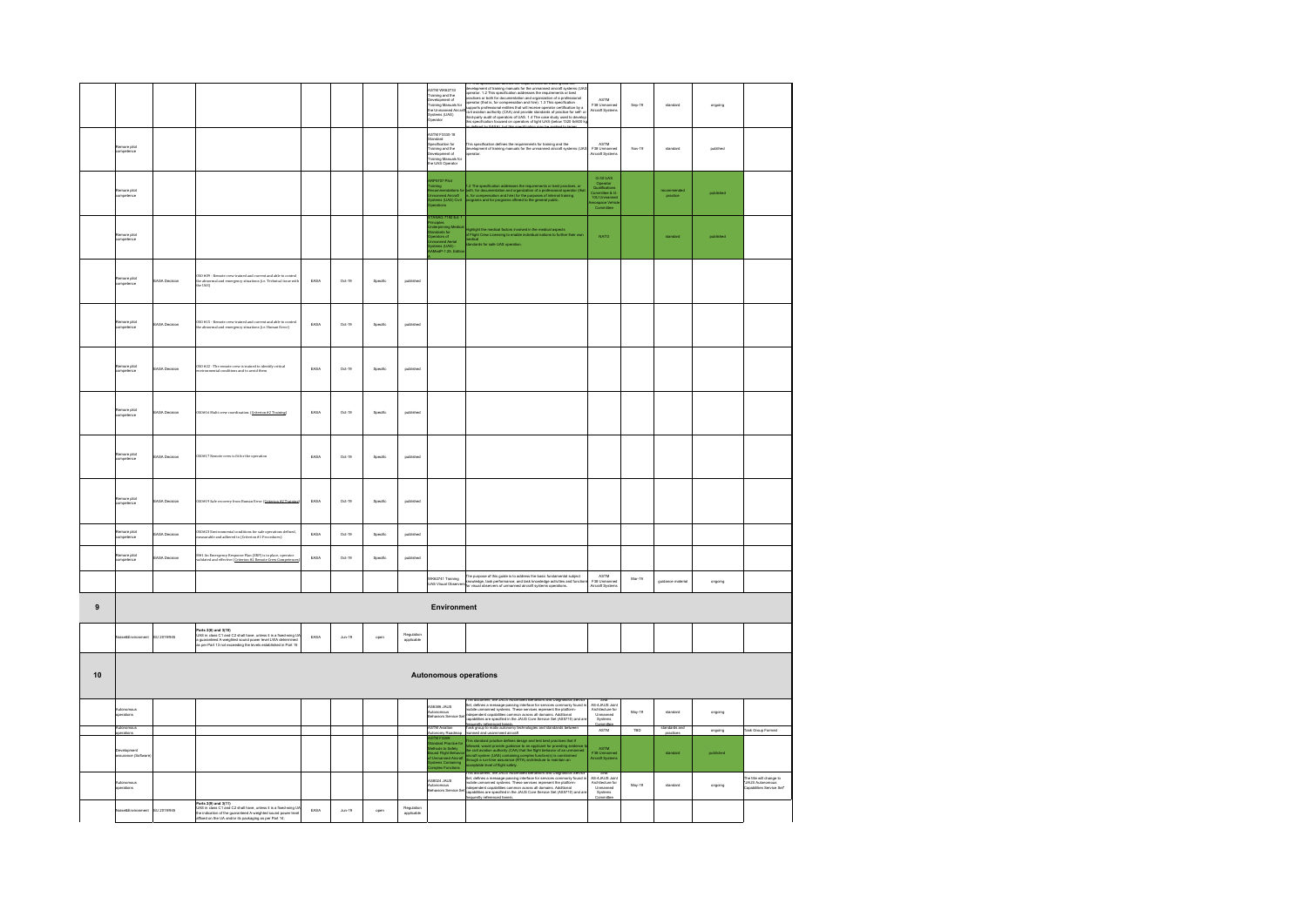|           |                               |                     |                                                                                                                                                                                                                        |      |                    |          |                          | ASTM WK62733<br>Training and the<br>Development of<br>Training Menuals for<br>The Unmanned Aircra<br>Systems (UAS)<br>Operator                                                         | relopment of training manuals for the unmanned aircraft systems (UAS<br>assemblement of them operations for the unitaristic distribution (UAS)<br>specific . 1.2 This specification addresses the requirements or best<br>population of the documentation and operation of a problement of the<br>support is p                                    | ASTM<br>ASTM<br>F38 Unmanned<br>Aircraft Systems                                                       | Sep-19 | standard            | ongoing   |                                                                          |
|-----------|-------------------------------|---------------------|------------------------------------------------------------------------------------------------------------------------------------------------------------------------------------------------------------------------|------|--------------------|----------|--------------------------|----------------------------------------------------------------------------------------------------------------------------------------------------------------------------------------|---------------------------------------------------------------------------------------------------------------------------------------------------------------------------------------------------------------------------------------------------------------------------------------------------------------------------------------------------|--------------------------------------------------------------------------------------------------------|--------|---------------------|-----------|--------------------------------------------------------------------------|
|           | more pilot<br>mpetence        |                     |                                                                                                                                                                                                                        |      |                    |          |                          | STM F3330-18<br><b>Standard<br/>Spacification for<br/>Training and the<br/>Development of<br/>Training Manuals fo</b><br>the UAS Operator                                              | .<br>This specification defines the requirements for training and the<br>sperator.<br>sperator.                                                                                                                                                                                                                                                   | ASTM<br>F38 Unmanne<br>Aircraft Systen                                                                 | Nov-19 | standard            | publihed  |                                                                          |
|           | more pilot<br>mpetence        |                     |                                                                                                                                                                                                                        |      |                    |          |                          | :P5707 Pilot<br>Lining<br>commendations fo<br>manned Aircraft<br>stems (UAS) Civil<br>erations                                                                                         | 1.2 The specification addresses the requirements or best practices, c<br>both, for documentation and organization of a professional operator (<br>is, for compensation and hine) for the purposes of internal training<br>programs and                                                                                                            | G-30 UAS<br>Operator<br>Qualifications<br>Committee & G<br>Art Unmanne<br>Gerospace Vehia<br>Committee |        | comment<br>practice |           |                                                                          |
|           | lamore pilot<br>ompetence     |                     |                                                                                                                                                                                                                        |      |                    |          |                          | MAG 7192 Fd:<br>derpinning Medi<br>Indards for<br>erators of<br>manned Aerial<br>iams (UAS) -<br>fedP-1.25, Edit                                                                       | Rightight the medical factors involved in the medical aspects<br>If Flight Crew Licensing to enable individual nations to further th<br>Indical<br>endards for safe UAS coeration.                                                                                                                                                                | <b>NATO</b>                                                                                            |        | standard            | published |                                                                          |
|           | temore pilot<br>ompetence     | ASA Decision        | $050\pm09$ - Remote crew trained and current and able to control the abnormal and emergency situations (i.e. Technical issue with the UAS)                                                                             | EASA | $Oct-19$           | Specific | published                |                                                                                                                                                                                        |                                                                                                                                                                                                                                                                                                                                                   |                                                                                                        |        |                     |           |                                                                          |
|           | emore pilot<br>impetence      | <b>ASA Decision</b> | .<br>OSO #15 - Remote crew trained and current and able to<br>the abnormal and emergency situations (i.e. Human Err                                                                                                    | EASA | Oct-19             | Specific | published                |                                                                                                                                                                                        |                                                                                                                                                                                                                                                                                                                                                   |                                                                                                        |        |                     |           |                                                                          |
|           | emore pilot<br>impetence      | ARA Derision        | 350 #22 - The remote crew is trained to identify critical<br>nwironmental conditions and to avoid them                                                                                                                 | FASA | 0.459              | Specific | published                |                                                                                                                                                                                        |                                                                                                                                                                                                                                                                                                                                                   |                                                                                                        |        |                     |           |                                                                          |
|           | temore pilot<br>ompetence     | ASA Decision        | 350#16 Multi crew coordination. (Criterion #2 Training)                                                                                                                                                                | EASA | $Oct-19$           | Specific | published                |                                                                                                                                                                                        |                                                                                                                                                                                                                                                                                                                                                   |                                                                                                        |        |                     |           |                                                                          |
|           | amore pilot<br>mpetence       | <b>ASA Decision</b> | 350#17 Remote crew is fit for the operation                                                                                                                                                                            | EASA | $Oct-19$           | Specific | published                |                                                                                                                                                                                        |                                                                                                                                                                                                                                                                                                                                                   |                                                                                                        |        |                     |           |                                                                          |
|           | more pilot<br>mpetence        | ASA Decision        | SO#19 Safe recovery from Human Error (Criterion #2 Tra                                                                                                                                                                 | EASA | $Oct-19$           | Specific | published                |                                                                                                                                                                                        |                                                                                                                                                                                                                                                                                                                                                   |                                                                                                        |        |                     |           |                                                                          |
|           | amore pilot<br>ompetence      | ASA Decision        | .<br>SO#23 Environmental conditions for safe operations of the state of the set of the set of the set of the set of<br>seasurable and adhered to (Criterion #1 Procedures)<br>ns defined                               | EASA | Oct-19             | Specific | published                |                                                                                                                                                                                        |                                                                                                                                                                                                                                                                                                                                                   |                                                                                                        |        |                     |           |                                                                          |
|           | emore pilot<br>Impetence      | ASA Decision        | 4#1 An Emergency Response Plan (ERP) is in place, operato<br>talidated and effective ( <u>Criterion #2 Remote Crew Competes</u>                                                                                        | EASA | Oct-19             | Specific | published                |                                                                                                                                                                                        |                                                                                                                                                                                                                                                                                                                                                   |                                                                                                        |        |                     |           |                                                                          |
|           |                               |                     |                                                                                                                                                                                                                        |      |                    |          |                          | WK62741 Training<br><b>JAS Visual Observe</b>                                                                                                                                          | The purpose of this guide is to address the basic fundamental subject<br>Innowledge, task performance, and task knowledge activities and functio<br>for visual observers of unmanned aircraft systems operations.                                                                                                                                 | ASTM<br>ASIM<br>F38 Unmanner<br>Aircraft System                                                        | Mar-19 | guidance material   | ongoing   |                                                                          |
| $\pmb{9}$ |                               |                     |                                                                                                                                                                                                                        |      |                    |          |                          | Environment                                                                                                                                                                            |                                                                                                                                                                                                                                                                                                                                                   |                                                                                                        |        |                     |           |                                                                          |
|           | se&Enviror                    | EU 2019/945         | Parts 2(8) and 3(10)<br>LIAS in class C1 and C2 shall have, unless it is a fixed-wing LI<br>a guaranteed A-weighted sound power level LWA determined<br>as per Part 13 not exceeding the levels established in Part 15 | EASA | $_{\text{Jun-19}}$ | open     | Regulation<br>applicable |                                                                                                                                                                                        |                                                                                                                                                                                                                                                                                                                                                   |                                                                                                        |        |                     |           |                                                                          |
| 10        |                               |                     |                                                                                                                                                                                                                        |      |                    |          |                          | <b>Autonomous operations</b>                                                                                                                                                           |                                                                                                                                                                                                                                                                                                                                                   |                                                                                                        |        |                     |           |                                                                          |
|           | tonomous<br>arations          |                     |                                                                                                                                                                                                                        |      |                    |          |                          | SUAL 88285<br>tonomous<br>haviors Service I                                                                                                                                            | is document, the JAUS Automated Behaviors and Diagnostics Servic<br>rms outunness, une JAUDS Automated tentianoris and Dasprostics Sterious<br>Set, defines a message-passing interface for services commently found in<br>models urmanimed systems. These services represent the platform-<br>populations                                        | SAE<br>AS-4JAUS Join<br>Architecture for<br>Unmarned<br>Systems<br>Committee                           | May-19 | standard            | ongoing   |                                                                          |
|           | rations                       |                     |                                                                                                                                                                                                                        |      |                    |          |                          | <b>STM Aviation</b>                                                                                                                                                                    |                                                                                                                                                                                                                                                                                                                                                   | ASTM                                                                                                   | TBD    | dards and<br>practi | ongoing   | Task Group Formed                                                        |
|           | evelopment<br>ssurance (Softe |                     |                                                                                                                                                                                                                        |      |                    |          |                          | ASTM Aviation<br>Autonomy Roadmas<br>ASTM F3260<br>Standard Practice for<br>Alethodis to Safely<br>Systems Containing<br>Systems Containing<br>Systems Containing<br>Complex Functiona | This standard practice defines design and test best practices that if<br>followed, would provide guidance to an applicant for providing evidence<br>the chil aviation authority (CAA) that the fight behavior of an unman<br>aircraft s                                                                                                           | ASTM<br>F38 Unmanne<br>Aircraft System                                                                 |        | standard            | published |                                                                          |
|           | enations                      |                     |                                                                                                                                                                                                                        |      |                    |          |                          | <b>PLIAL ACORPA</b><br>ehaviors Service Se                                                                                                                                             | rms cocument, une avuo vuonnaan benerats anti Luignoses yksinä.<br>Set, delines a message passing interface for services commonly found in<br>mobile unmanned systems. These services represent the platform-<br>independent capabiliti<br>capabilities are specified in the JAUS Core Service Set (AS5710) and a<br>requerity referenced herein. | AS-4JAUS Join<br>Unmanned<br>Systems                                                                   | May-19 | standard            | ongoing   | The title will change to<br>"JAUS Autonomous<br>apabilities Service Set" |
|           | se&Environment                | EU 2019/945         | Parts 2(9) and 3(11)<br>UAS in class C1 and C2 shall have, unless it is a fixed-wing UA<br>the indication of the guaranteed A-weighted sound power level<br>affixed on the UA and/or its packaging as per Part 14;     | EASA | $_{\text{Jun-19}}$ | open     | Regulation<br>applicable |                                                                                                                                                                                        |                                                                                                                                                                                                                                                                                                                                                   |                                                                                                        |        |                     |           |                                                                          |